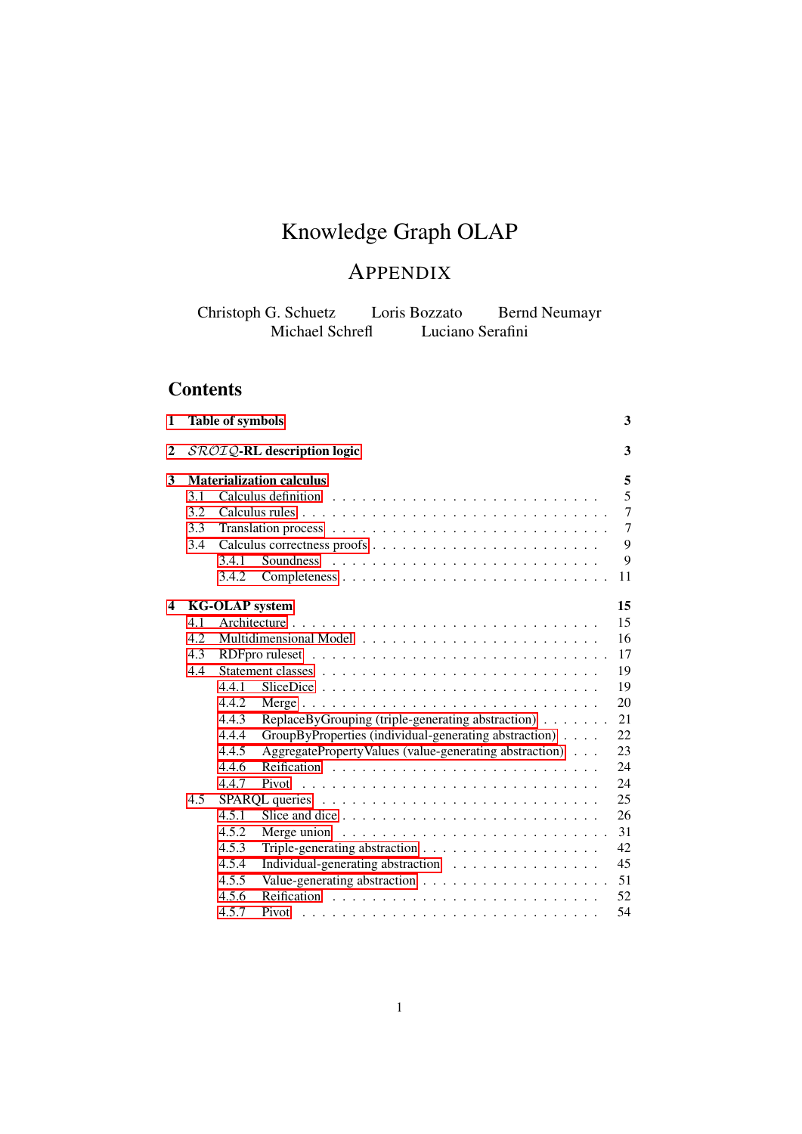# Knowledge Graph OLAP

# APPENDIX

Christoph G. Schuetz Loris Bozzato Bernd Neumayr Michael Schrefl Luciano Serafini

# **Contents**

| 1 |            | <b>Table of symbols</b> |                                                                       |  |  | 3                        |
|---|------------|-------------------------|-----------------------------------------------------------------------|--|--|--------------------------|
| 2 |            |                         | SROIQ-RL description logic                                            |  |  | 3                        |
| 3 | 3.1<br>3.2 |                         | <b>Materialization calculus</b>                                       |  |  | 5<br>5<br>$\overline{7}$ |
|   | 3.3<br>3.4 | 3.4.1                   |                                                                       |  |  | $\overline{7}$<br>9<br>9 |
|   |            | 3.4.2                   |                                                                       |  |  | 11                       |
| 4 |            | <b>KG-OLAP</b> system   |                                                                       |  |  | 15                       |
|   | 4.1        |                         |                                                                       |  |  | 15                       |
|   | 4.2        |                         |                                                                       |  |  | 16                       |
|   | 4.3        |                         |                                                                       |  |  | 17                       |
|   | 4.4        |                         |                                                                       |  |  | 19                       |
|   |            | 4.4.1                   |                                                                       |  |  | 19                       |
|   |            | 4.4.2                   |                                                                       |  |  | 20                       |
|   |            | 4.4.3                   | ReplaceByGrouping (triple-generating abstraction)                     |  |  | 21                       |
|   |            | 4.4.4                   | GroupByProperties (individual-generating abstraction)                 |  |  | 22                       |
|   |            | 4.4.5                   | AggregatePropertyValues (value-generating abstraction)                |  |  | 23                       |
|   |            | 4.4.6                   |                                                                       |  |  | 24                       |
|   |            | 4.4.7                   |                                                                       |  |  | 24                       |
|   | 4.5        |                         |                                                                       |  |  | 25                       |
|   |            | 4.5.1                   |                                                                       |  |  | 26                       |
|   |            | 4.5.2                   | Merge union $\ldots \ldots \ldots \ldots \ldots \ldots \ldots \ldots$ |  |  | 31                       |
|   |            | 4.5.3                   |                                                                       |  |  | 42                       |
|   |            | 4.5.4                   | Individual-generating abstraction                                     |  |  | 45                       |
|   |            | 4.5.5                   |                                                                       |  |  | 51                       |
|   |            | 4.5.6                   |                                                                       |  |  | 52                       |
|   |            | 4.5.7                   | Pivot                                                                 |  |  | 54                       |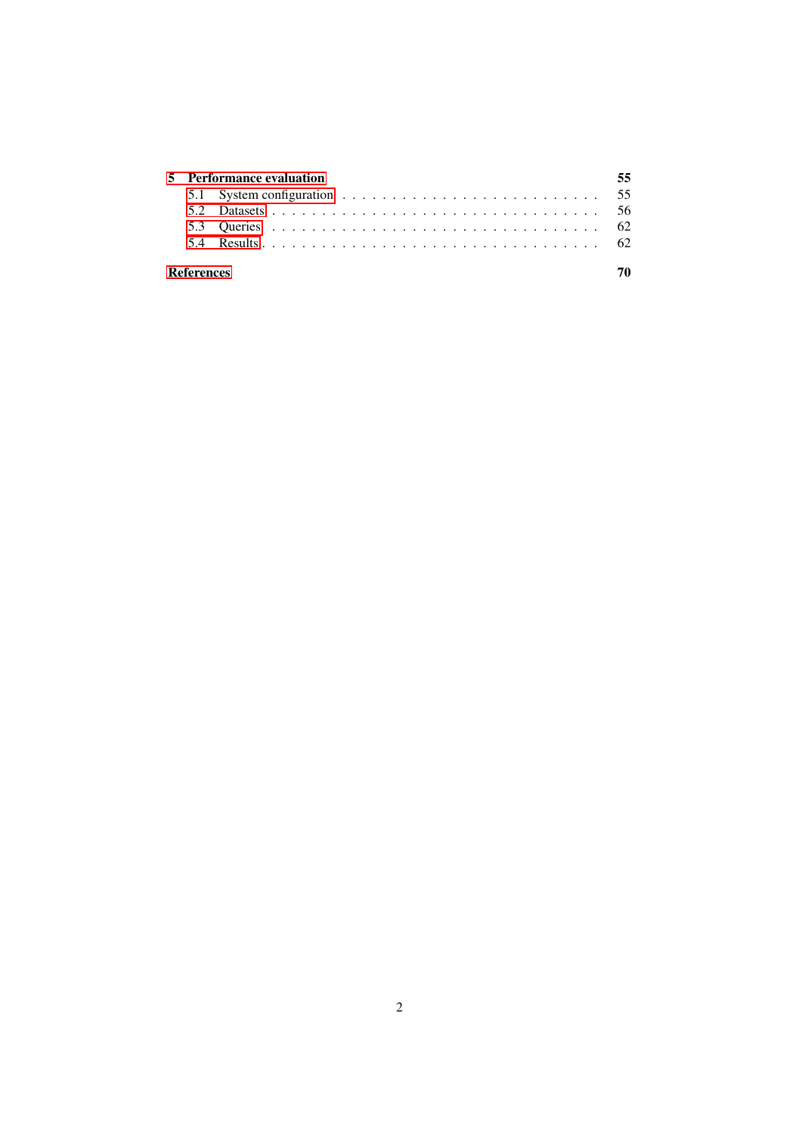|                   | 5 Performance evaluation                                                                            |  |
|-------------------|-----------------------------------------------------------------------------------------------------|--|
|                   | 5.1 System configuration $\ldots \ldots \ldots \ldots \ldots \ldots \ldots \ldots \ldots \ldots$ 55 |  |
|                   |                                                                                                     |  |
|                   |                                                                                                     |  |
|                   |                                                                                                     |  |
|                   |                                                                                                     |  |
| <b>References</b> |                                                                                                     |  |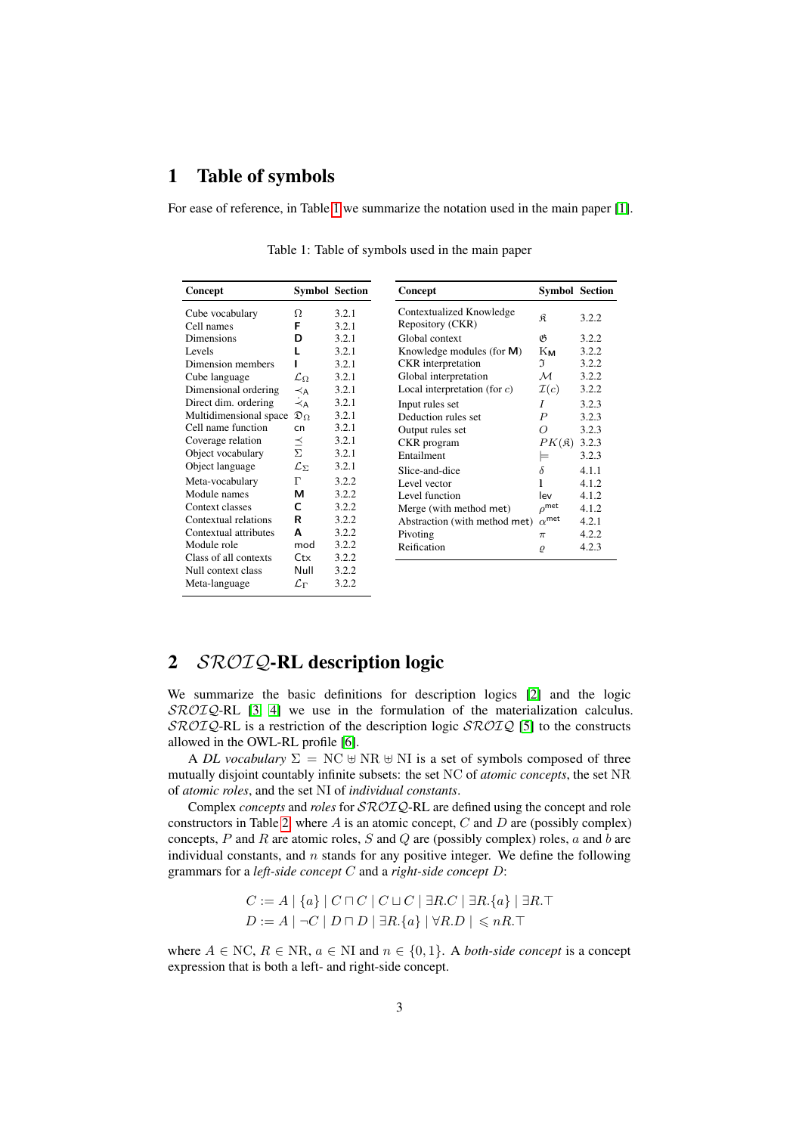# <span id="page-2-0"></span>1 Table of symbols

For ease of reference, in Table [1](#page-2-2) we summarize the notation used in the main paper [\[1\]](#page-69-0).

| Concept                       |                           | <b>Symbol Section</b> | Concept                                      | <b>Symbol Section</b> |       |
|-------------------------------|---------------------------|-----------------------|----------------------------------------------|-----------------------|-------|
| Cube vocabulary<br>Cell names | Ω<br>F                    | 3.2.1<br>3.2.1        | Contextualized Knowledge<br>Repository (CKR) | R                     | 3.2.2 |
| Dimensions                    | D                         | 3.2.1                 | Global context                               | B                     | 3.2.2 |
| Levels                        | L                         | 3.2.1                 | Knowledge modules (for $M$ )                 | Kм                    | 3.2.2 |
| Dimension members             |                           | 3.2.1                 | <b>CKR</b> interpretation                    | J                     | 3.2.2 |
| Cube language                 | $\mathcal{L}_{\Omega}$    | 3.2.1                 | Global interpretation                        | М                     | 3.2.2 |
| Dimensional ordering          | $\prec$ A                 | 3.2.1                 | Local interpretation (for $c$ )              | $\mathcal{I}(c)$      | 3.2.2 |
| Direct dim. ordering          | ≺́д                       | 3.2.1                 | Input rules set                              | Ι                     | 3.2.3 |
| Multidimensional space        | $\mathfrak{D}_{\Omega}$   | 3.2.1                 | Deduction rules set                          | $\boldsymbol{P}$      | 3.2.3 |
| Cell name function            | cn                        | 3.2.1                 | Output rules set                             | Ω                     | 3.2.3 |
| Coverage relation             | $\vec{\overline{\Sigma}}$ | 3.2.1                 | CKR program                                  | $PK({\frak K})$       | 3.2.3 |
| Object vocabulary             |                           | 3.2.1                 | Entailment                                   | ⊨                     | 3.2.3 |
| Object language               | $\mathcal{L}_{\Sigma}$    | 3.2.1                 | Slice-and-dice                               | $\delta$              | 4.1.1 |
| Meta-vocabulary               | Г                         | 3.2.2                 | Level vector                                 | 1                     | 4.1.2 |
| Module names                  | м                         | 3.2.2                 | Level function                               | lev                   | 4.1.2 |
| Context classes               | C                         | 3.2.2                 | Merge (with method met)                      | $\rho^\text{met}$     | 4.1.2 |
| Contextual relations          | R                         | 3.2.2                 | Abstraction (with method met)                | $\alpha^{\rm met}$    | 4.2.1 |
| Contextual attributes         | A                         | 3.2.2                 | Pivoting                                     | $\pi$                 | 4.2.2 |
| Module role                   | mod                       | 3.2.2                 | Reification                                  | $\varrho$             | 4.2.3 |
| Class of all contexts         | Ctx                       | 3.2.2                 |                                              |                       |       |
| Null context class            | Null                      | 3.2.2                 |                                              |                       |       |
| Meta-language                 | $\mathcal{L}_\Gamma$      | 3.2.2                 |                                              |                       |       |
|                               |                           |                       |                                              |                       |       |

<span id="page-2-2"></span>Table 1: Table of symbols used in the main paper

# <span id="page-2-1"></span>2 SROIQ-RL description logic

We summarize the basic definitions for description logics [\[2\]](#page-69-1) and the logic  $\mathcal{SROTQ}$ -RL [\[3,](#page-69-2) [4\]](#page-69-3) we use in the formulation of the materialization calculus.  $\text{SROTQ-RL}$  is a restriction of the description logic  $\text{SROTQ}$  [\[5\]](#page-69-4) to the constructs allowed in the OWL-RL profile [\[6\]](#page-69-5).

A *DL vocabulary*  $\Sigma = \text{NC} \oplus \text{NR} \oplus \text{NI}$  is a set of symbols composed of three mutually disjoint countably infinite subsets: the set NC of *atomic concepts*, the set NR of *atomic roles*, and the set NI of *individual constants*.

Complex *concepts* and *roles* for SROIQ-RL are defined using the concept and role constructors in Table [2,](#page-4-2) where  $A$  is an atomic concept,  $C$  and  $D$  are (possibly complex) concepts,  $P$  and  $R$  are atomic roles,  $S$  and  $Q$  are (possibly complex) roles,  $a$  and  $b$  are individual constants, and  $n$  stands for any positive integer. We define the following grammars for a *left-side concept* C and a *right-side concept* D:

$$
C := A \mid \{a\} \mid C \sqcap C \mid C \sqcup C \mid \exists R.C \mid \exists R.\{a\} \mid \exists R.\top
$$

$$
D := A \mid \neg C \mid D \sqcap D \mid \exists R.\{a\} \mid \forall R.D \mid \leqslant nR.\top
$$

where  $A \in NC$ ,  $R \in NR$ ,  $a \in NI$  and  $n \in \{0,1\}$ . A *both-side concept* is a concept expression that is both a left- and right-side concept.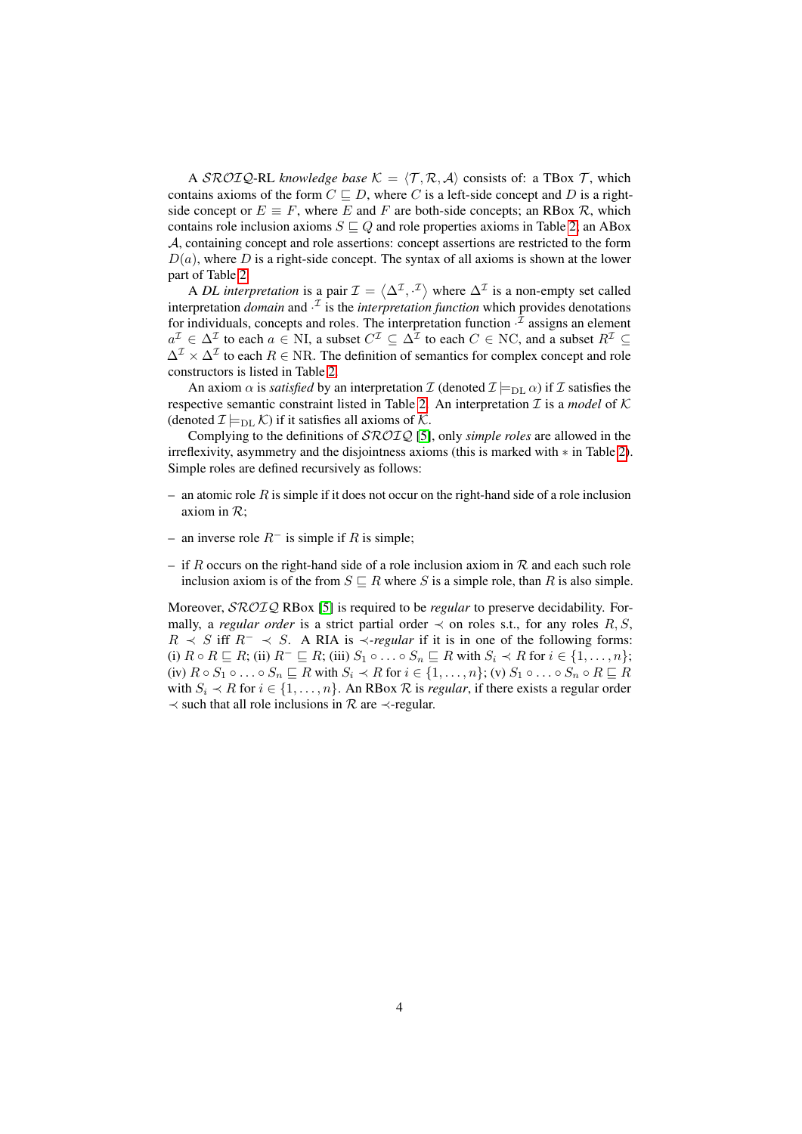A SROIQ-RL *knowledge base*  $K = \langle T, R, A \rangle$  consists of: a TBox T, which contains axioms of the form  $C \sqsubseteq D$ , where C is a left-side concept and D is a rightside concept or  $E \equiv F$ , where E and F are both-side concepts; an RBox R, which contains role inclusion axioms  $S \sqsubseteq Q$  and role properties axioms in Table [2;](#page-4-2) an ABox A, containing concept and role assertions: concept assertions are restricted to the form  $D(a)$ , where D is a right-side concept. The syntax of all axioms is shown at the lower part of Table [2.](#page-4-2)

A *DL interpretation* is a pair  $\mathcal{I} = \langle \Delta^{\mathcal{I}}, \cdot^{\mathcal{I}} \rangle$  where  $\Delta^{\mathcal{I}}$  is a non-empty set called interpretation *domain* and  $\cdot^{\mathcal{I}}$  is the *interpretation function* which provides denotations for individuals, concepts and roles. The interpretation function  $\cdot^{\mathcal{I}}$  assigns an element  $a^{\mathcal{I}} \in \Delta^{\mathcal{I}}$  to each  $a \in \mathbb{N}$ , a subset  $C^{\mathcal{I}} \subseteq \Delta^{\mathcal{I}}$  to each  $C \in \mathbb{N}$ C, and a subset  $R^{\mathcal{I}} \subseteq$  $\Delta^{\mathcal{I}} \times \Delta^{\mathcal{I}}$  to each  $R \in \text{NR}$ . The definition of semantics for complex concept and role constructors is listed in Table [2.](#page-4-2)

An axiom  $\alpha$  is *satisfied* by an interpretation I (denoted  $\mathcal{I} \models_{\text{DL}} \alpha$ ) if I satisfies the respective semantic constraint listed in Table [2.](#page-4-2) An interpretation  $\mathcal I$  is a *model* of  $\mathcal K$ (denoted  $\mathcal{I} \models_{\text{DL}} \mathcal{K}$ ) if it satisfies all axioms of  $\mathcal{K}$ .

Complying to the definitions of SROIQ [\[5\]](#page-69-4), only *simple roles* are allowed in the irreflexivity, asymmetry and the disjointness axioms (this is marked with ∗ in Table [2\)](#page-4-2). Simple roles are defined recursively as follows:

- an atomic role  $R$  is simple if it does not occur on the right-hand side of a role inclusion axiom in  $\mathcal{R}$ ;
- an inverse role  $R^-$  is simple if R is simple;
- if R occurs on the right-hand side of a role inclusion axiom in R and each such role inclusion axiom is of the from  $S \sqsubseteq R$  where S is a simple role, than R is also simple.

Moreover, SROIQ RBox [\[5\]](#page-69-4) is required to be *regular* to preserve decidability. Formally, a *regular order* is a strict partial order  $\prec$  on roles s.t., for any roles R, S,  $R \prec S$  iff  $R^- \prec S$ . A RIA is  $\prec$ *-regular* if it is in one of the following forms: (i)  $R \circ R \sqsubseteq R$ ; (ii)  $R^{-} \sqsubseteq R$ ; (iii)  $S_1 \circ \ldots \circ S_n \sqsubseteq R$  with  $S_i \prec R$  for  $i \in \{1, \ldots, n\}$ ; (iv)  $R \circ S_1 \circ \ldots \circ S_n \sqsubseteq R$  with  $S_i \prec R$  for  $i \in \{1, \ldots, n\}$ ; (v)  $S_1 \circ \ldots \circ S_n \circ R \sqsubseteq R$ with  $S_i \prec R$  for  $i \in \{1, \ldots, n\}$ . An RBox  $R$  is *regular*, if there exists a regular order  $\prec$  such that all role inclusions in  $\mathcal R$  are  $\prec$ -regular.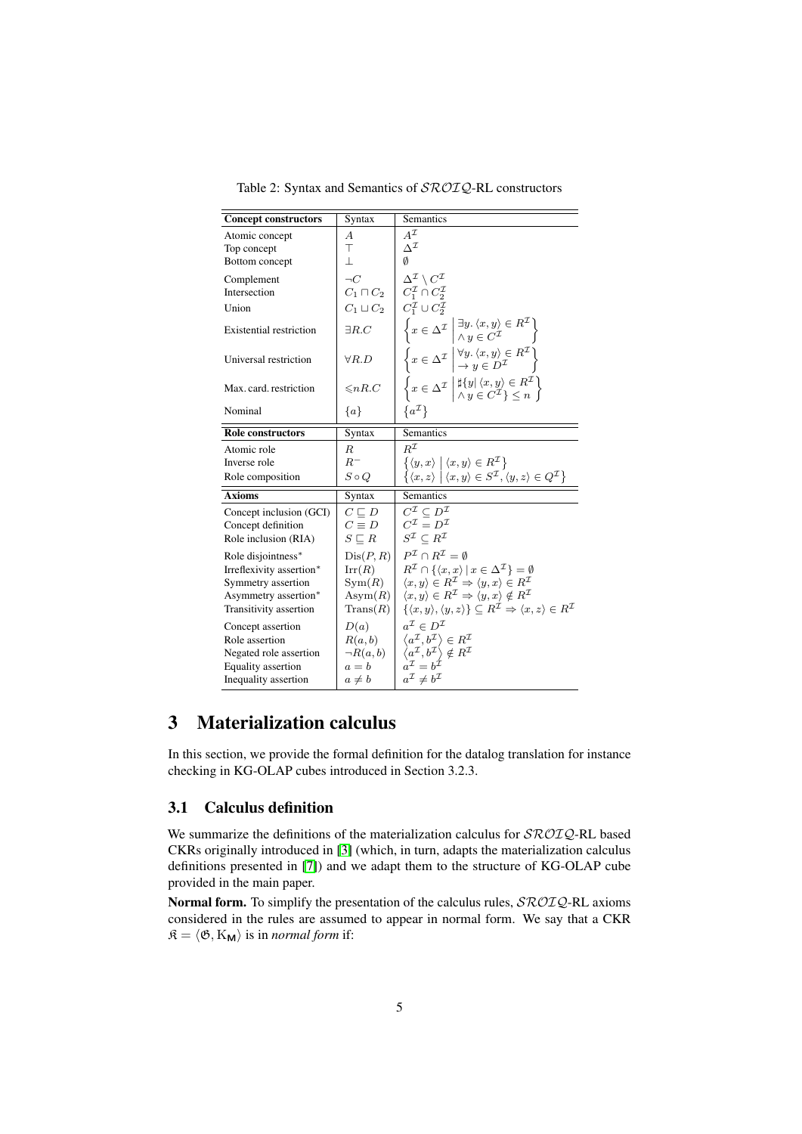<span id="page-4-2"></span>Table 2: Syntax and Semantics of SROIQ-RL constructors

| <b>Concept constructors</b>                                                                                            | Syntax                                                                            | Semantics                                                                                                                                                                                                                                                                                                                                                                                                                                                                            |
|------------------------------------------------------------------------------------------------------------------------|-----------------------------------------------------------------------------------|--------------------------------------------------------------------------------------------------------------------------------------------------------------------------------------------------------------------------------------------------------------------------------------------------------------------------------------------------------------------------------------------------------------------------------------------------------------------------------------|
| Atomic concept<br>Top concept<br>Bottom concept                                                                        | А<br>Τ<br>$\mathbf{L}$                                                            | $A^{\mathcal{I}}$<br>$\Lambda^{\mathcal{I}}$<br>Ø                                                                                                                                                                                                                                                                                                                                                                                                                                    |
| Complement<br>Intersection<br>Union                                                                                    | $\neg C$                                                                          | $\Delta^{\mathcal{I}} \setminus C^{\mathcal{I}}$<br>$C_1 \sqcap C_2 \mid C_1^{\mathcal{I}} \cap C_2^{\mathcal{I}}$<br>$C_1 \sqcup C_2 \mid C_1^{\mathcal{I}} \cup C_2^{\mathcal{I}}$                                                                                                                                                                                                                                                                                                 |
| <b>Existential restriction</b>                                                                                         | $\exists R.C$                                                                     |                                                                                                                                                                                                                                                                                                                                                                                                                                                                                      |
| Universal restriction                                                                                                  | $\forall R.D$                                                                     | $\begin{array}{l} \left\{ x \in \Delta^{\mathcal{I}} \, \left  \begin{matrix} \exists y. \left\langle x, y \right\rangle \in R^{\mathcal{I}} \\[1mm] \wedge \, y \in C^{\mathcal{I}} \end{matrix} \right. \right\} \\ \left\{ x \in \Delta^{\mathcal{I}} \, \left  \begin{matrix} \forall y. \left\langle x, y \right\rangle \in R^{\mathcal{I}} \\[1mm] \rightarrow \, y \in D^{\mathcal{I}} \end{matrix} \right. \right\} \end{array}$                                             |
| Max. card. restriction                                                                                                 | $\leq nR.C$                                                                       | $\left\{ x \in \Delta^{\mathcal{I}} \; \middle  \; \begin{array}{l} \sharp \{y   \langle x, y \rangle \in R^{\mathcal{I}} \\ \wedge y \in C^{\mathcal{I}} \} \leq n \end{array} \right\}$                                                                                                                                                                                                                                                                                            |
| Nominal                                                                                                                | $\{a\}$                                                                           | $\{a^{\mathcal{I}}\}$                                                                                                                                                                                                                                                                                                                                                                                                                                                                |
| <b>Role constructors</b>                                                                                               | Syntax                                                                            | Semantics                                                                                                                                                                                                                                                                                                                                                                                                                                                                            |
| Atomic role                                                                                                            | $_{R}$                                                                            | $R^{\mathcal{I}}$                                                                                                                                                                                                                                                                                                                                                                                                                                                                    |
| Inverse role                                                                                                           | $R^-$                                                                             | $\{\langle y, x \rangle \mid \langle x, y \rangle \in R^{\mathcal{I}}\}\$                                                                                                                                                                                                                                                                                                                                                                                                            |
| Role composition                                                                                                       | $S \circ Q$                                                                       | $\{(x,z) \mid \langle x,y \rangle \in S^{\mathcal{I}}, \langle y,z \rangle \in Q^{\mathcal{I}}\}$                                                                                                                                                                                                                                                                                                                                                                                    |
| <b>Axioms</b>                                                                                                          | Syntax                                                                            | Semantics                                                                                                                                                                                                                                                                                                                                                                                                                                                                            |
| Concept inclusion (GCI)<br>Concept definition<br>Role inclusion (RIA)                                                  | $C \sqsubset D$<br>$C \equiv D$<br>$S \sqsubset R$                                | $C^{\mathcal{I}} \subseteq D^{\mathcal{I}}$<br>$C^{\mathcal{I}} = D^{\mathcal{I}}$<br>$S^{\mathcal{I}} \subset R^{\mathcal{I}}$                                                                                                                                                                                                                                                                                                                                                      |
| Role disjointness*<br>Irreflexivity assertion*<br>Symmetry assertion<br>Asymmetry assertion*<br>Transitivity assertion | Dis(P, R)<br>$\operatorname{Irr}(R)$<br>Sym(R)<br>Asym $(R)$<br>$\text{Trans}(R)$ | $P^{\mathcal{I}} \cap R^{\mathcal{I}} = \emptyset$<br>$R^{\mathcal{I}} \cap \{ \langle x, x \rangle \mid x \in \Delta^{\mathcal{I}} \} = \emptyset$<br>$\langle x, y \rangle \in R^{\mathcal{I}} \Rightarrow \langle y, x \rangle \in R^{\mathcal{I}}$<br>$\langle x, y \rangle \in R^{\mathcal{I}} \Rightarrow \langle y, x \rangle \notin R^{\mathcal{I}}$<br>$\{\langle x,y\rangle,\langle y,z\rangle\}\subseteq R^{\mathcal{I}}\Rightarrow\langle x,z\rangle\in R^{\mathcal{I}}$ |
| Concept assertion<br>Role assertion<br>Negated role assertion<br>Equality assertion<br>Inequality assertion            | D(a)<br>R(a,b)<br>$\neg R(a,b)$<br>$a = b$<br>$a \neq b$                          | $a^{\mathcal{I}} \in D^{\mathcal{I}}$<br>$\langle a^{\mathcal{I}}, b^{\mathcal{I}} \rangle \in R^{\mathcal{I}}$<br>$\begin{array}{c}\n\langle a^{\mathcal{I}}, b^{\mathcal{I}} \rangle \notin R^{\mathcal{I}} \\ a^{\mathcal{I}} = b^{\mathcal{I}}\n\end{array}$<br>$a^{\mathcal{I}} \neq b^{\mathcal{I}}$                                                                                                                                                                           |

# <span id="page-4-0"></span>3 Materialization calculus

In this section, we provide the formal definition for the datalog translation for instance checking in KG-OLAP cubes introduced in Section 3.2.3.

# <span id="page-4-1"></span>3.1 Calculus definition

We summarize the definitions of the materialization calculus for  $\mathcal{SROTQ}$ -RL based CKRs originally introduced in [\[3\]](#page-69-2) (which, in turn, adapts the materialization calculus definitions presented in [\[7\]](#page-69-6)) and we adapt them to the structure of KG-OLAP cube provided in the main paper.

Normal form. To simplify the presentation of the calculus rules,  $\mathcal{SROIQ}\text{-RL}$  axioms considered in the rules are assumed to appear in normal form. We say that a CKR  $\mathfrak{K} = \langle \mathfrak{G}, K_{\mathsf{M}} \rangle$  is in *normal form* if: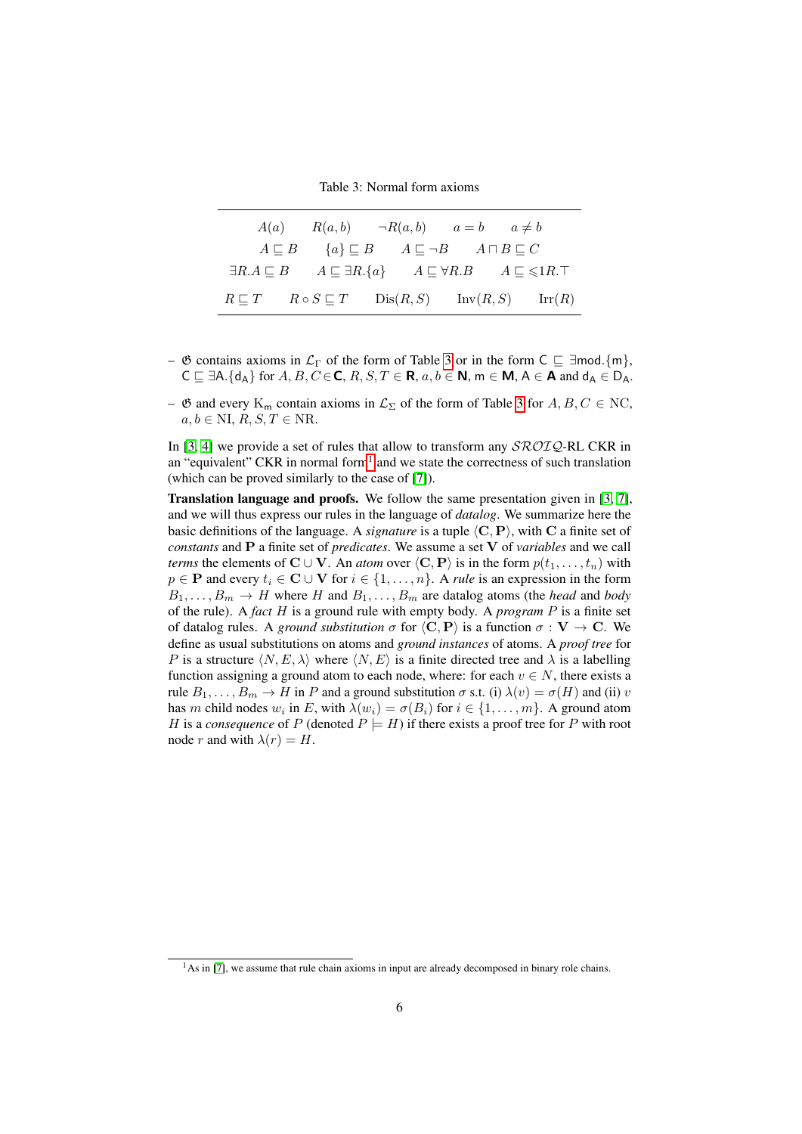<span id="page-5-0"></span>Table 3: Normal form axioms

| A(a) | $R(a,b) \qquad \neg R(a,b) \qquad a=b \qquad a \neq b$                                                                   |  |  |  |
|------|--------------------------------------------------------------------------------------------------------------------------|--|--|--|
|      | $A \sqsubseteq B$ $\{a\} \sqsubseteq B$ $A \sqsubseteq \neg B$ $A \sqcap B \sqsubseteq C$                                |  |  |  |
|      | $\exists R.A \sqsubseteq B$ $A \sqsubseteq \exists R.\{a\}$ $A \sqsubseteq \forall R.B$ $A \sqsubseteq \leq \{1R.\top\}$ |  |  |  |
|      | $R \sqsubseteq T$ $R \circ S \sqsubseteq T$ $Dis(R, S)$ $Inv(R, S)$ $Irr(R)$                                             |  |  |  |

–  $\mathfrak G$  contains axioms in  $\mathcal L_{\Gamma}$  of the form of Table [3](#page-5-0) or in the form  $C \subseteq \exists \text{mod.}\{m\},\$  $C \sqsubset \exists A. \{d_A\}$  for  $A, B, C \in \mathbb{C}$ ,  $R, S, T \in \mathbb{R}$ ,  $a, b \in \mathbb{N}$ ,  $m \in \mathbb{M}$ ,  $A \in \mathbb{A}$  and  $d_A \in D_A$ .

–  $\mathfrak G$  and every K<sub>m</sub> contain axioms in  $\mathcal L_{\Sigma}$  of the form of Table [3](#page-5-0) for  $A, B, C \in \mathrm{NC}$ ,  $a, b \in \text{NI}, R, S, T \in \text{NR}.$ 

In [\[3,](#page-69-2) [4\]](#page-69-3) we provide a set of rules that allow to transform any  $\mathcal{SRO}IQ\text{-RL CKR}$  in an "equivalent" CKR in normal form<sup>[1](#page-5-1)</sup> and we state the correctness of such translation (which can be proved similarly to the case of [\[7\]](#page-69-6)).

**Translation language and proofs.** We follow the same presentation given in [\[3,](#page-69-2) [7\]](#page-69-6), and we will thus express our rules in the language of *datalog*. We summarize here the basic definitions of the language. A *signature* is a tuple  $\langle C, P \rangle$ , with C a finite set of *constants* and P a finite set of *predicates*. We assume a set V of *variables* and we call *terms* the elements of  $\mathbf{C} \cup \mathbf{V}$ . An *atom* over  $\langle \mathbf{C}, \mathbf{P} \rangle$  is in the form  $p(t_1, \dots, t_n)$  with  $p \in \mathbf{P}$  and every  $t_i \in \mathbf{C} \cup \mathbf{V}$  for  $i \in \{1, ..., n\}$ . A *rule* is an expression in the form  $B_1, \ldots, B_m \to H$  where H and  $B_1, \ldots, B_m$  are datalog atoms (the *head* and *body* of the rule). A *fact* H is a ground rule with empty body. A *program* P is a finite set of datalog rules. A *ground substitution*  $\sigma$  for  $\langle C, P \rangle$  is a function  $\sigma : V \to C$ . We define as usual substitutions on atoms and *ground instances* of atoms. A *proof tree* for P is a structure  $\langle N, E, \lambda \rangle$  where  $\langle N, E \rangle$  is a finite directed tree and  $\lambda$  is a labelling function assigning a ground atom to each node, where: for each  $v \in N$ , there exists a rule  $B_1, \ldots, B_m \to H$  in P and a ground substitution  $\sigma$  s.t. (i)  $\lambda(v) = \sigma(H)$  and (ii) v has m child nodes  $w_i$  in E, with  $\lambda(w_i) = \sigma(B_i)$  for  $i \in \{1, ..., m\}$ . A ground atom H is a *consequence* of P (denoted  $P \models H$ ) if there exists a proof tree for P with root node r and with  $\lambda(r) = H$ .

<span id="page-5-1"></span><sup>&</sup>lt;sup>1</sup>As in [\[7\]](#page-69-6), we assume that rule chain axioms in input are already decomposed in binary role chains.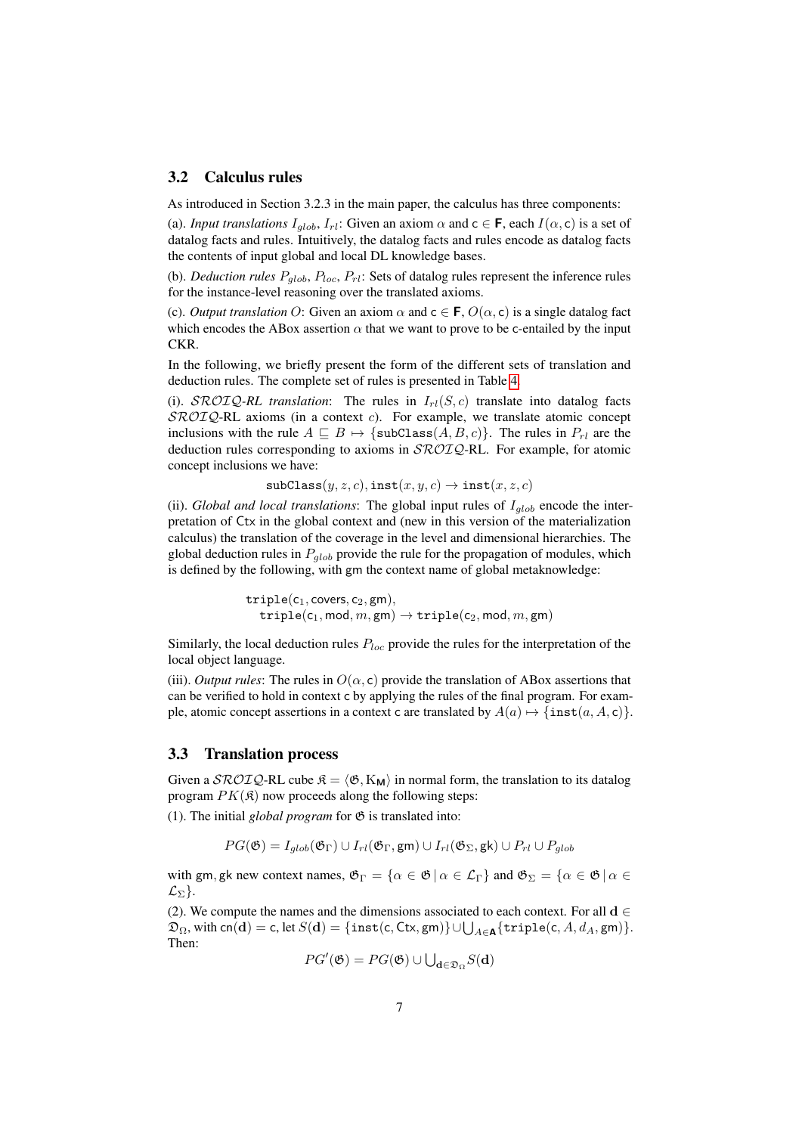### <span id="page-6-0"></span>3.2 Calculus rules

As introduced in Section 3.2.3 in the main paper, the calculus has three components:

(a). *Input translations*  $I_{qlob}$ ,  $I_{rl}$ : Given an axiom  $\alpha$  and  $c \in F$ , each  $I(\alpha, c)$  is a set of datalog facts and rules. Intuitively, the datalog facts and rules encode as datalog facts the contents of input global and local DL knowledge bases.

(b). *Deduction rules*  $P_{glob}$ ,  $P_{loc}$ ,  $P_{rl}$ : Sets of datalog rules represent the inference rules for the instance-level reasoning over the translated axioms.

(c). *Output translation* O: Given an axiom  $\alpha$  and  $c \in F$ ,  $O(\alpha, c)$  is a single datalog fact which encodes the ABox assertion  $\alpha$  that we want to prove to be c-entailed by the input CKR.

In the following, we briefly present the form of the different sets of translation and deduction rules. The complete set of rules is presented in Table [4.](#page-7-0)

(i).  $\text{SROTQ-RL}$  *translation*: The rules in  $I_{rl}(S, c)$  translate into datalog facts  $SROIQ-RL$  axioms (in a context c). For example, we translate atomic concept inclusions with the rule  $A \subseteq B \mapsto \{\text{subClass}(A, B, c)\}\)$ . The rules in  $P_{rl}$  are the deduction rules corresponding to axioms in  $\mathcal{SROLQ}$ -RL. For example, for atomic concept inclusions we have:

 $\texttt{subClass}(y, z, c), \texttt{inst}(x, y, c) \rightarrow \texttt{inst}(x, z, c)$ 

(ii). *Global and local translations*: The global input rules of  $I_{qlob}$  encode the interpretation of Ctx in the global context and (new in this version of the materialization calculus) the translation of the coverage in the level and dimensional hierarchies. The global deduction rules in  $P_{alob}$  provide the rule for the propagation of modules, which is defined by the following, with gm the context name of global metaknowledge:

> $\texttt{triple}(c_1, \texttt{covers}, c_2, \texttt{gm}),$  $\texttt{triple}(c_1, \textsf{mod}, m, \textsf{gm}) \rightarrow \texttt{triple}(c_2, \textsf{mod}, m, \textsf{gm})$

Similarly, the local deduction rules  $P_{loc}$  provide the rules for the interpretation of the local object language.

(iii). *Output rules*: The rules in  $O(\alpha, c)$  provide the translation of ABox assertions that can be verified to hold in context c by applying the rules of the final program. For example, atomic concept assertions in a context c are translated by  $A(a) \mapsto {\text{inst}}(a, A, c)$ .

### <span id="page-6-1"></span>3.3 Translation process

Given a  $\mathcal{SROIQ}\text{-}\text{RL}$  cube  $\mathfrak{K} = \langle \mathfrak{G}, K_{\mathbf{M}} \rangle$  in normal form, the translation to its datalog program  $PK(\mathfrak{K})$  now proceeds along the following steps:

(1). The initial *global program* for  $\mathfrak{G}$  is translated into:

 $PG(\mathfrak{G}) = I_{alob}(\mathfrak{G}_{\Gamma}) \cup I_{rl}(\mathfrak{G}_{\Gamma}, \mathsf{gm}) \cup I_{rl}(\mathfrak{G}_{\Sigma}, \mathsf{g}\mathsf{k}) \cup P_{rl} \cup P_{alob}$ 

with gm, gk new context names,  $\mathfrak{G}_{\Gamma} = {\alpha \in \mathfrak{G} \mid \alpha \in \mathcal{L}_{\Gamma}}}$  and  $\mathfrak{G}_{\Sigma} = {\alpha \in \mathfrak{G} \mid \alpha \in \mathcal{L}_{\Gamma}}$  $\mathcal{L}_{\Sigma}$ .

(2). We compute the names and the dimensions associated to each context. For all  $d \in$  $\mathfrak{D}_{\Omega},$  with  $\mathsf{cn}(\mathbf{d}) = \mathsf{c}$ , let  $S(\mathbf{d}) = \{\mathtt{inst}(\mathsf{c},\mathsf{Ctx},\mathsf{gm})\} \cup \bigcup_{A \in \mathbf{A}} \{\mathtt{triple}(\mathsf{c},A,d_A,\mathsf{gm})\}.$ Then:

$$
PG'(\mathfrak{G}) = PG(\mathfrak{G}) \cup \bigcup_{\mathbf{d} \in \mathfrak{D}_{\Omega}} S(\mathbf{d})
$$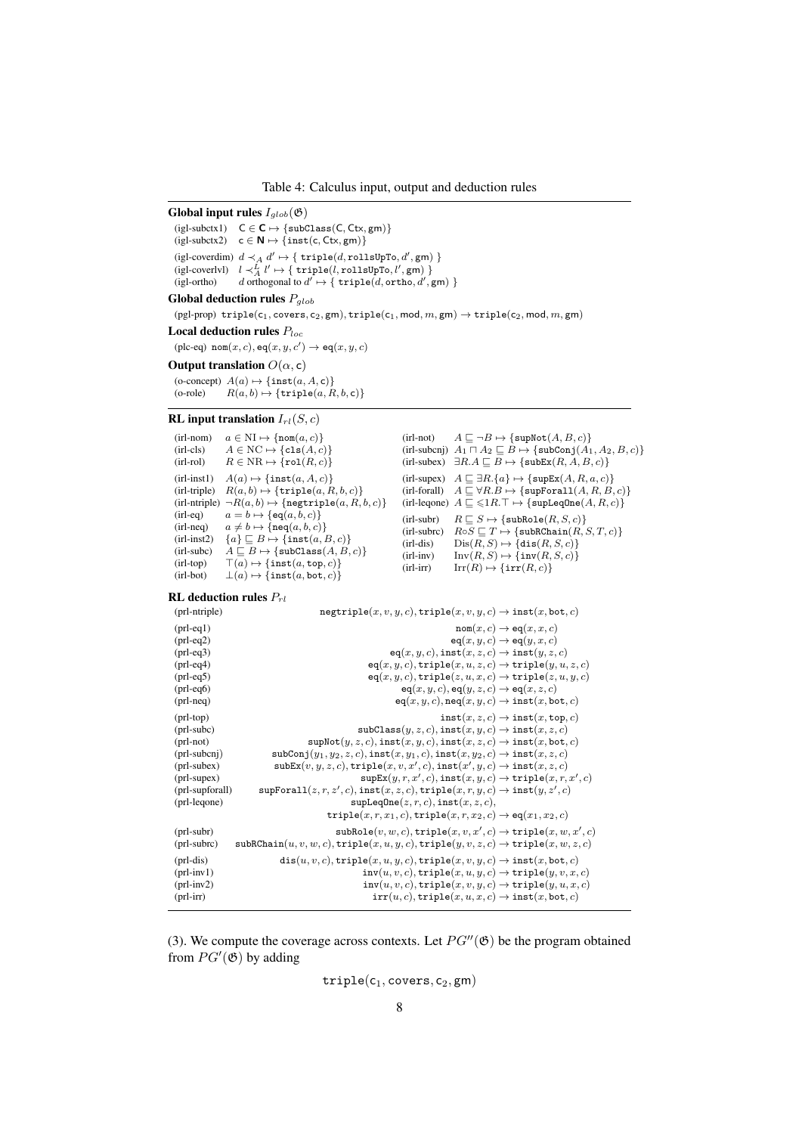<span id="page-7-0"></span>Table 4: Calculus input, output and deduction rules

Global input rules  $I_{glob}(\mathfrak{G})$ 

 $\left( \text{igl-subctx1)} \quad C \in \textbf{C} \mapsto \{\text{subClass}(C, Ctx, gm)\}$  $(igl-subctx2) c ∈ N → {inst(c, Ctx, gm)}$ (igl-coverdim)  $d \prec_A d' \mapsto \{\ \mathtt{triple}(d,\mathtt{rollsUpTo},d',\mathtt{gm})\ \}$ (igl-coverlvl)  $l \prec^L_A l'$   $\mapsto \{ \texttt{triple}(l, \texttt{rollsUpTo}, l', \texttt{gm}) \}$ (igl-ortho) d orthogonal to  $d' \mapsto \{ \text{ triple}(d, \text{ortho}, d', \text{gm}) \}$ 

# Global deduction rules  $P_{glob}$

 $(pgl-prop)$  triple $(c_1, covers, c_2, gm), triple(c_1, mod, m, gm) \rightarrow triple(c_2, mod, m, gm)$ 

Local deduction rules  $P_{loc}$ 

 $(\text{plc-eq}) \ \text{nom}(x, c), \text{eq}(x, y, c') \rightarrow \text{eq}(x, y, c)$ 

#### Output translation  $O(\alpha, c)$

(o-concept)  $A(a) \mapsto {\text{inst}(a, A, c)}$ <br>(o-role)  $R(a, b) \mapsto {\text{triple}(a, R)}$  $R(a, b) \mapsto \{\texttt{triple}(a, R, b, c)\}\$ 

#### RL input translation  $I_{rl}(S, c)$

```
(irl-nom) a \in NI \mapsto {\text{nom}(a, c)}<br>(irl-cls) A \in NC \mapsto {\text{cls}(A, c)}(irl-cls) A \in NC \mapsto {\text{cls}(A, c)}<br>(irl-rol) R \in NR \mapsto {\text{rol}(R, c)}R \in NR \mapsto \{ \text{rol}(R, c) \}(irl{\text{-}inst1}) \quad A(a) \mapsto \{\texttt{inst}(a, A, c)\}(irl-triple) R(a, b) \mapsto {\text{triple}}(a, R, b, c)(irl-ntriple) \neg R(a, b) \rightarrow \{\text{negative}(a, R, b, c)\}<br>(irl-eq) a = b \rightarrow \{\text{eq}(a, b, c)\}(irl-eq) a = b \mapsto \{eq(a, b, c)\}(irl-neq) a \neq b \mapsto {\text{neq}}(a, b, c)(irl-inst2) {a} \sqsubseteq B \mapsto {\text{inst}(a, B, c)}(\text{irl-subc}) \quad A \sqsubseteq B \mapsto {\lbrace \texttt{subClass}(A, B, c) \rbrace}(irl-top) \top(a) \mapsto {\text{inst}(a, \text{top}, c)}<br>(irl-bot) \bot(a) \mapsto {\text{inst}(a, \text{bot}, c)}\bot(a) \mapsto \{ \texttt{inst}(a, \texttt{bot}, c) \}(\text{irl-not}) \qquad A \sqsubseteq \neg B \mapsto {\text{supNot}(A, B, c)}
```

```
(irl-subcnj) A_1 \sqcap A_2 \sqsubseteq B \mapsto \{\text{subConj}(A_1, A_2, B, c)\}\(\mbox{irl-subex}) \quad \exists R.A \sqsubseteq B \mapsto \{\mbox{\tt subEx}(R,A,B,c)\}(\text{irl-supex}) \quad A \sqsubseteq \exists R.\{a\} \mapsto \{\texttt{supEx}(A, R, a, c)\}(\text{irl-forall}) \quad A \sqsubseteq \forall R.B \mapsto {\text{supForall}(A, R, B, c)}(\text{irl-leqone}) \ A \sqsubseteq \leq 1R.\top \mapsto \{\text{supLeqOne}(A, R, c)\}\(\text{irl-subr}) R \sqsubseteq S \mapsto {\text{subRole}}(R, S, c)(irl-subrc) R \circ S \sqsubseteq T \mapsto \{\text{subRChain}(R, S, T, c)\}<br>(irl-dis) \text{Dis}(R, S) \mapsto \{\text{dis}(R, S, c)\}\(irl-dis) \text{Dis}(R, S) \mapsto {\text{dis}(R, S, c)}<br>(irl-inv) \text{Inv}(R, S) \mapsto {\text{inv}(R, S, c)}(irl-inv) \text{Inv}(R, S) \mapsto {\text{inv}(R, S, c)}<br>(irl-irr) \text{Irr}(R) \mapsto {\text{irr}(R, c)}\operatorname{Irr}(R) \mapsto \{\operatorname{irr}(R, c)\}
```
#### RL deduction rules  $P_{rl}$

| (prl-ntriple)    | $\mathtt{negtriple}(x,v,y,c), \mathtt{triple}(x,v,y,c) \rightarrow \mathtt{inst}(x,\mathtt{bot},c)$                                |
|------------------|------------------------------------------------------------------------------------------------------------------------------------|
| $(pr1-eq1)$      | $\texttt{nom}(x, c) \rightarrow \texttt{eq}(x, x, c)$                                                                              |
| $(pr1-eq2)$      | $eq(x, y, c) \rightarrow eq(y, x, c)$                                                                                              |
| $(pr1-eq3)$      | $eq(x, y, c)$ , inst $(x, z, c) \rightarrow$ inst $(y, z, c)$                                                                      |
| $(pr1-eq4)$      | $eq(x, y, c)$ , triple $(x, u, z, c) \rightarrow$ triple $(y, u, z, c)$                                                            |
| $(pr1-eq5)$      | $eq(x, y, c)$ , triple $(z, u, x, c) \rightarrow$ triple $(z, u, y, c)$                                                            |
| $(pr1-eq6)$      | $eq(x, y, c)$ , $eq(y, z, c) \rightarrow eq(x, z, c)$                                                                              |
| $(pr1-neq)$      | $eq(x, y, c)$ , $neq(x, y, c) \rightarrow inst(x, bot, c)$                                                                         |
| $(pr1-top)$      | $inst(x, z, c) \rightarrow inst(x, top, c)$                                                                                        |
| $(prl$ -subc $)$ | $\text{subClass}(y, z, c), \text{inst}(x, y, c) \rightarrow \text{inst}(x, z, c)$                                                  |
| (prl-not)        | $\text{supNot}(y, z, c), \text{inst}(x, y, c), \text{inst}(x, z, c) \rightarrow \text{inst}(x, \text{bot}, c)$                     |
| $(prl-subcnj)$   | $\texttt{subConj}(y_1, y_2, z, c), \texttt{inst}(x, y_1, c), \texttt{inst}(x, y_2, c) \rightarrow \texttt{inst}(x, z, c)$          |
| (prl-subex)      | $\texttt{subEx}(v, y, z, c), \texttt{triple}(x, v, x', c), \texttt{inst}(x', y, c) \rightarrow \texttt{inst}(x, z, c)$             |
| (prl-supex)      | $\texttt{supEx}(y, r, x', c), \texttt{inst}(x, y, c) \rightarrow \texttt{triple}(x, r, x', c)$                                     |
| (prl-supforall)  | $\texttt{supForall}(z,r,z',c),\texttt{inst}(x,z,c),\texttt{triple}(x,r,y,c) \rightarrow \texttt{inst}(y,z',c)$                     |
| (prl-leqone)     | supLeqOne(z, r, c), inst(x, z, c),                                                                                                 |
|                  | triple $(x, r, x_1, c)$ , triple $(x, r, x_2, c) \rightarrow eq(x_1, x_2, c)$                                                      |
| $(prl-subr)$     | $\texttt{subRole}(v, w, c), \texttt{triple}(x, v, x', c) \rightarrow \texttt{triple}(x, w, x', c)$                                 |
| (prl-subrc)      | $\texttt{subRChain}(u, v, w, c), \texttt{triple}(x, u, y, c), \texttt{triple}(y, v, z, c) \rightarrow \texttt{triple}(x, w, z, c)$ |
| $(pr1-dis)$      | $dis(u, v, c), \text{triple}(x, u, y, c), \text{triple}(x, v, y, c) \rightarrow \text{inst}(x, \text{bot}, c)$                     |
| $(prl-inv1)$     | $inv(u, v, c)$ , triple $(x, u, y, c) \rightarrow$ triple $(y, v, x, c)$                                                           |
| $(pr1-inv2)$     | $inv(u, v, c)$ , triple $(x, v, y, c) \rightarrow$ triple $(y, u, x, c)$                                                           |
| $(prl-irr)$      | $irr(u, c), triple(x, u, x, c) \rightarrow inst(x, bot, c)$                                                                        |
|                  |                                                                                                                                    |

(3). We compute the coverage across contexts. Let  $PG''(\mathfrak{G})$  be the program obtained from  $PG'(\mathfrak{G})$  by adding

$$
\mathtt{triple}(c_1,\mathtt{covers},c_2,\mathtt{gm})
$$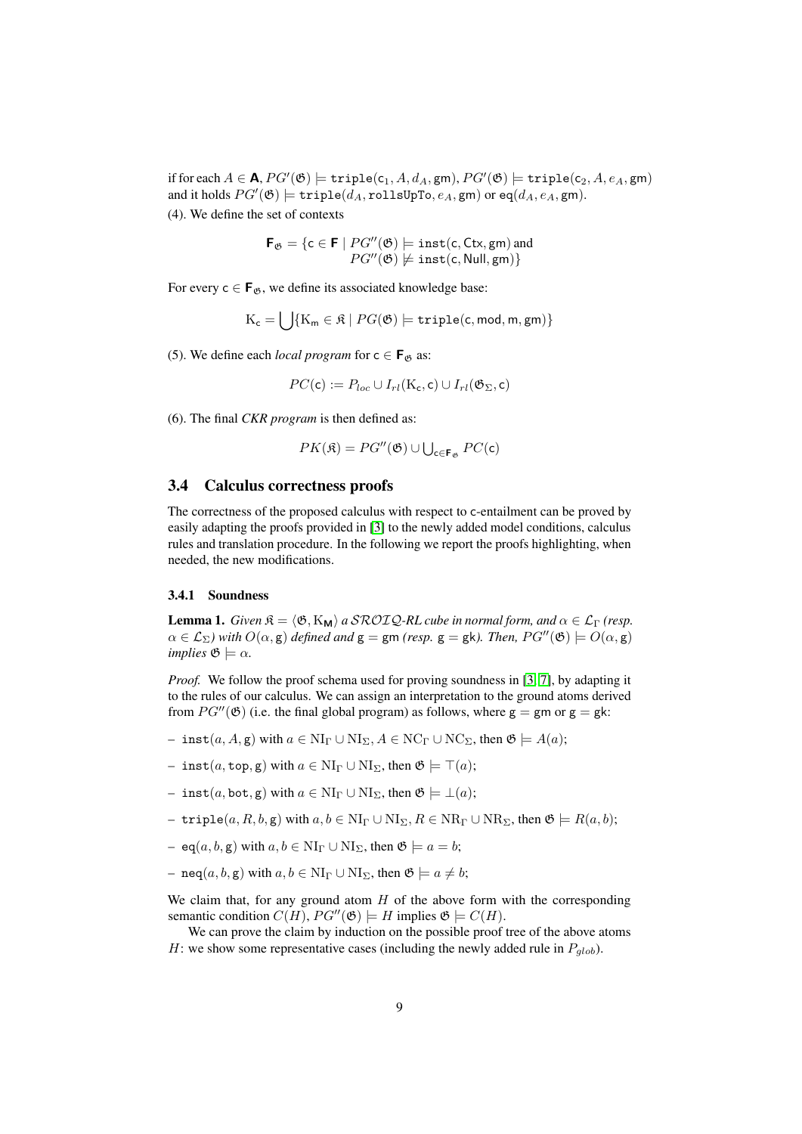if for each  $A \in \mathsf{A}$ ,  $PG'(\mathfrak{G}) \models \texttt{triple}(\mathsf{c}_1, A, d_A, \mathsf{gm}), PG'(\mathfrak{G}) \models \texttt{triple}(\mathsf{c}_2, A, e_A, \mathsf{gm})$ and it holds  $PG'(\mathfrak{G})\models \mathtt{triple}(d_A, \mathtt{rollsUpTo}, e_A, \mathtt{gm})$  or  $\mathtt{eq}(d_A, e_A, \mathtt{gm}).$ (4). We define the set of contexts

$$
\mathbf{F}_{\mathfrak{G}} = \{ \mathsf{c} \in \mathbf{F} \mid PG''(\mathfrak{G}) \models \mathtt{inst}(\mathsf{c}, \mathsf{Ctx}, \mathsf{gm}) \text{ and } \\ PG''(\mathfrak{G}) \not\models \mathtt{inst}(\mathsf{c}, \mathsf{Null}, \mathsf{gm}) \}
$$

For every  $c \in \mathbf{F}_{\mathfrak{G}}$ , we define its associated knowledge base:

$$
\mathrm{K}_{\mathsf{c}}=\bigcup\{\mathrm{K}_{\mathsf{m}}\in\mathfrak{K}\mid PG(\mathfrak{G})\models \mathtt{triple}(\mathsf{c},\mathsf{mod},\mathsf{m},\mathsf{gm})\}
$$

(5). We define each *local program* for  $c \in \mathbf{F}_{\mathfrak{G}}$  as:

$$
PC(\mathsf{c}) := P_{loc} \cup I_{rl}(\mathrm{K}_\mathsf{c}, \mathsf{c}) \cup I_{rl}(\mathfrak{G}_\Sigma, \mathsf{c})
$$

(6). The final *CKR program* is then defined as:

$$
PK(\mathfrak{K})=PG''(\mathfrak{G})\cup\bigcup\nolimits_{\mathsf{c}\in\mathbf{F}_{\mathfrak{G}}}PC(\mathsf{c})
$$

#### <span id="page-8-0"></span>3.4 Calculus correctness proofs

The correctness of the proposed calculus with respect to c-entailment can be proved by easily adapting the proofs provided in [\[3\]](#page-69-2) to the newly added model conditions, calculus rules and translation procedure. In the following we report the proofs highlighting, when needed, the new modifications.

#### <span id="page-8-1"></span>3.4.1 Soundness

<span id="page-8-2"></span>**Lemma 1.** *Given*  $\mathcal{R} = \langle \mathfrak{G}, K_{\mathbf{M}} \rangle$  *a SROIQ-RL cube in normal form, and*  $\alpha \in \mathcal{L}_{\Gamma}$  *(resp.*  $\alpha \in \mathcal{L}_{\Sigma}$ ) with  $O(\alpha, \mathbf{g})$  *defined and*  $\mathbf{g} = \mathbf{g} \mathsf{m}$  *(resp.*  $\mathbf{g} = \mathbf{g} \mathsf{k}$ ). Then,  $PG''(\mathfrak{G}) \models O(\alpha, \mathbf{g})$ *implies*  $\mathfrak{G} \models \alpha$ *.* 

*Proof.* We follow the proof schema used for proving soundness in [\[3,](#page-69-2) [7\]](#page-69-6), by adapting it to the rules of our calculus. We can assign an interpretation to the ground atoms derived from  $PG''(\mathfrak{G})$  (i.e. the final global program) as follows, where  $g = gm$  or  $g = gk$ :

- inst(a, A, g) with  $a \in NI_{\Gamma} \cup NI_{\Sigma}$ ,  $A \in NC_{\Gamma} \cup NC_{\Sigma}$ , then  $\mathfrak{G} \models A(a)$ ;
- inst(*a*, top, g) with *a* ∈ NI<sub>Γ</sub> ∪ NI<sub>Σ</sub>, then  $\mathfrak{G}$   $\models$  ⊤(*a*);
- inst(a, bot, g) with  $a \in NI_\Gamma \cup NI_\Sigma$ , then  $\mathfrak{G} \models \bot(a);$
- triple $(a, R, b, g)$  with  $a, b \in NI_\Gamma \cup NI_\Sigma$ ,  $R \in NR_\Gamma \cup NR_\Sigma$ , then  $\mathfrak{G} \models R(a, b);$
- eq(a, b, g) with  $a, b \in NI_{\Gamma} \cup NI_{\Sigma}$ , then  $\mathfrak{G} \models a = b$ ;
- neq(a, b, g) with  $a, b \in NI_{\Gamma} \cup NI_{\Sigma}$ , then  $\mathfrak{G} \models a \neq b$ ;

We claim that, for any ground atom  $H$  of the above form with the corresponding semantic condition  $C(H)$ ,  $PG''(\mathfrak{G}) \models H$  implies  $\mathfrak{G} \models C(H)$ .

We can prove the claim by induction on the possible proof tree of the above atoms H: we show some representative cases (including the newly added rule in  $P_{glob}$ ).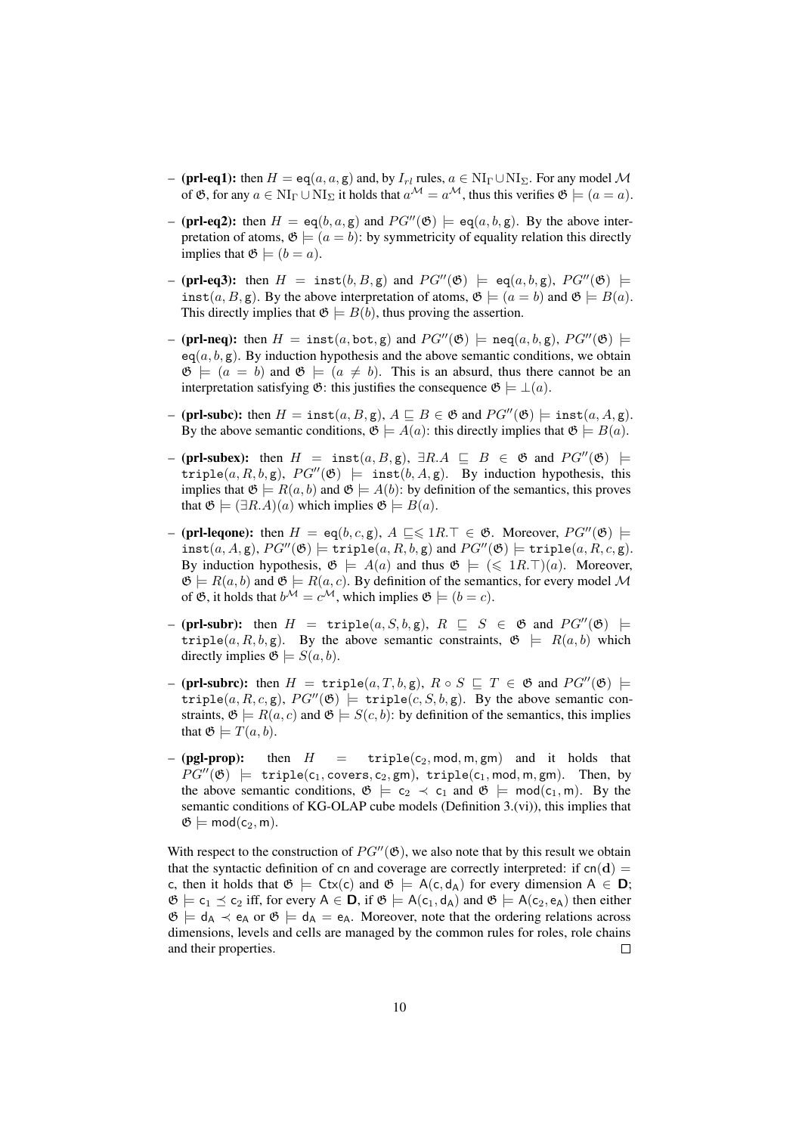- (**prl-eq1):** then  $H = \text{eq}(a, a, g)$  and, by  $I_{rl}$  rules,  $a \in NI_\Gamma \cup NI_\Sigma$ . For any model M of  $\mathfrak{G}$ , for any  $a \in \text{NI}_{\Gamma} \cup \text{NI}_{\Sigma}$  it holds that  $a^{\mathcal{M}} = a^{\mathcal{M}}$ , thus this verifies  $\mathfrak{G} \models (a = a)$ .
- (prl-eq2): then  $H = \text{eq}(b, a, g)$  and  $PG''(\mathfrak{G}) \models \text{eq}(a, b, g)$ . By the above interpretation of atoms,  $\mathfrak{G} \models (a = b)$ : by symmetricity of equality relation this directly implies that  $\mathfrak{G} \models (b = a)$ .
- (prl-eq3): then  $H = \text{inst}(b, B, g)$  and  $PG''(\mathfrak{G})$   $\models$  eq(a, b, g),  $PG''(\mathfrak{G})$   $\models$ inst(a, B, g). By the above interpretation of atoms,  $\mathfrak{G} \models (a = b)$  and  $\mathfrak{G} \models B(a)$ . This directly implies that  $\mathfrak{G} \models B(b)$ , thus proving the assertion.
- (prl-neq): then  $H = \text{inst}(a, \text{bot}, g)$  and  $PG''(\mathfrak{G}) \models \text{neg}(a, b, g)$ ,  $PG''(\mathfrak{G}) \models$  $eq(a, b, g)$ . By induction hypothesis and the above semantic conditions, we obtain  $\mathfrak{G} \models (a = b)$  and  $\mathfrak{G} \models (a \neq b)$ . This is an absurd, thus there cannot be an interpretation satisfying  $\mathfrak{G}$ : this justifies the consequence  $\mathfrak{G} \models \bot(a)$ .
- (prl-subc): then  $H = \text{inst}(a, B, g)$ ,  $A \sqsubseteq B \in \mathfrak{G}$  and  $PG''(\mathfrak{G}) \models \text{inst}(a, A, g)$ . By the above semantic conditions,  $\mathfrak{G} \models A(a)$ : this directly implies that  $\mathfrak{G} \models B(a)$ .
- (prl-subex): then  $H = \text{inst}(a, B, g)$ ,  $\exists R.A \sqsubseteq B \in \mathfrak{G}$  and  $PG''(\mathfrak{G})$   $\models$ triple(a, R, b, g),  $PG''(\mathfrak{G})$  = inst(b, A, g). By induction hypothesis, this implies that  $\mathfrak{G} \models R(a, b)$  and  $\mathfrak{G} \models A(b)$ : by definition of the semantics, this proves that  $\mathfrak{G} \models (\exists R.A)(a)$  which implies  $\mathfrak{G} \models B(a)$ .
- (prl-leqone): then  $H = \text{eq}(b, c, g)$ ,  $A \subseteq \leq 1R$ .  $\top \in \mathfrak{G}$ . Moreover,  $PG''(\mathfrak{G})$   $\models$  $\texttt{inst}(a, A, \mathsf{g}), PG''(\mathfrak{G}) \models \texttt{triple}(a, R, b, \mathsf{g}) \text{ and } PG''(\mathfrak{G}) \models \texttt{triple}(a, R, c, \mathsf{g}).$ By induction hypothesis,  $\mathfrak{G} \models A(a)$  and thus  $\mathfrak{G} \models (\leq 1R.\top)(a)$ . Moreover,  $\mathfrak{G} \models R(a, b)$  and  $\mathfrak{G} \models R(a, c)$ . By definition of the semantics, for every model M of  $\mathfrak{G}$ , it holds that  $b^{\mathcal{M}} = c^{\mathcal{M}}$ , which implies  $\mathfrak{G} \models (b = c)$ .
- (prl-subr): then  $H = \text{triple}(a, S, b, g), R \subseteq S \in \mathfrak{G}$  and  $PG''(\mathfrak{G}) \models$ triple(a, R, b, g). By the above semantic constraints,  $\mathfrak{G} \models R(a, b)$  which directly implies  $\mathfrak{G} \models S(a, b)$ .
- (prl-subrc): then  $H = \text{triple}(a, T, b, g), R \circ S \subseteq T \in \mathfrak{G}$  and  $PG''(\mathfrak{G}) \models$ triple(a, R, c, g),  $PG''(\mathfrak{G})$   $\models$  triple(c, S, b, g). By the above semantic constraints,  $\mathfrak{G} \models R(a, c)$  and  $\mathfrak{G} \models S(c, b)$ : by definition of the semantics, this implies that  $\mathfrak{G} \models T(a, b)$ .
- (pgl-prop): then  $H = \text{triple}(c_2, \text{mod}, m, gm)$  and it holds that  $PG''(\mathfrak{G}) \models \text{triple}(c_1, \text{covers}, c_2, \text{gm}), \text{triple}(c_1, \text{mod}, \text{m}, \text{gm}).$  Then, by the above semantic conditions,  $\mathfrak{G} \models c_2 \prec c_1$  and  $\mathfrak{G} \models \text{mod}(c_1, m)$ . By the semantic conditions of KG-OLAP cube models (Definition 3.(vi)), this implies that  $\mathfrak{G} \models \text{mod}(c_2, m).$

With respect to the construction of  $PG''(\mathfrak{G})$ , we also note that by this result we obtain that the syntactic definition of cn and coverage are correctly interpreted: if  $cn(d)$  = c, then it holds that  $\mathfrak{G} \models \mathsf{Ctx}(c)$  and  $\mathfrak{G} \models A(c, d_A)$  for every dimension  $A \in \mathbf{D}$ ;  $\mathfrak{G} \models \mathsf{c}_1 \preceq \mathsf{c}_2$  iff, for every  $\mathsf{A} \in \mathsf{D}$ , if  $\mathfrak{G} \models \mathsf{A}(\mathsf{c}_1, \mathsf{d}_\mathsf{A})$  and  $\mathfrak{G} \models \mathsf{A}(\mathsf{c}_2, \mathsf{e}_\mathsf{A})$  then either  $\mathfrak{G} \models d_A \prec e_A$  or  $\mathfrak{G} \models d_A = e_A$ . Moreover, note that the ordering relations across dimensions, levels and cells are managed by the common rules for roles, role chains and their properties.  $\Box$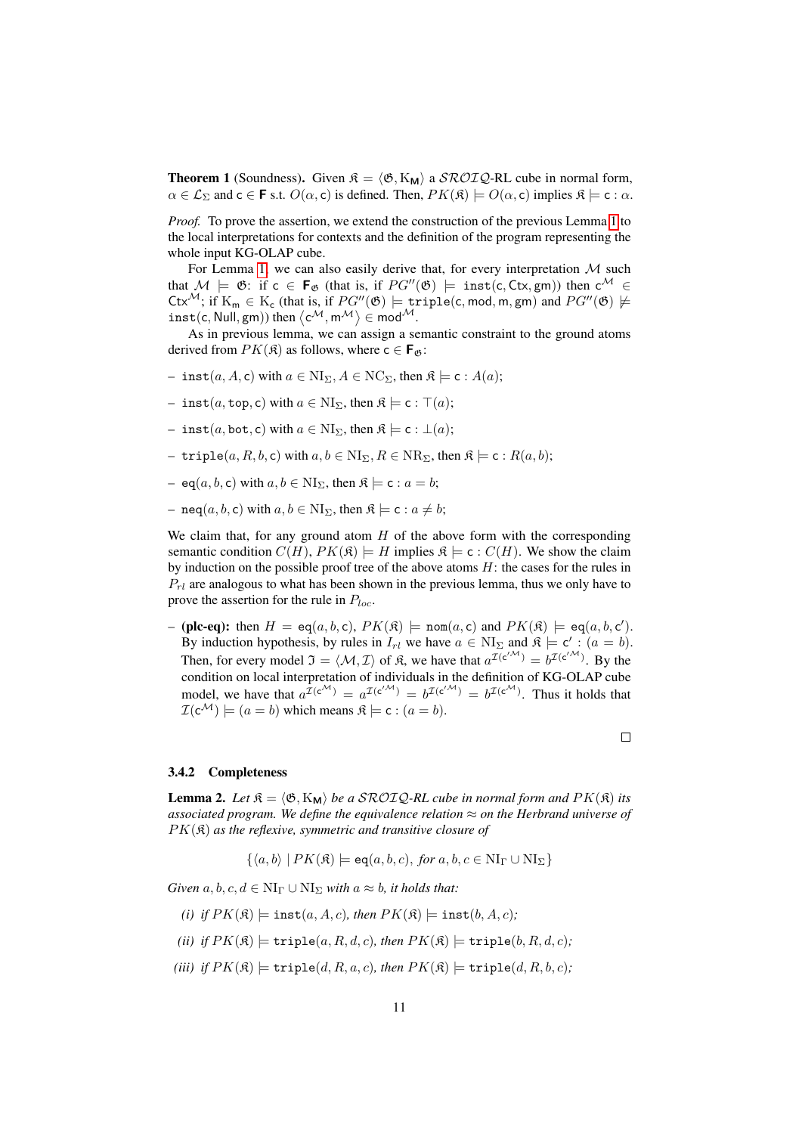<span id="page-10-2"></span>**Theorem 1** (Soundness). Given  $\mathcal{R} = \langle \mathfrak{G}, K_{\mathbf{M}} \rangle$  a  $\mathcal{SROLQ}\text{-RL}$  cube in normal form,  $\alpha \in \mathcal{L}_{\Sigma}$  and  $c \in \mathbf{F}$  s.t.  $O(\alpha, c)$  is defined. Then,  $PK(\mathfrak{K}) \models O(\alpha, c)$  implies  $\mathfrak{K} \models c : \alpha$ .

*Proof.* To prove the assertion, we extend the construction of the previous Lemma [1](#page-8-2) to the local interpretations for contexts and the definition of the program representing the whole input KG-OLAP cube.

For Lemma [1,](#page-8-2) we can also easily derive that, for every interpretation  $M$  such that  $M \models \mathfrak{G}$ : if  $c \in \mathbf{F}_{\mathfrak{G}}$  (that is, if  $PG''(\mathfrak{G}) \models \text{inst}(c, Ctx, gm)$ ) then  $c^{\mathcal{M}} \in$ Ctx<sup>M</sup>; if  $K_m \in K_c$  (that is, if  $PG''(\mathfrak{G}) \models \text{triple}(c, \text{mod}, m, gm)$  and  $PG''(\mathfrak{G}) \not\models$  $inst(c, Null, gm))$  then  $\langle c^{\mathcal{M}}, m^{\mathcal{M}} \rangle \in mod^{\mathcal{M}}$ .

As in previous lemma, we can assign a semantic constraint to the ground atoms derived from  $PK(\mathfrak{K})$  as follows, where  $c \in \mathbf{F}_{\mathfrak{G}}$ :

- inst $(a, A, c)$  with  $a \in NI_{\Sigma}$ ,  $A \in NC_{\Sigma}$ , then  $\mathfrak{K} \models c : A(a)$ ;
- inst(a, top, c) with  $a \in NI_{\Sigma}$ , then  $\mathfrak{K} \models c : \top(a);$
- inst(a, bot, c) with  $a \in NI_{\Sigma}$ , then  $\mathfrak{K} \models c : \bot(a);$
- triple $(a, R, b, c)$  with  $a, b \in \text{NI}_{\Sigma}$ ,  $R \in \text{NR}_{\Sigma}$ , then  $\mathfrak{K} \models c : R(a, b);$
- eq(a, b, c) with  $a, b \in N I_{\Sigma}$ , then  $\mathfrak{K} \models c : a = b$ ;
- neq(a, b, c) with  $a, b \in NI_{\Sigma}$ , then  $\mathfrak{K} \models c : a \neq b$ ;

We claim that, for any ground atom  $H$  of the above form with the corresponding semantic condition  $C(H)$ ,  $PK(\mathfrak{K}) \models H$  implies  $\mathfrak{K} \models c : C(H)$ . We show the claim by induction on the possible proof tree of the above atoms  $H$ : the cases for the rules in  $P_{rl}$  are analogous to what has been shown in the previous lemma, thus we only have to prove the assertion for the rule in  $P_{loc}$ .

- (plc-eq): then  $H = \text{eq}(a, b, c)$ ,  $PK(\mathfrak{K})$   $\models$  nom $(a, c)$  and  $PK(\mathfrak{K})$   $\models$  eq $(a, b, c')$ . By induction hypothesis, by rules in  $I_{rl}$  we have  $a \in NI_{\Sigma}$  and  $\mathfrak{K} \models c' : (a = b)$ . Then, for every model  $\mathfrak{I} = \langle \mathcal{M}, \mathcal{I} \rangle$  of  $\mathfrak{K}$ , we have that  $a^{\mathcal{I}(c^{/\mathcal{M}})} = b^{\mathcal{I}(c^{/\mathcal{M}})}$ . By the condition on local interpretation of individuals in the definition of KG-OLAP cube model, we have that  $a^{\mathcal{I}(c^{\mathcal{M}})} = a^{\mathcal{I}(c^{\mathcal{M}})} = b^{\mathcal{I}(c^{\mathcal{M}})} = b^{\mathcal{I}(c^{\mathcal{M}})}$ . Thus it holds that  $\mathcal{I}(c^{\mathcal{M}}) \models (a = b)$  which means  $\mathfrak{K} \models c : (a = b)$ .

 $\Box$ 

#### <span id="page-10-0"></span>3.4.2 Completeness

<span id="page-10-1"></span>**Lemma 2.** Let  $\mathfrak{K} = \langle \mathfrak{G}, K_{\mathbf{M}} \rangle$  *be a* SROIQ-RL cube in normal form and  $PK(\mathfrak{K})$  *its associated program. We define the equivalence relation* ≈ *on the Herbrand universe of* PK(K) *as the reflexive, symmetric and transitive closure of*

 $\{\langle a, b \rangle | PK(\mathfrak{K}) \models \mathsf{eq}(a, b, c), \text{ for } a, b, c \in \text{NI}_{\Gamma} \cup \text{NI}_{\Sigma}\}\$ 

*Given*  $a, b, c, d \in NI_{\Gamma} \cup NI_{\Sigma}$  *with*  $a \approx b$ *, it holds that:* 

- *(i) if*  $PK(\mathfrak{K}) \models \text{inst}(a, A, c)$ *, then*  $PK(\mathfrak{K}) \models \text{inst}(b, A, c)$ *;*
- *(ii) if*  $PK(\mathfrak{K}) \models \text{triple}(a, R, d, c)$ *, then*  $PK(\mathfrak{K}) \models \text{triple}(b, R, d, c)$ *;*
- (*iii*) *if*  $PK(\mathfrak{K}) \models \text{triple}(d, R, a, c)$ *, then*  $PK(\mathfrak{K}) \models \text{triple}(d, R, b, c)$ *;*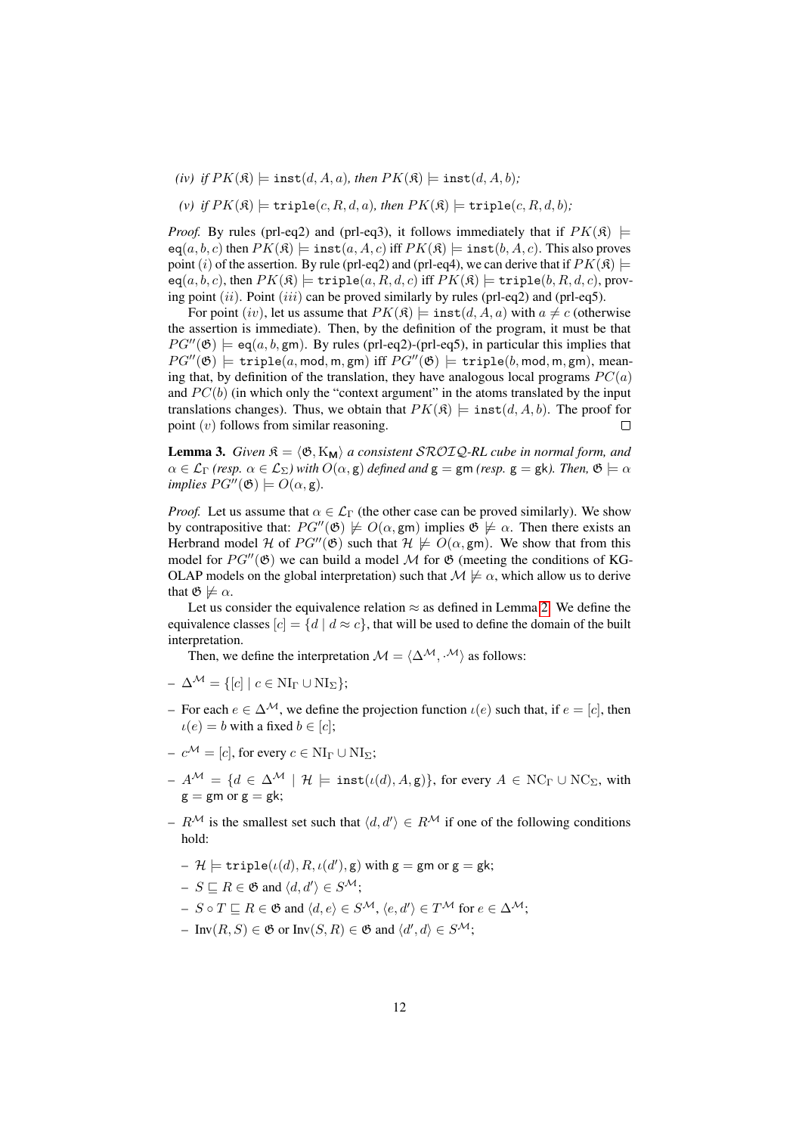- *(iv) if*  $PK(\mathfrak{K}) \models \text{inst}(d, A, a)$ *, then*  $PK(\mathfrak{K}) \models \text{inst}(d, A, b)$ *;*
- (*v*) *if*  $PK(\mathfrak{K}) \models \text{triple}(c, R, d, a)$ *, then*  $PK(\mathfrak{K}) \models \text{triple}(c, R, d, b)$ *;*

*Proof.* By rules (prl-eq2) and (prl-eq3), it follows immediately that if  $PK(\mathfrak{K})$   $\models$  $eq(a, b, c)$  then  $PK(\mathfrak{K}) \models \text{inst}(a, A, c)$  iff  $PK(\mathfrak{K}) \models \text{inst}(b, A, c)$ . This also proves point (i) of the assertion. By rule (prl-eq2) and (prl-eq4), we can derive that if  $PK(\mathcal{R}) \models$  $eq(a, b, c)$ , then  $PK(\mathfrak{K}) \models \texttt{triple}(a, R, d, c)$  iff  $PK(\mathfrak{K}) \models \texttt{triple}(b, R, d, c)$ , proving point  $(ii)$ . Point  $(iii)$  can be proved similarly by rules (prl-eq2) and (prl-eq5).

For point (iv), let us assume that  $PK(\mathcal{R}) \models \text{inst}(d, A, a)$  with  $a \neq c$  (otherwise the assertion is immediate). Then, by the definition of the program, it must be that  $PG''(\mathfrak{G}) \models eq(a, b, gm)$ . By rules (prl-eq2)-(prl-eq5), in particular this implies that  $PG''(\mathfrak{G})$  = triple(a, mod, m, gm) iff  $PG''(\mathfrak{G})$  = triple(b, mod, m, gm), meaning that, by definition of the translation, they have analogous local programs  $PC(a)$ and  $PC(b)$  (in which only the "context argument" in the atoms translated by the input translations changes). Thus, we obtain that  $PK(\mathfrak{K}) \models \text{inst}(d, A, b)$ . The proof for point  $(v)$  follows from similar reasoning. П

<span id="page-11-0"></span>**Lemma 3.** *Given*  $\mathfrak{K} = \langle \mathfrak{G}, K_{\mathbf{M}} \rangle$  *a consistent* SROIQ-RL *cube in normal form, and*  $\alpha \in \mathcal{L}_{\Gamma}$  *(resp.*  $\alpha \in \mathcal{L}_{\Sigma}$ ) with  $O(\alpha, \mathbf{g})$  defined and  $\mathbf{g} = \mathbf{g} \mathbf{m}$  *(resp.*  $\mathbf{g} = \mathbf{g} \mathbf{k}$ ). Then,  $\mathfrak{G} \models \alpha$ *implies*  $PG''(\mathfrak{G}) \models O(\alpha, \mathsf{g})$ *.* 

*Proof.* Let us assume that  $\alpha \in \mathcal{L}_{\Gamma}$  (the other case can be proved similarly). We show by contrapositive that:  $PG''(\mathfrak{G}) \not\models O(\alpha, \text{gm})$  implies  $\mathfrak{G} \not\models \alpha$ . Then there exists an Herbrand model H of  $PG''(\mathfrak{G})$  such that  $\mathcal{H} \not\models O(\alpha, \text{gm})$ . We show that from this model for  $PG''(\mathfrak{G})$  we can build a model M for  $\mathfrak{G}$  (meeting the conditions of KG-OLAP models on the global interpretation) such that  $M \not\models \alpha$ , which allow us to derive that  $\mathfrak{G} \not\models \alpha$ .

Let us consider the equivalence relation  $\approx$  as defined in Lemma [2.](#page-10-1) We define the equivalence classes  $[c] = \{d \mid d \approx c\}$ , that will be used to define the domain of the built interpretation.

Then, we define the interpretation  $\mathcal{M} = \langle \Delta^{\mathcal{M}}, \cdot^{\mathcal{M}} \rangle$  as follows:

- $-\Delta^{\mathcal{M}} = \{ [c] \mid c \in \text{NI}_{\Gamma} \cup \text{NI}_{\Sigma} \};$
- For each  $e \in \Delta^{\mathcal{M}}$ , we define the projection function  $\iota(e)$  such that, if  $e = [c]$ , then  $\iota(e) = b$  with a fixed  $b \in [c]$ ;
- $-c^{\mathcal{M}} = [c]$ , for every  $c \in NI_{\Gamma} \cup NI_{\Sigma}$ ;
- $A^{\mathcal{M}} = \{d \in \Delta^{\mathcal{M}} \mid \mathcal{H} \models \text{inst}(\iota(d), A, \mathbf{g})\}\$ , for every  $A \in \text{NC}_{\Gamma} \cup \text{NC}_{\Sigma}$ , with  $g = gm$  or  $g = gk$ ;
- $R^{\mathcal{M}}$  is the smallest set such that  $\langle d, d' \rangle \in R^{\mathcal{M}}$  if one of the following conditions hold:
	- $\mathcal{H} \models \texttt{triple}(\iota(d), R, \iota(d'), \mathsf{g}) \text{ with } \mathsf{g}=\mathsf{g}\mathsf{m} \text{ or } \mathsf{g}=\mathsf{g}\mathsf{k};$
	- $S \sqsubseteq R \in \mathfrak{G}$  and  $\langle d, d' \rangle \in S^{\mathcal{M}};$
	- $S \circ T \sqsubseteq R \in \mathfrak{G}$  and  $\langle d, e \rangle \in S^{\mathcal{M}}, \langle e, d' \rangle \in T^{\mathcal{M}}$  for  $e \in \Delta^{\mathcal{M}}$ ;
	- $\text{ Inv}(R, S) \in \mathfrak{G} \text{ or } \text{Inv}(S, R) \in \mathfrak{G} \text{ and } \langle d', d \rangle \in S^{\mathcal{M}};$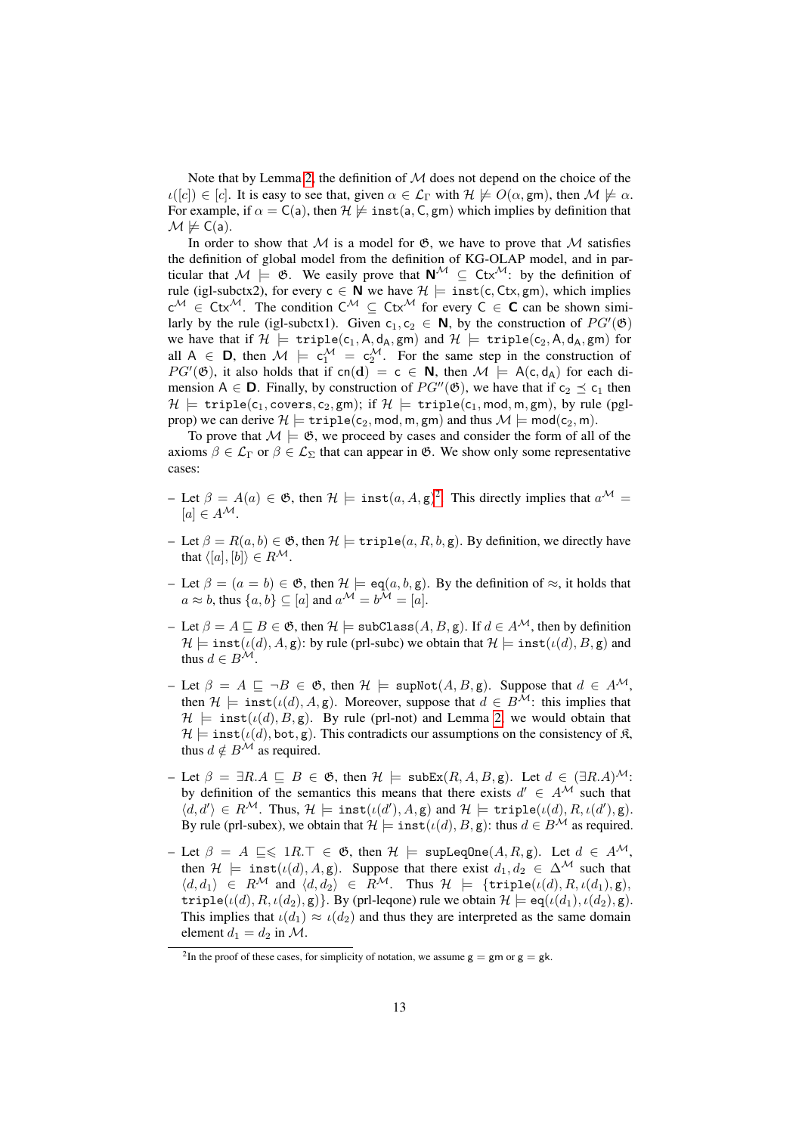Note that by Lemma [2,](#page-10-1) the definition of  $M$  does not depend on the choice of the  $u([c]) \in [c]$ . It is easy to see that, given  $\alpha \in \mathcal{L}_{\Gamma}$  with  $\mathcal{H} \not\models O(\alpha, \text{gm})$ , then  $\mathcal{M} \not\models \alpha$ . For example, if  $\alpha = C(a)$ , then  $\mathcal{H} \not\models \text{inst}(a, C, gm)$  which implies by definition that  $M \not\models C(a)$ .

In order to show that  $M$  is a model for  $\mathfrak{G}$ , we have to prove that  $M$  satisfies the definition of global model from the definition of KG-OLAP model, and in particular that  $M \models \mathfrak{G}$ . We easily prove that  $\mathbf{N}^{\mathcal{M}} \subseteq Ctx^{\mathcal{M}}$ : by the definition of rule (igl-subctx2), for every  $c \in \mathbb{N}$  we have  $\mathcal{H} \models \text{inst}(c, Ctx, gm)$ , which implies  $c^{\mathcal{M}} \in Ctx^{\mathcal{M}}$ . The condition  $C^{\mathcal{M}} \subseteq Ctx^{\mathcal{M}}$  for every  $C \in \mathbf{C}$  can be shown similarly by the rule (igl-subctx1). Given  $c_1, c_2 \in \mathbb{N}$ , by the construction of  $PG'(\mathfrak{G})$ we have that if  $\mathcal{H} \models \mathtt{triple}(\mathsf{c}_1, \mathsf{A}, \mathsf{d}_\mathsf{A}, \mathtt{gm})$  and  $\mathcal{H} \models \mathtt{triple}(\mathsf{c}_2, \mathsf{A}, \mathsf{d}_\mathsf{A}, \mathtt{gm})$  for all  $A \in D$ , then  $M \models c_1^M = c_2^M$ . For the same step in the construction of  $PG'(\mathfrak{G})$ , it also holds that if cn(d) = c  $\in \mathbb{N}$ , then  $\mathcal{M} \models A(c, d_A)$  for each dimension A  $\in$  **D**. Finally, by construction of  $PG''(\mathfrak{G})$ , we have that if  $c_2 \preceq c_1$  then  $\mathcal{H} \models \text{triple}(c_1, \text{covers}, c_2, \text{gm}); \text{ if } \mathcal{H} \models \text{triple}(c_1, \text{mod}, \text{m}, \text{gm}), \text{ by rule (pgl-}$ prop) we can derive  $\mathcal{H} \models \text{triple}(c_2, \text{mod}, m, \text{gm})$  and thus  $\mathcal{M} \models \text{mod}(c_2, m)$ .

To prove that  $M \models \mathfrak{G}$ , we proceed by cases and consider the form of all of the axioms  $\beta \in \mathcal{L}_{\Gamma}$  or  $\beta \in \mathcal{L}_{\Sigma}$  that can appear in  $\mathfrak{G}$ . We show only some representative cases:

- $-$  Let  $\beta = A(a) \in \mathfrak{G}$ , then  $\mathcal{H} \models \text{inst}(a, A, g)^2$  $\mathcal{H} \models \text{inst}(a, A, g)^2$ . This directly implies that  $a^{\mathcal{M}} =$  $[a] \in A^{\mathcal{M}}$ .
- Let  $\beta = R(a, b) \in \mathfrak{G}$ , then  $\mathcal{H} \models \text{triple}(a, R, b, g)$ . By definition, we directly have that  $\langle [a], [b] \rangle \in R^{\mathcal{M}}$ .
- Let  $\beta = (a = b) \in \mathfrak{G}$ , then  $\mathcal{H} \models \text{eq}(a, b, \text{g})$ . By the definition of  $\approx$ , it holds that  $a \approx b$ , thus  $\{a, b\} \subset [a]$  and  $a^{\mathcal{M}} = b^{\mathcal{M}} = [a]$ .
- Let  $\beta = A \sqsubseteq B \in \mathfrak{G}$ , then  $\mathcal{H} \models \text{subClass}(A, B, \text{g})$ . If  $d \in A^{\mathcal{M}}$ , then by definition  $\mathcal{H} \models \texttt{inst}(\iota(d), A, \mathsf{g})$ : by rule (prl-subc) we obtain that  $\mathcal{H} \models \texttt{inst}(\iota(d), B, \mathsf{g})$  and thus  $d \in B^{\mathcal{M}}$ .
- Let  $\beta = A \sqsubset \neg B \in \mathfrak{G}$ , then  $\mathcal{H} \models \text{supNot}(A, B, \text{g})$ . Suppose that  $d \in A^{\mathcal{M}}$ , then  $\mathcal{H} \models \texttt{inst}(\iota(d), A, g)$ . Moreover, suppose that  $d \in B^{\mathcal{M}}$ : this implies that  $\mathcal{H} \models \text{inst}(\iota(d), B, \mathbf{g})$ . By rule (prl-not) and Lemma [2,](#page-10-1) we would obtain that  $\mathcal{H} \models \text{inst}(\iota(d), \text{bot}, g)$ . This contradicts our assumptions on the consistency of  $\mathcal{R}$ , thus  $d \notin B^{\mathcal{M}}$  as required.
- Let  $\beta = \exists R.A \sqsubseteq B \in \mathfrak{G}$ , then  $\mathcal{H} \models \text{subEx}(R, A, B, \text{g})$ . Let  $d \in (\exists R.A)^{\mathcal{M}}$ : by definition of the semantics this means that there exists  $d' \in A^{\mathcal{M}}$  such that  $\langle d, d' \rangle \in R^{\mathcal{M}}$ . Thus,  $\mathcal{H} \models \texttt{inst}(\iota(d'), A, \mathsf{g})$  and  $\mathcal{H} \models \texttt{triple}(\iota(d), R, \iota(d'), \mathsf{g})$ . By rule (prl-subex), we obtain that  $\mathcal{H} \models \text{inst}(\iota(d), B, \mathsf{g})$ : thus  $d \in B^{\mathcal{M}}$  as required.
- Let  $\beta = A \subseteq \leq 1R.\top \in \mathfrak{G}$ , then  $\mathcal{H} \models \text{supLeqOne}(A, R, \text{g})$ . Let  $d \in A^{\mathcal{M}}$ , then  $\mathcal{H} \models \text{inst}(\iota(d), A, g)$ . Suppose that there exist  $d_1, d_2 \in \Delta^{\mathcal{M}}$  such that  $\langle d, d_1 \rangle \in R^{\mathcal{M}}$  and  $\langle d, d_2 \rangle \in R^{\mathcal{M}}$ . Thus  $\mathcal{H} \models \{\text{triple}(\iota(d), R, \iota(d_1), g),\}$  $\text{triple}(\iota(d), R, \iota(d_2), g)\}.$  By (prl-leqone) rule we obtain  $\mathcal{H} \models \text{eq}(\iota(d_1), \iota(d_2), g).$ This implies that  $\iota(d_1) \approx \iota(d_2)$  and thus they are interpreted as the same domain element  $d_1 = d_2$  in M.

<span id="page-12-0"></span><sup>&</sup>lt;sup>2</sup>In the proof of these cases, for simplicity of notation, we assume  $g = gm$  or  $g = gk$ .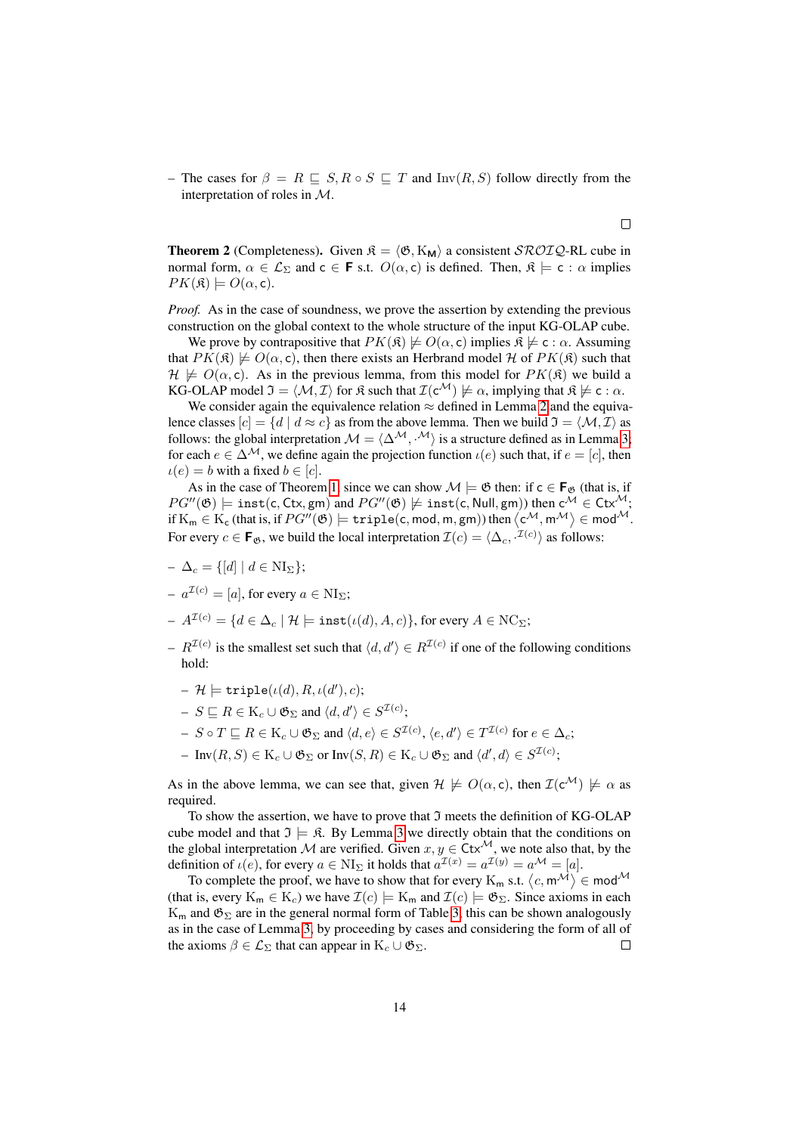– The cases for  $\beta = R \sqsubseteq S, R \circ S \sqsubseteq T$  and  $Inv(R, S)$  follow directly from the interpretation of roles in M.

**Theorem 2** (Completeness). Given  $\mathcal{R} = \langle \mathcal{B}, K_{\mathbf{M}} \rangle$  a consistent  $\mathcal{SROLQ}\text{-RL}$  cube in normal form,  $\alpha \in \mathcal{L}_{\Sigma}$  and  $c \in \mathbf{F}$  s.t.  $O(\alpha, c)$  is defined. Then,  $\mathfrak{K} \models c : \alpha$  implies  $PK(\mathfrak{K}) \models O(\alpha, \mathsf{c}).$ 

*Proof.* As in the case of soundness, we prove the assertion by extending the previous construction on the global context to the whole structure of the input KG-OLAP cube.

We prove by contrapositive that  $PK(\mathfrak{K}) \not\models O(\alpha, c)$  implies  $\mathfrak{K} \not\models c : \alpha$ . Assuming that  $PK(\mathfrak{K}) \not\models O(\alpha, \mathsf{c})$ , then there exists an Herbrand model H of  $PK(\mathfrak{K})$  such that  $\mathcal{H} \not\models O(\alpha, c)$ . As in the previous lemma, from this model for  $PK(\mathfrak{K})$  we build a KG-OLAP model  $\mathfrak{I} = \langle \mathcal{M}, \mathcal{I} \rangle$  for  $\mathfrak{K}$  such that  $\mathcal{I}(c^{\mathcal{M}}) \not\models \alpha$ , implying that  $\mathfrak{K} \not\models c : \alpha$ .

We consider again the equivalence relation  $\approx$  defined in Lemma [2](#page-10-1) and the equivalence classes  $[c] = \{d \mid d \approx c\}$  as from the above lemma. Then we build  $\mathfrak{I} = \langle \mathcal{M}, \mathcal{I} \rangle$  as follows: the global interpretation  $\mathcal{M} = \langle \Delta^{\mathcal{M}}, \cdot^{\mathcal{M}} \rangle$  is a structure defined as in Lemma [3;](#page-11-0) for each  $e \in \Delta^{\mathcal{M}}$ , we define again the projection function  $\iota(e)$  such that, if  $e = [c]$ , then  $u(e) = b$  with a fixed  $b \in [c]$ .

As in the case of Theorem [1,](#page-10-2) since we can show  $\mathcal{M} \models \mathfrak{G}$  then: if  $c \in \mathbf{F}_{\mathfrak{G}}$  (that is, if  $PG''(\mathfrak{G}) \models \texttt{inst(c,Ctx}, \texttt{gm})$  and  $PG''(\mathfrak{G}) \not\models \texttt{inst(c,Null}, \texttt{gm}))$  then  $\mathsf{c}^\mathcal{M} \in \texttt{Ctx}^\mathcal{M};$ if  $\mathrm{K}_\mathsf{m}\in\mathrm{K}_\mathsf{c}$  (that is, if  $PG''(\mathfrak{G})\models \texttt{triple}(\mathsf{c},\textsf{mod},\mathsf{m},\textsf{gm}))$  then  $\left\langle \mathsf{c}^\mathcal{M},\mathsf{m}^\mathcal{M}\right\rangle \in \textsf{mod}^\mathcal{M}.$ For every  $c \in \mathbf{F}_{\mathfrak{G}}$ , we build the local interpretation  $\mathcal{I}(c) = \langle \Delta_c, \cdot^{\mathcal{I}(c)} \rangle$  as follows:

- $-\Delta_c = \{[d] \mid d \in \text{NI}_{\Sigma}\};$
- $-a^{\mathcal{I}(c)} = [a]$ , for every  $a \in \text{NI}_{\Sigma}$ ;
- $-A^{\mathcal{I}(c)} = \{d \in \Delta_c \mid \mathcal{H} \models \texttt{inst}(\iota(d), A, c)\}\text{, for every }A \in \text{NC}_\Sigma;$
- $R^{I(c)}$  is the smallest set such that  $\langle d, d' \rangle \in R^{I(c)}$  if one of the following conditions hold:
	- $\mathcal{H} \models \texttt{triple}(\iota(d), R, \iota(d'), c);$
	- $S \sqsubseteq R \in \mathrm{K}_{c} \cup \mathfrak{G}_{\Sigma}$  and  $\langle d, d' \rangle \in S^{\mathcal{I}(c)}$ ;
	- $S \circ T \sqsubseteq R \in \mathcal{K}_c \cup \mathfrak{G}_{\Sigma}$  and  $\langle d, e \rangle \in S^{\mathcal{I}(c)}, \langle e, d' \rangle \in T^{\mathcal{I}(c)}$  for  $e \in \Delta_c$ ;
	- $\text{ Inv}(R, S) \in K_c \cup \mathfrak{G}_{\Sigma} \text{ or } \text{Inv}(S, R) \in K_c \cup \mathfrak{G}_{\Sigma} \text{ and } \langle d', d \rangle \in S^{\mathcal{I}(c)};$

As in the above lemma, we can see that, given  $\mathcal{H} \not\models O(\alpha, c)$ , then  $\mathcal{I}(c^{\mathcal{M}}) \not\models \alpha$  as required.

To show the assertion, we have to prove that  $\mathfrak I$  meets the definition of KG-OLAP cube model and that  $\mathfrak{I} \models \mathfrak{K}$ . By Lemma [3](#page-11-0) we directly obtain that the conditions on the global interpretation M are verified. Given  $x, y \in \text{Ctx}^{\mathcal{M}}$ , we note also that, by the definition of  $\iota(e)$ , for every  $a \in NI_{\Sigma}$  it holds that  $a^{\mathcal{I}(x)} = a^{\mathcal{I}(y)} = a^{\mathcal{M}} = [a]$ .

To complete the proof, we have to show that for every  $K_m$  s.t.  $\langle c, m^{\mathcal{M}} \rangle \in \text{mod}^{\mathcal{M}}$ (that is, every  $K_m \in K_c$ ) we have  $\mathcal{I}(c) \models K_m$  and  $\mathcal{I}(c) \models \mathfrak{G}_{\Sigma}$ . Since axioms in each  $K_m$  and  $\mathfrak{G}_{\Sigma}$  are in the general normal form of Table [3,](#page-5-0) this can be shown analogously as in the case of Lemma [3,](#page-11-0) by proceeding by cases and considering the form of all of the axioms  $\beta \in \mathcal{L}_{\Sigma}$  that can appear in  $K_c \cup \mathfrak{G}_{\Sigma}$ .  $\Box$ 

 $\Box$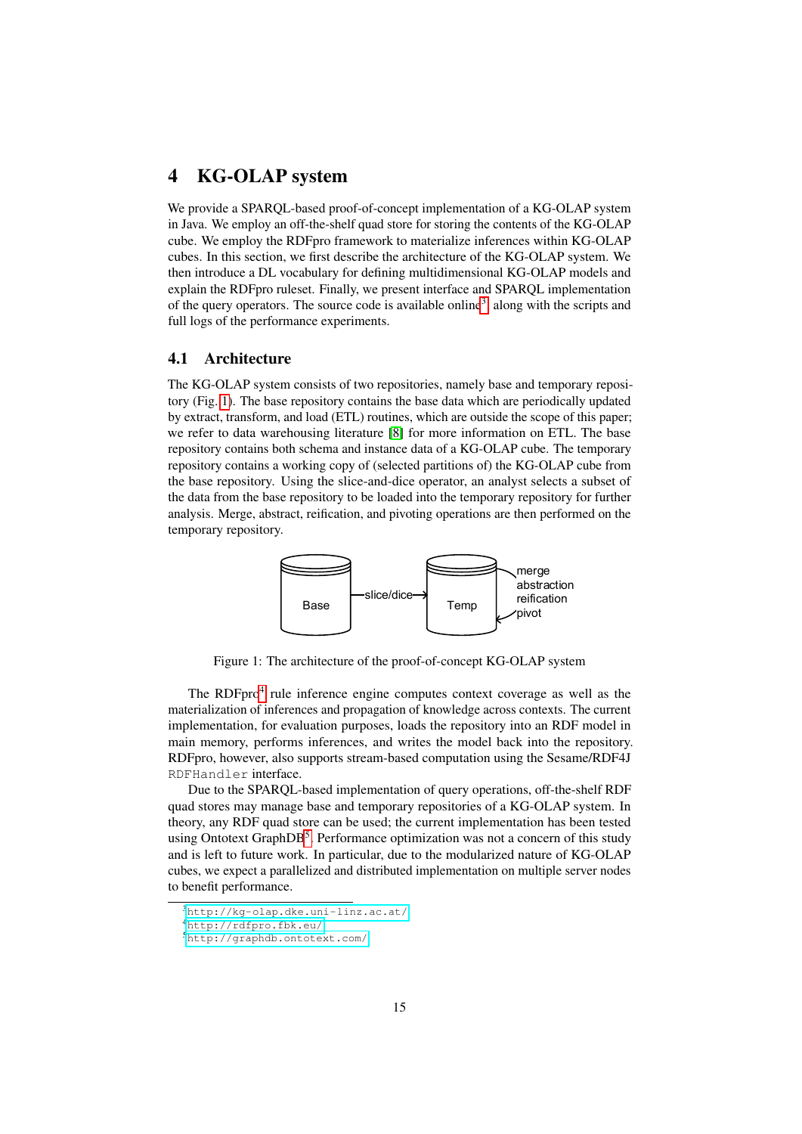# <span id="page-14-0"></span>4 KG-OLAP system

We provide a SPARQL-based proof-of-concept implementation of a KG-OLAP system in Java. We employ an off-the-shelf quad store for storing the contents of the KG-OLAP cube. We employ the RDFpro framework to materialize inferences within KG-OLAP cubes. In this section, we first describe the architecture of the KG-OLAP system. We then introduce a DL vocabulary for defining multidimensional KG-OLAP models and explain the RDFpro ruleset. Finally, we present interface and SPARQL implementation of the query operators. The source code is available online<sup>[3](#page-14-2)</sup>, along with the scripts and full logs of the performance experiments.

### <span id="page-14-1"></span>4.1 Architecture

The KG-OLAP system consists of two repositories, namely base and temporary repository (Fig. [1\)](#page-14-3). The base repository contains the base data which are periodically updated by extract, transform, and load (ETL) routines, which are outside the scope of this paper; we refer to data warehousing literature [\[8\]](#page-69-7) for more information on ETL. The base repository contains both schema and instance data of a KG-OLAP cube. The temporary repository contains a working copy of (selected partitions of) the KG-OLAP cube from the base repository. Using the slice-and-dice operator, an analyst selects a subset of the data from the base repository to be loaded into the temporary repository for further analysis. Merge, abstract, reification, and pivoting operations are then performed on the temporary repository.



<span id="page-14-3"></span>Figure 1: The architecture of the proof-of-concept KG-OLAP system

The RDFpro<sup>[4](#page-14-4)</sup> rule inference engine computes context coverage as well as the materialization of inferences and propagation of knowledge across contexts. The current implementation, for evaluation purposes, loads the repository into an RDF model in main memory, performs inferences, and writes the model back into the repository. RDFpro, however, also supports stream-based computation using the Sesame/RDF4J RDFHandler interface.

Due to the SPARQL-based implementation of query operations, off-the-shelf RDF quad stores may manage base and temporary repositories of a KG-OLAP system. In theory, any RDF quad store can be used; the current implementation has been tested using Ontotext GraphDB<sup>[5](#page-14-5)</sup>. Performance optimization was not a concern of this study and is left to future work. In particular, due to the modularized nature of KG-OLAP cubes, we expect a parallelized and distributed implementation on multiple server nodes to benefit performance.

<span id="page-14-2"></span><sup>3</sup><http://kg-olap.dke.uni-linz.ac.at/>

<span id="page-14-4"></span><sup>4</sup><http://rdfpro.fbk.eu/>

<span id="page-14-5"></span><sup>5</sup><http://graphdb.ontotext.com/>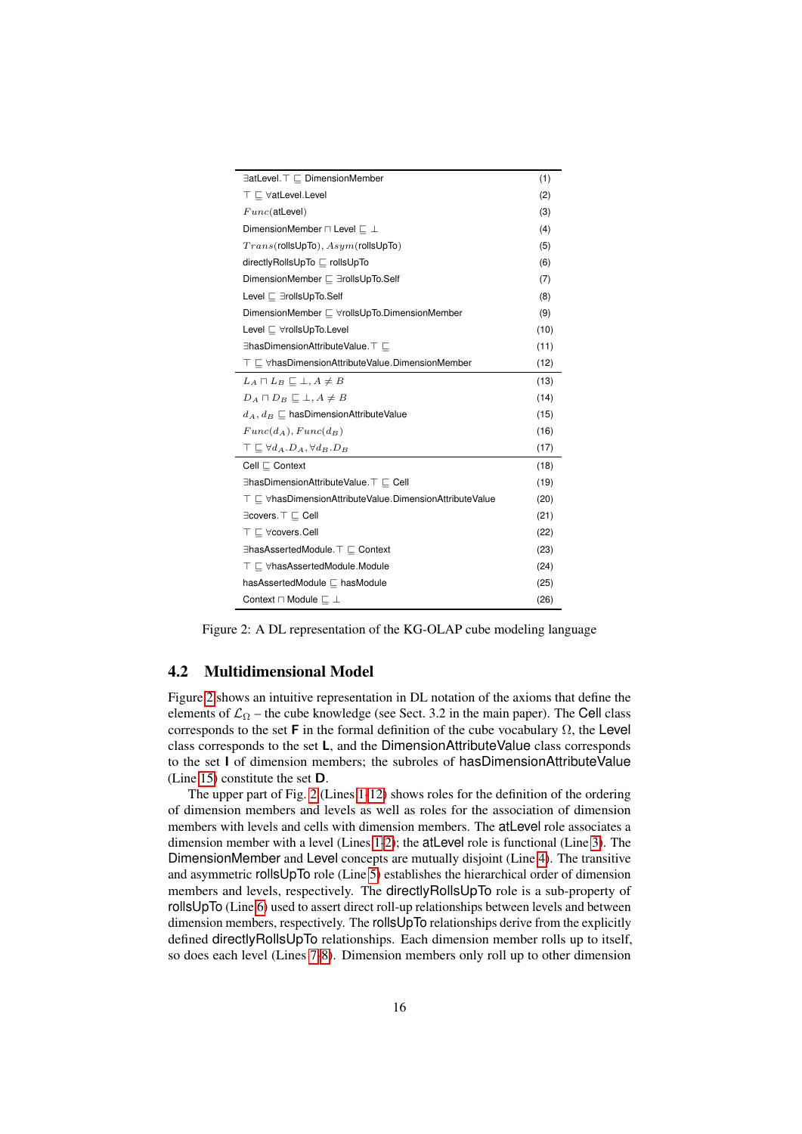<span id="page-15-17"></span><span id="page-15-15"></span><span id="page-15-14"></span><span id="page-15-13"></span><span id="page-15-12"></span><span id="page-15-11"></span><span id="page-15-10"></span><span id="page-15-9"></span><span id="page-15-8"></span><span id="page-15-7"></span><span id="page-15-6"></span><span id="page-15-5"></span><span id="page-15-4"></span><span id="page-15-3"></span><span id="page-15-2"></span>

|                                                                                       | (1)  |
|---------------------------------------------------------------------------------------|------|
| $T \sqsubset \forall$ atLevel.Level                                                   | (2)  |
| $Func(\text{atLevel})$                                                                | (3)  |
| DimensionMember $\sqcap$ Level $\sqsubset \bot$                                       | (4)  |
| $Trans($ rollsUpTo), $Asym($ rollsUpTo)                                               | (5)  |
| directlyRollsUpTo ⊏ rollsUpTo                                                         | (6)  |
|                                                                                       | (7)  |
| Level ⊏ ∃rollsUpTo.Self                                                               | (8)  |
|                                                                                       | (9)  |
| Level ⊏ ∀rollsUpTo.Level                                                              | (10) |
| ∃hasDimensionAttributeValue. T                                                        | (11) |
| $\top$ $\sqsubset$ $\forall$ hasDimensionAttributeValue.DimensionMember               | (12) |
| $L_A \sqcap L_B \sqsubseteq \bot, A \neq B$                                           | (13) |
| $D_A \sqcap D_B \sqsubseteq \bot, A \neq B$                                           | (14) |
| $d_A, d_B \sqsubseteq$ hasDimensionAttributeValue                                     | (15) |
| $Func(d_A),Func(d_B)$                                                                 | (16) |
| $\top \sqsubseteq \forall d_A . D_A, \forall d_B . D_B$                               | (17) |
| Cell $\sqsubset$ Context                                                              | (18) |
| ∃hasDimensionAttributeValue. T $\sqsubset$ Cell                                       | (19) |
| $\top$ $\sqsubset$ $\forall$ has Dimension Attribute Value. Dimension Attribute Value | (20) |
| ∃covers. T ⊑ Cell                                                                     | (21) |
| $\top \sqsubset \forall$ covers.Cell                                                  | (22) |
|                                                                                       | (23) |
| $\top \sqsubseteq \forall$ hasAssertedModule.Module                                   | (24) |
| hasAssertedModule □ hasModule                                                         | (25) |
| Context $\sqcap$ Module $\sqsubset \bot$                                              | (26) |

<span id="page-15-27"></span><span id="page-15-26"></span><span id="page-15-25"></span><span id="page-15-24"></span><span id="page-15-23"></span><span id="page-15-22"></span><span id="page-15-21"></span><span id="page-15-20"></span><span id="page-15-19"></span><span id="page-15-18"></span><span id="page-15-16"></span><span id="page-15-1"></span>Figure 2: A DL representation of the KG-OLAP cube modeling language

# <span id="page-15-0"></span>4.2 Multidimensional Model

Figure [2](#page-15-1) shows an intuitive representation in DL notation of the axioms that define the elements of  $\mathcal{L}_{\Omega}$  – the cube knowledge (see Sect. 3.2 in the main paper). The Cell class corresponds to the set **F** in the formal definition of the cube vocabulary  $\Omega$ , the Level class corresponds to the set L, and the DimensionAttributeValue class corresponds to the set I of dimension members; the subroles of hasDimensionAttributeValue (Line [15\)](#page-15-2) constitute the set D.

The upper part of Fig. [2](#page-15-1) (Lines [1](#page-15-3)[-12\)](#page-15-4) shows roles for the definition of the ordering of dimension members and levels as well as roles for the association of dimension members with levels and cells with dimension members. The atLevel role associates a dimension member with a level (Lines [1-](#page-15-3)[2\)](#page-15-5); the atLevel role is functional (Line [3\)](#page-15-6). The DimensionMember and Level concepts are mutually disjoint (Line [4\)](#page-15-7). The transitive and asymmetric rollsUpTo role (Line [5\)](#page-15-8) establishes the hierarchical order of dimension members and levels, respectively. The directlyRollsUpTo role is a sub-property of rollsUpTo (Line [6\)](#page-15-9) used to assert direct roll-up relationships between levels and between dimension members, respectively. The rollsUpTo relationships derive from the explicitly defined directlyRollsUpTo relationships. Each dimension member rolls up to itself, so does each level (Lines [7](#page-15-10)[-8\)](#page-15-11). Dimension members only roll up to other dimension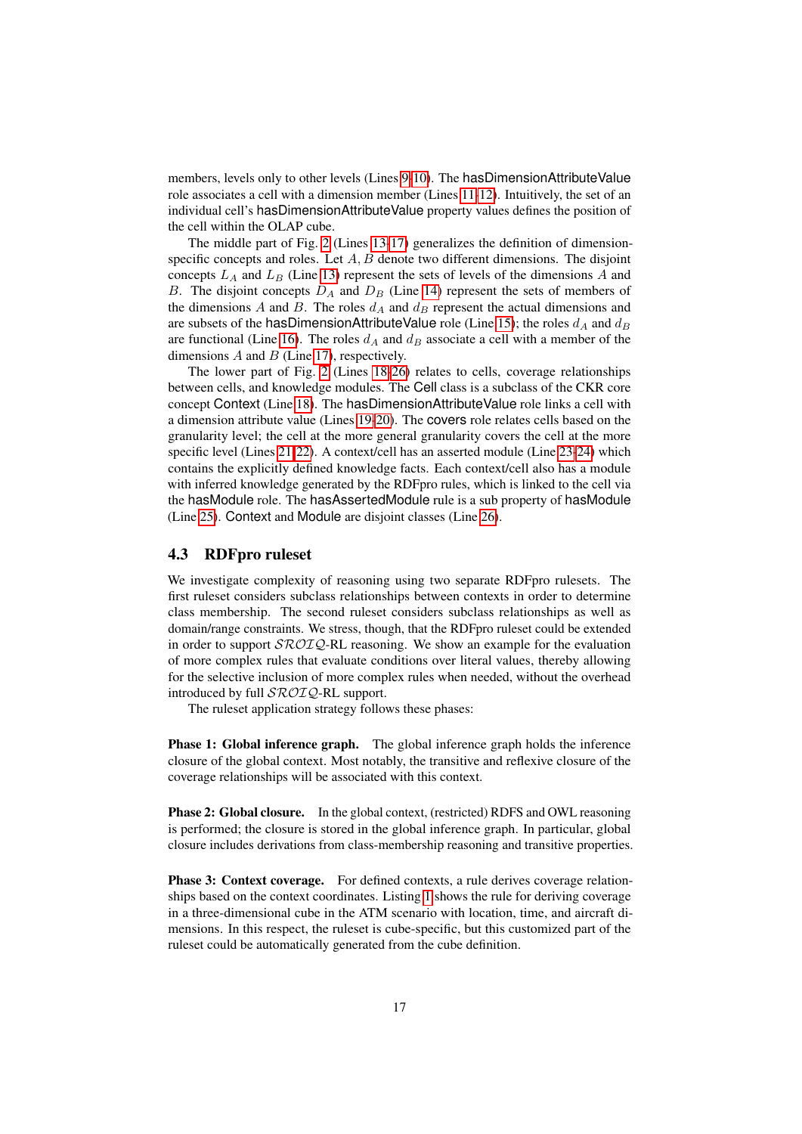members, levels only to other levels (Lines [9](#page-15-12)[-10\)](#page-15-13). The hasDimensionAttributeValue role associates a cell with a dimension member (Lines [11-](#page-15-14)[12\)](#page-15-4). Intuitively, the set of an individual cell's hasDimensionAttributeValue property values defines the position of the cell within the OLAP cube.

The middle part of Fig. [2](#page-15-1) (Lines [13-](#page-15-15)[17\)](#page-15-16) generalizes the definition of dimensionspecific concepts and roles. Let  $A, B$  denote two different dimensions. The disjoint concepts  $L_A$  and  $L_B$  (Line [13\)](#page-15-15) represent the sets of levels of the dimensions A and B. The disjoint concepts  $D_A$  and  $D_B$  (Line [14\)](#page-15-17) represent the sets of members of the dimensions A and B. The roles  $d_A$  and  $d_B$  represent the actual dimensions and are subsets of the hasDimensionAttributeValue role (Line [15\)](#page-15-2); the roles  $d_A$  and  $d_B$ are functional (Line [16\)](#page-15-18). The roles  $d_A$  and  $d_B$  associate a cell with a member of the dimensions  $A$  and  $B$  (Line [17\)](#page-15-16), respectively.

The lower part of Fig. [2](#page-15-1) (Lines [18-](#page-15-19)[26\)](#page-15-20) relates to cells, coverage relationships between cells, and knowledge modules. The Cell class is a subclass of the CKR core concept Context (Line [18\)](#page-15-19). The hasDimensionAttributeValue role links a cell with a dimension attribute value (Lines [19](#page-15-21)[-20\)](#page-15-22). The covers role relates cells based on the granularity level; the cell at the more general granularity covers the cell at the more specific level (Lines [21-](#page-15-23)[22\)](#page-15-24). A context/cell has an asserted module (Line [23-](#page-15-25)[24\)](#page-15-26) which contains the explicitly defined knowledge facts. Each context/cell also has a module with inferred knowledge generated by the RDFpro rules, which is linked to the cell via the hasModule role. The hasAssertedModule rule is a sub property of hasModule (Line [25\)](#page-15-27). Context and Module are disjoint classes (Line [26\)](#page-15-20).

# <span id="page-16-0"></span>4.3 RDFpro ruleset

We investigate complexity of reasoning using two separate RDFpro rulesets. The first ruleset considers subclass relationships between contexts in order to determine class membership. The second ruleset considers subclass relationships as well as domain/range constraints. We stress, though, that the RDFpro ruleset could be extended in order to support  $\mathcal{SROLQ}\text{-}\mathrm{RL}$  reasoning. We show an example for the evaluation of more complex rules that evaluate conditions over literal values, thereby allowing for the selective inclusion of more complex rules when needed, without the overhead introduced by full  $\mathcal{SROIQ}$ -RL support.

The ruleset application strategy follows these phases:

Phase 1: Global inference graph. The global inference graph holds the inference closure of the global context. Most notably, the transitive and reflexive closure of the coverage relationships will be associated with this context.

Phase 2: Global closure. In the global context, (restricted) RDFS and OWL reasoning is performed; the closure is stored in the global inference graph. In particular, global closure includes derivations from class-membership reasoning and transitive properties.

Phase 3: Context coverage. For defined contexts, a rule derives coverage relationships based on the context coordinates. Listing [1](#page-17-0) shows the rule for deriving coverage in a three-dimensional cube in the ATM scenario with location, time, and aircraft dimensions. In this respect, the ruleset is cube-specific, but this customized part of the ruleset could be automatically generated from the cube definition.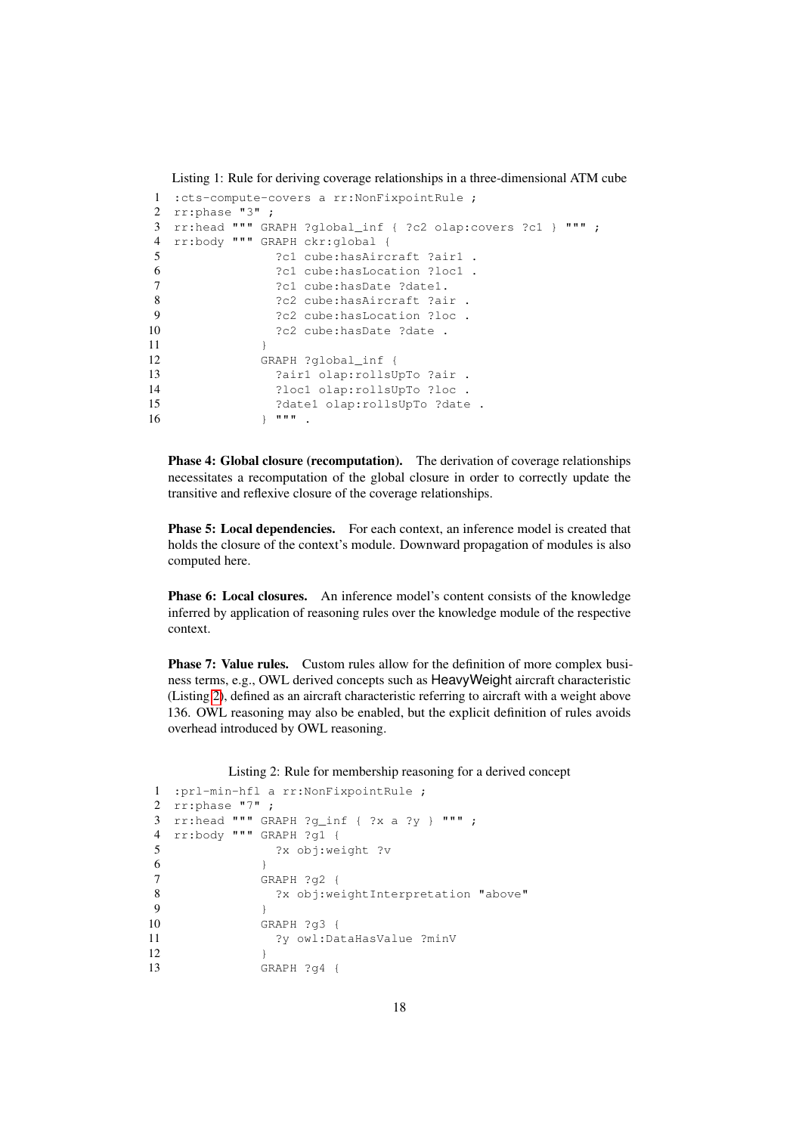<span id="page-17-0"></span>Listing 1: Rule for deriving coverage relationships in a three-dimensional ATM cube

```
1 :cts-compute-covers a rr:NonFixpointRule ;
2 rr:phase "3" ;
3 rr:head """ GRAPH ?global_inf { ?c2 olap:covers ?c1 } """ ;
4 rr:body """ GRAPH ckr:global {
5 ?c1 cube:hasAircraft ?air1 .
6 ?c1 cube:hasLocation ?loc1 .
7 ?c1 cube: hasDate ?date1.
8 ?c2 cube: hasAircraft ?air .
9 2c2 cube:hasLocation ?loc .<br>10 2c2 cube:hasDate ?date .
              ?c2 cube:hasDate ?date .
11 }
12 GRAPH ?global_inf {
13 ?air1 olap:rollsUpTo ?air .
14 ?loc1 olap:rollsUpTo ?loc .
15 ?date1 olap:rollsUpTo ?date .
16 } """ .
```
Phase 4: Global closure (recomputation). The derivation of coverage relationships necessitates a recomputation of the global closure in order to correctly update the transitive and reflexive closure of the coverage relationships.

Phase 5: Local dependencies. For each context, an inference model is created that holds the closure of the context's module. Downward propagation of modules is also computed here.

Phase 6: Local closures. An inference model's content consists of the knowledge inferred by application of reasoning rules over the knowledge module of the respective context.

Phase 7: Value rules. Custom rules allow for the definition of more complex business terms, e.g., OWL derived concepts such as HeavyWeight aircraft characteristic (Listing [2\)](#page-17-1), defined as an aircraft characteristic referring to aircraft with a weight above 136. OWL reasoning may also be enabled, but the explicit definition of rules avoids overhead introduced by OWL reasoning.

Listing 2: Rule for membership reasoning for a derived concept

```
1 :prl-min-hfl a rr:NonFixpointRule ;
2 rr:phase "7" ;
3 rr:head """ GRAPH ?\alpha inf { ?x a ?v } """ ;
4 rr:body """ GRAPH ?g1 {
5 ?x obj:weight ?v
6 }
7 GRAPH ?g2 {
8 ?x obj:weightInterpretation "above"
9 }
10 GRAPH ?g3 {
11 ?y owl:DataHasValue ?minV
12  }
13 GRAPH ?g4 {
```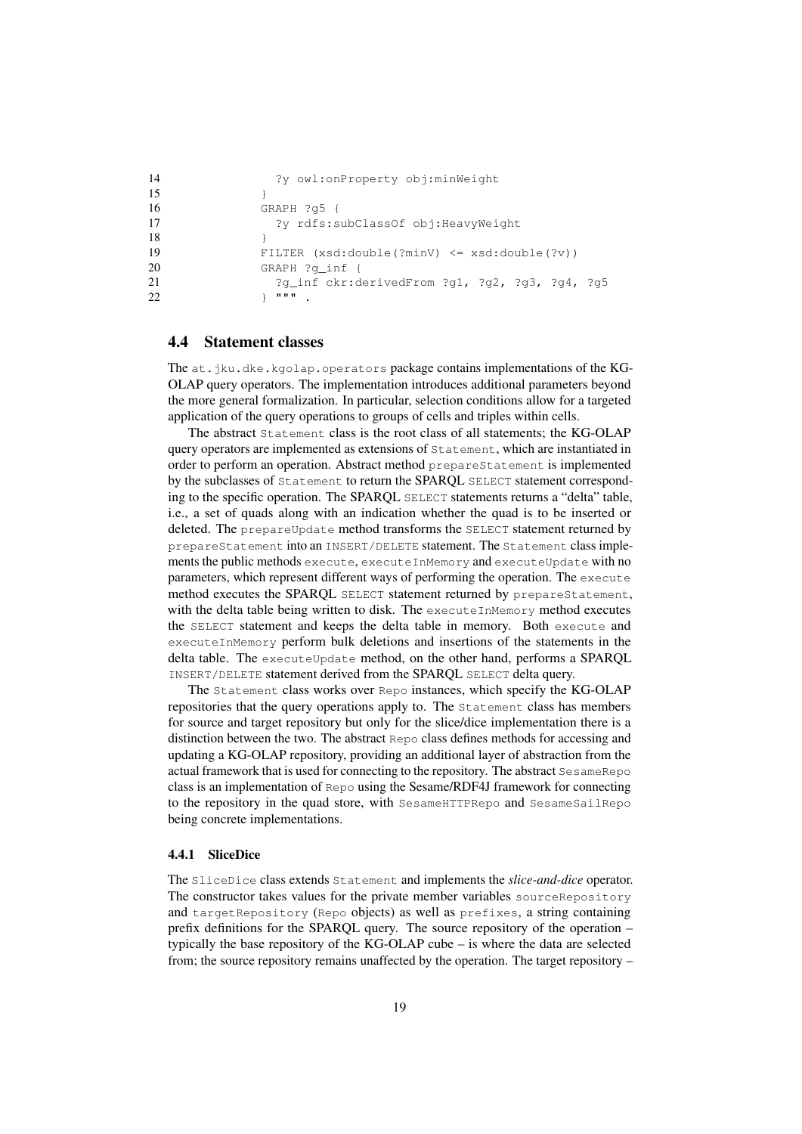```
14 ?y owl:onProperty obj:minWeight
15 }
16 GRAPH ?g5 {
17 ?y rdfs:subClassOf obj:HeavyWeight
18 }
19 FILTER (xsd:double(?minV) <= xsd:double(?v))
20 GRAPH ?g_inf {
21 ?g_inf ckr:derivedFrom ?g1, ?g2, ?g3, ?g4, ?g5
22 } """ .
```
#### <span id="page-18-0"></span>4.4 Statement classes

The at.jku.dke.kgolap.operators package contains implementations of the KG-OLAP query operators. The implementation introduces additional parameters beyond the more general formalization. In particular, selection conditions allow for a targeted application of the query operations to groups of cells and triples within cells.

The abstract Statement class is the root class of all statements; the KG-OLAP query operators are implemented as extensions of Statement, which are instantiated in order to perform an operation. Abstract method prepareStatement is implemented by the subclasses of Statement to return the SPARQL SELECT statement corresponding to the specific operation. The SPARQL SELECT statements returns a "delta" table, i.e., a set of quads along with an indication whether the quad is to be inserted or deleted. The prepareUpdate method transforms the SELECT statement returned by prepareStatement into an INSERT/DELETE statement. The Statement class implements the public methods execute, executeInMemory and executeUpdate with no parameters, which represent different ways of performing the operation. The execute method executes the SPARQL SELECT statement returned by prepareStatement, with the delta table being written to disk. The executeInMemory method executes the SELECT statement and keeps the delta table in memory. Both execute and executeInMemory perform bulk deletions and insertions of the statements in the delta table. The executeUpdate method, on the other hand, performs a SPARQL INSERT/DELETE statement derived from the SPARQL SELECT delta query.

The Statement class works over Repo instances, which specify the KG-OLAP repositories that the query operations apply to. The Statement class has members for source and target repository but only for the slice/dice implementation there is a distinction between the two. The abstract Repo class defines methods for accessing and updating a KG-OLAP repository, providing an additional layer of abstraction from the actual framework that is used for connecting to the repository. The abstract SesameRepo class is an implementation of Repo using the Sesame/RDF4J framework for connecting to the repository in the quad store, with SesameHTTPRepo and SesameSailRepo being concrete implementations.

#### <span id="page-18-1"></span>4.4.1 SliceDice

The SliceDice class extends Statement and implements the *slice-and-dice* operator. The constructor takes values for the private member variables sourceRepository and targetRepository (Repo objects) as well as prefixes, a string containing prefix definitions for the SPARQL query. The source repository of the operation – typically the base repository of the KG-OLAP cube – is where the data are selected from; the source repository remains unaffected by the operation. The target repository –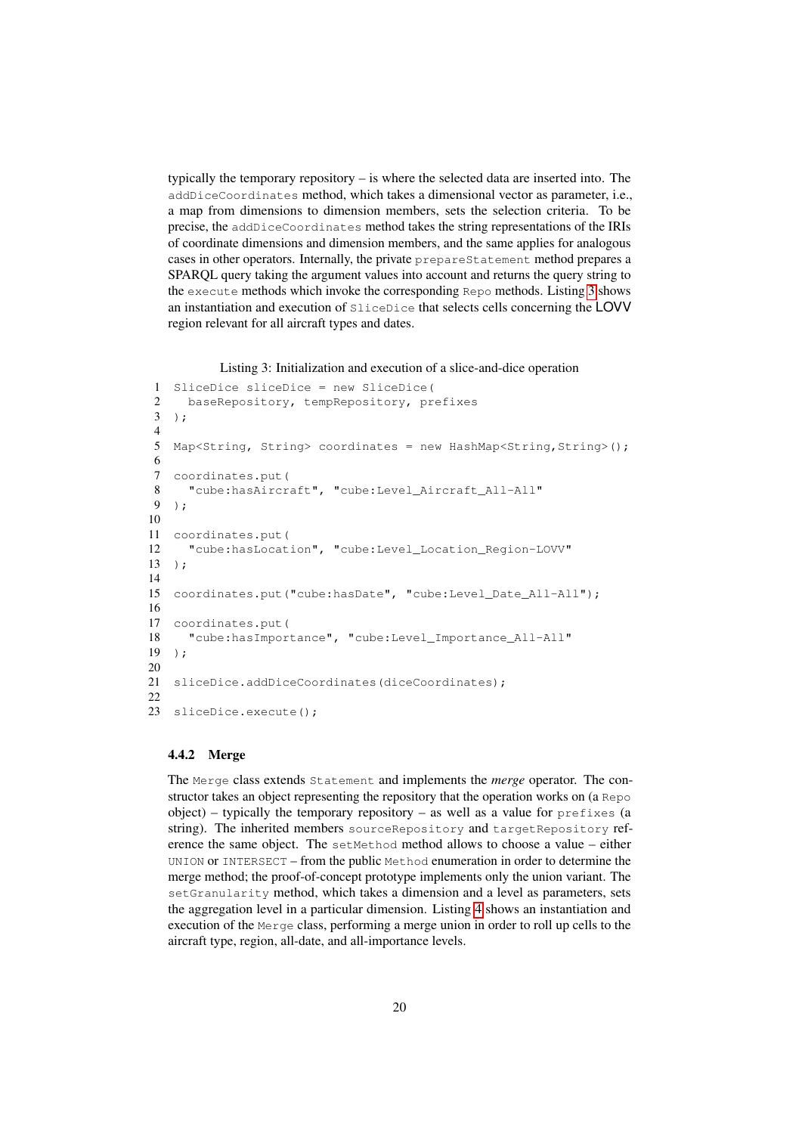typically the temporary repository – is where the selected data are inserted into. The addDiceCoordinates method, which takes a dimensional vector as parameter, i.e., a map from dimensions to dimension members, sets the selection criteria. To be precise, the addDiceCoordinates method takes the string representations of the IRIs of coordinate dimensions and dimension members, and the same applies for analogous cases in other operators. Internally, the private prepareStatement method prepares a SPARQL query taking the argument values into account and returns the query string to the execute methods which invoke the corresponding Repo methods. Listing [3](#page-19-1) shows an instantiation and execution of SliceDice that selects cells concerning the LOVV region relevant for all aircraft types and dates.

Listing 3: Initialization and execution of a slice-and-dice operation

```
1 SliceDice sliceDice = new SliceDice(
2 baseRepository, tempRepository, prefixes
3 );
4
5 Map<String, String> coordinates = new HashMap<String, String>();
6
7 coordinates.put(
8 "cube:hasAircraft", "cube:Level_Aircraft_All-All"
9 );
10
11 coordinates.put(
12 "cube:hasLocation", "cube:Level_Location_Region-LOVV"
13 );
14
15 coordinates.put("cube:hasDate", "cube:Level_Date_All-All");
16
17 coordinates.put(
18 "cube:hasImportance", "cube:Level_Importance_All-All"
19 );
20
21 sliceDice.addDiceCoordinates(diceCoordinates);
2223 sliceDice.execute();
```
#### <span id="page-19-0"></span>4.4.2 Merge

The Merge class extends Statement and implements the *merge* operator. The constructor takes an object representing the repository that the operation works on (a Repo  $object$ ) – typically the temporary repository – as well as a value for  $prefixes$  (a string). The inherited members sourceRepository and targetRepository reference the same object. The setMethod method allows to choose a value – either UNION or INTERSECT – from the public Method enumeration in order to determine the merge method; the proof-of-concept prototype implements only the union variant. The setGranularity method, which takes a dimension and a level as parameters, sets the aggregation level in a particular dimension. Listing [4](#page-20-1) shows an instantiation and execution of the Merge class, performing a merge union in order to roll up cells to the aircraft type, region, all-date, and all-importance levels.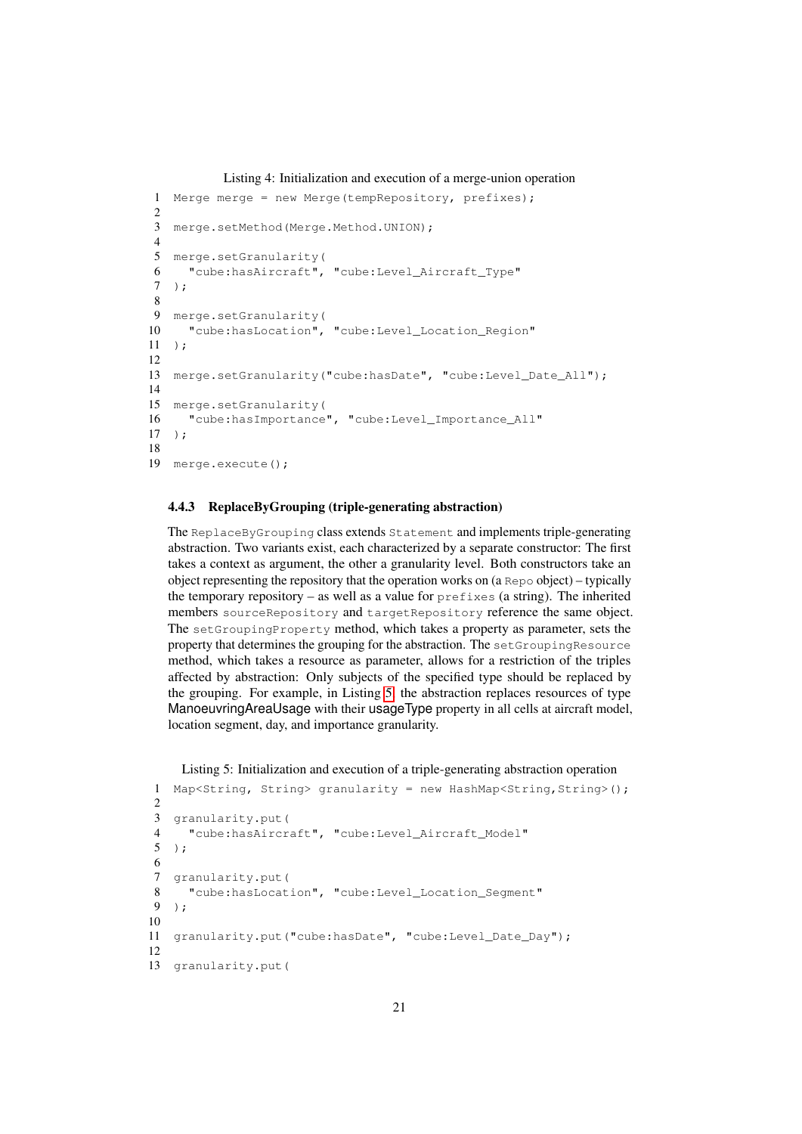#### Listing 4: Initialization and execution of a merge-union operation

```
1 Merge merge = new Merge(tempRepository, prefixes);
\mathcal{L}3 merge.setMethod(Merge.Method.UNION);
4
5 merge.setGranularity(
6 "cube:hasAircraft", "cube:Level_Aircraft_Type"
7 );
8
9 merge.setGranularity(
10 "cube:hasLocation", "cube:Level_Location_Region"
11 );
12
13 merge.setGranularity("cube:hasDate", "cube:Level_Date_All");
14
15 merge.setGranularity(
16 "cube:hasImportance", "cube:Level_Importance_All"
17 );
18
19 merge.execute();
```
# <span id="page-20-0"></span>4.4.3 ReplaceByGrouping (triple-generating abstraction)

The ReplaceByGrouping class extends Statement and implements triple-generating abstraction. Two variants exist, each characterized by a separate constructor: The first takes a context as argument, the other a granularity level. Both constructors take an object representing the repository that the operation works on (a Repo object) – typically the temporary repository – as well as a value for prefixes (a string). The inherited members sourceRepository and targetRepository reference the same object. The setGroupingProperty method, which takes a property as parameter, sets the property that determines the grouping for the abstraction. The setGroupingResource method, which takes a resource as parameter, allows for a restriction of the triples affected by abstraction: Only subjects of the specified type should be replaced by the grouping. For example, in Listing [5,](#page-20-2) the abstraction replaces resources of type ManoeuvringAreaUsage with their usageType property in all cells at aircraft model, location segment, day, and importance granularity.

# <span id="page-20-2"></span>Listing 5: Initialization and execution of a triple-generating abstraction operation

```
1 Map<String, String> granularity = new HashMap<String, String>();
\overline{2}3 granularity.put(
4 "cube:hasAircraft", "cube:Level_Aircraft_Model"
5 );
6
7 granularity.put(
8 "cube:hasLocation", "cube:Level_Location_Segment"
9 );
10
11 granularity.put("cube:hasDate", "cube:Level_Date_Day");
12
13 granularity.put(
```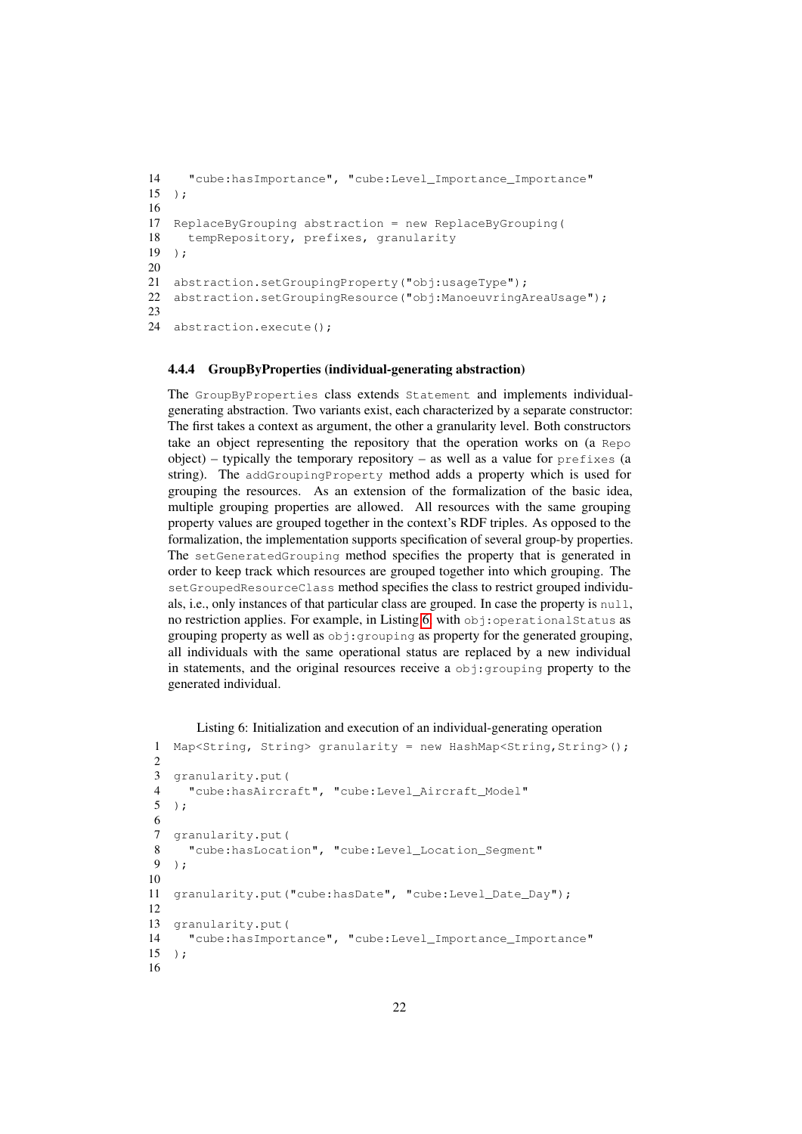```
14 "cube:hasImportance", "cube:Level_Importance_Importance"
15 );
16
17 ReplaceByGrouping abstraction = new ReplaceByGrouping(
18 tempRepository, prefixes, granularity
19 );
20
21 abstraction.setGroupingProperty("obj:usageType");
22 abstraction.setGroupingResource("obj:ManoeuvringAreaUsage");
23
24 abstraction.execute();
```
#### <span id="page-21-0"></span>4.4.4 GroupByProperties (individual-generating abstraction)

The GroupByProperties class extends Statement and implements individualgenerating abstraction. Two variants exist, each characterized by a separate constructor: The first takes a context as argument, the other a granularity level. Both constructors take an object representing the repository that the operation works on (a Repo object) – typically the temporary repository – as well as a value for prefixes (a string). The addGroupingProperty method adds a property which is used for grouping the resources. As an extension of the formalization of the basic idea, multiple grouping properties are allowed. All resources with the same grouping property values are grouped together in the context's RDF triples. As opposed to the formalization, the implementation supports specification of several group-by properties. The setGeneratedGrouping method specifies the property that is generated in order to keep track which resources are grouped together into which grouping. The setGroupedResourceClass method specifies the class to restrict grouped individuals, i.e., only instances of that particular class are grouped. In case the property is null, no restriction applies. For example, in Listing [6,](#page-21-1) with obj:operationalStatus as grouping property as well as obj:grouping as property for the generated grouping, all individuals with the same operational status are replaced by a new individual in statements, and the original resources receive a obj:grouping property to the generated individual.

```
Listing 6: Initialization and execution of an individual-generating operation
```

```
1 Map<String, String> granularity = new HashMap<String, String>();
\mathcal{D}3 granularity.put(
4 "cube:hasAircraft", "cube:Level_Aircraft_Model"
   5 );
6
7 granularity.put(
8 "cube:hasLocation", "cube:Level_Location_Segment"
9 );
10
11 granularity.put("cube:hasDate", "cube:Level_Date_Day");
12
13 granularity.put(
14 "cube:hasImportance", "cube:Level_Importance_Importance"
15 ):
16
```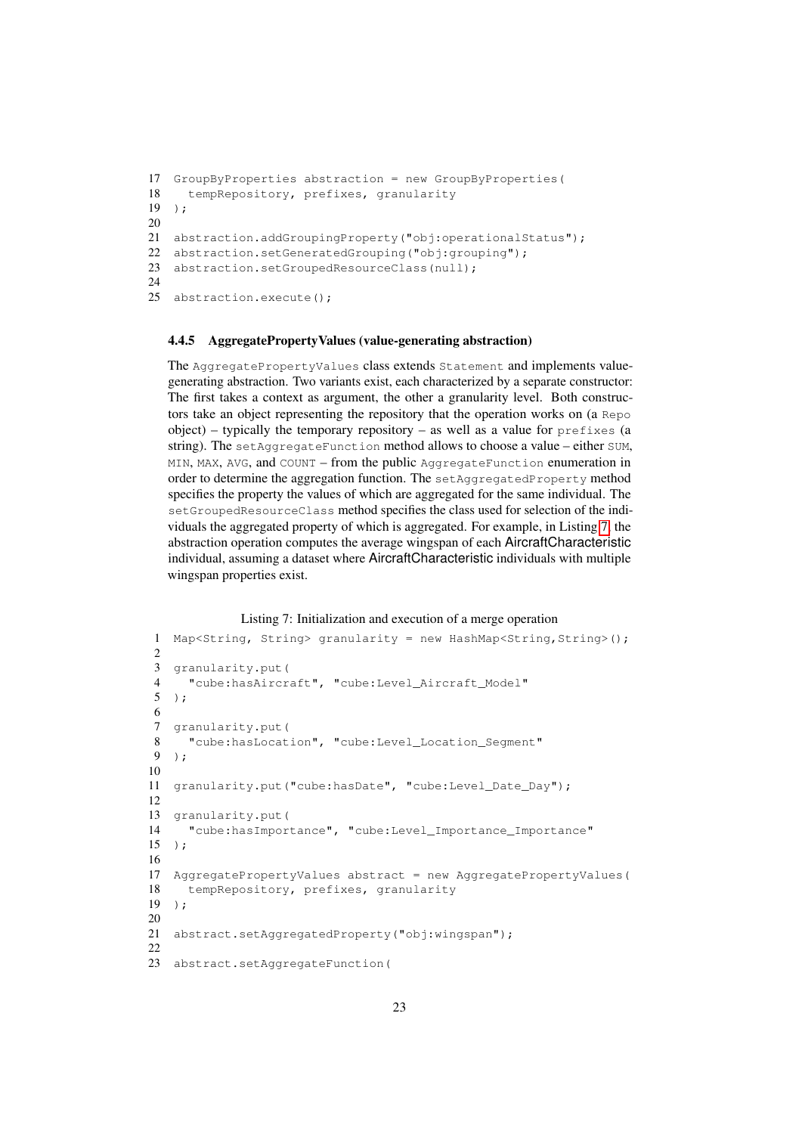```
17 GroupByProperties abstraction = new GroupByProperties(
18 tempRepository, prefixes, granularity
19 ):
20
21 abstraction.addGroupingProperty("obj:operationalStatus");
22 abstraction.setGeneratedGrouping("obj:grouping");
23 abstraction.setGroupedResourceClass(null);
2425 abstraction.execute();
```
#### <span id="page-22-0"></span>4.4.5 AggregatePropertyValues (value-generating abstraction)

The AggregatePropertyValues class extends Statement and implements valuegenerating abstraction. Two variants exist, each characterized by a separate constructor: The first takes a context as argument, the other a granularity level. Both constructors take an object representing the repository that the operation works on (a Repo object) – typically the temporary repository – as well as a value for  $prefixes$  (a string). The setAggregateFunction method allows to choose a value – either SUM, MIN, MAX, AVG, and COUNT – from the public AggregateFunction enumeration in order to determine the aggregation function. The setAggregatedProperty method specifies the property the values of which are aggregated for the same individual. The setGroupedResourceClass method specifies the class used for selection of the individuals the aggregated property of which is aggregated. For example, in Listing [7,](#page-22-1) the abstraction operation computes the average wingspan of each AircraftCharacteristic individual, assuming a dataset where AircraftCharacteristic individuals with multiple wingspan properties exist.

#### Listing 7: Initialization and execution of a merge operation

```
1 Map<String, String> granularity = new HashMap<String, String>();
2
3 granularity.put(
4 "cube:hasAircraft", "cube:Level_Aircraft_Model"
5 );
6
7 granularity.put(
8 "cube:hasLocation", "cube:Level_Location_Segment"
9 );
10
11 granularity.put("cube:hasDate", "cube:Level_Date_Day");
12
13 granularity.put(
14 "cube:hasImportance", "cube:Level_Importance_Importance"
15 );
16
17 AggregatePropertyValues abstract = new AggregatePropertyValues(
18 tempRepository, prefixes, granularity
19 );
20
21 abstract.setAggregatedProperty("obj:wingspan");
22
23 abstract.setAggregateFunction(
```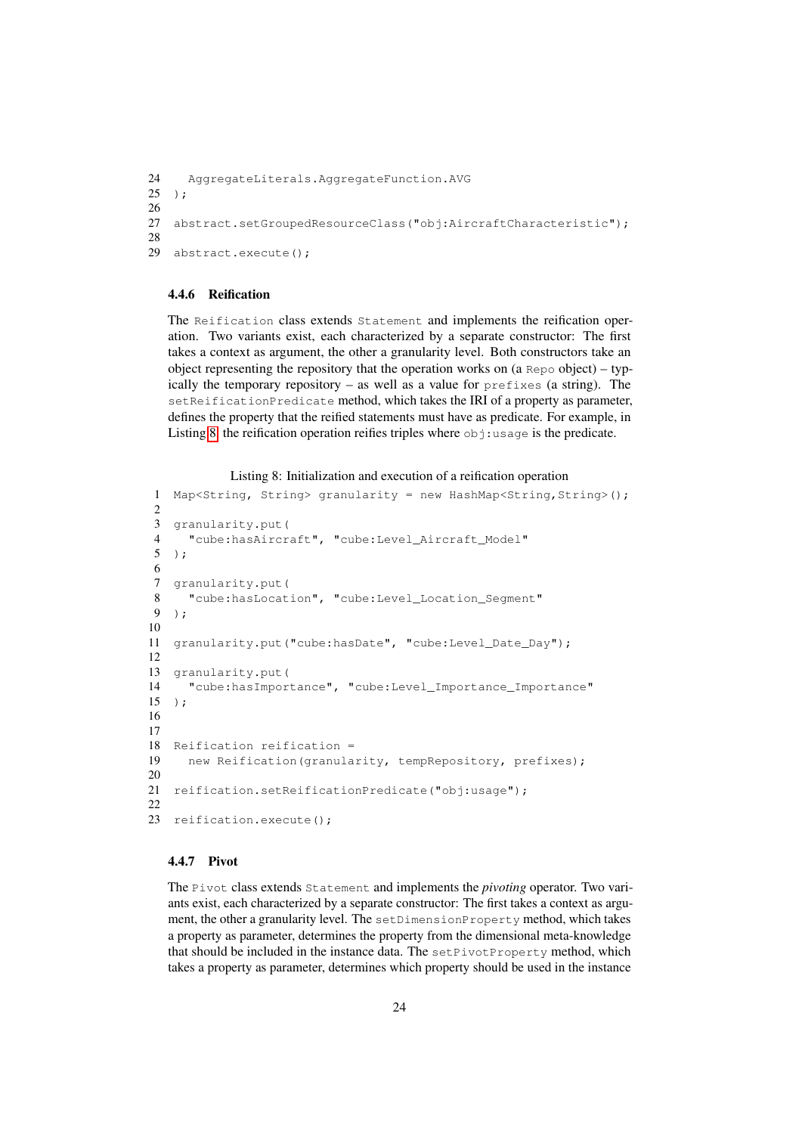```
24 AggregateLiterals.AggregateFunction.AVG
25 );
26
27 abstract.setGroupedResourceClass("obj:AircraftCharacteristic");
28
29 abstract.execute();
```
### <span id="page-23-0"></span>4.4.6 Reification

The Reification class extends Statement and implements the reification operation. Two variants exist, each characterized by a separate constructor: The first takes a context as argument, the other a granularity level. Both constructors take an object representing the repository that the operation works on (a Repo object) – typically the temporary repository – as well as a value for prefixes (a string). The setReificationPredicate method, which takes the IRI of a property as parameter, defines the property that the reified statements must have as predicate. For example, in Listing [8,](#page-23-2) the reification operation reifies triples where  $\circ$ bj:usage is the predicate.

```
Listing 8: Initialization and execution of a reification operation
```

```
1 Map<String, String> granularity = new HashMap<String, String>();
2
3 granularity.put(
4 "cube:hasAircraft", "cube:Level_Aircraft_Model"
   5 );
\frac{6}{7}granularity.put (
8 "cube:hasLocation", "cube:Level Location Segment"
9 );
10
11 granularity.put("cube:hasDate", "cube:Level_Date_Day");
12
13 granularity.put(
14 "cube:hasImportance", "cube:Level_Importance_Importance"
15 );
16
17
18 Reification reification =
19 new Reification(granularity, tempRepository, prefixes);
20
21 reification.setReificationPredicate("obj:usage");
22
23 reification.execute();
```
### <span id="page-23-1"></span>4.4.7 Pivot

The Pivot class extends Statement and implements the *pivoting* operator. Two variants exist, each characterized by a separate constructor: The first takes a context as argument, the other a granularity level. The setDimensionProperty method, which takes a property as parameter, determines the property from the dimensional meta-knowledge that should be included in the instance data. The setPivotProperty method, which takes a property as parameter, determines which property should be used in the instance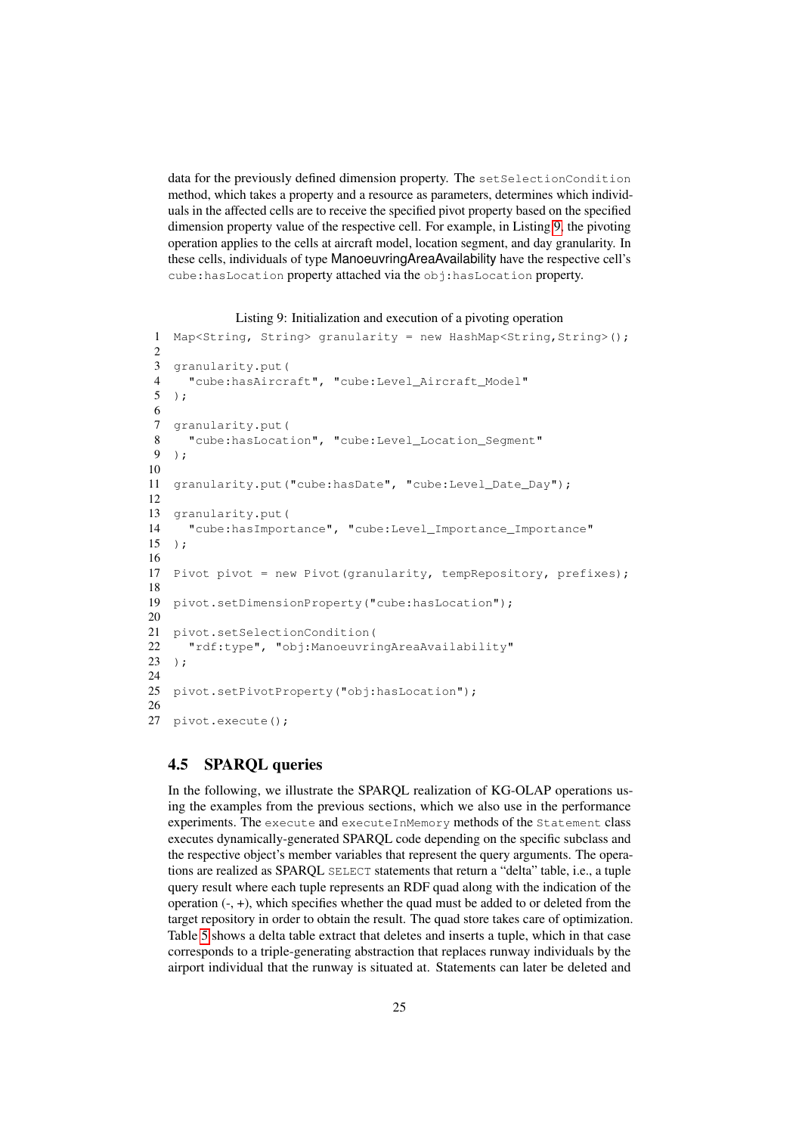data for the previously defined dimension property. The setSelectionCondition method, which takes a property and a resource as parameters, determines which individuals in the affected cells are to receive the specified pivot property based on the specified dimension property value of the respective cell. For example, in Listing [9,](#page-24-1) the pivoting operation applies to the cells at aircraft model, location segment, and day granularity. In these cells, individuals of type ManoeuvringAreaAvailability have the respective cell's cube: has Location property attached via the obj: has Location property.

```
Listing 9: Initialization and execution of a pivoting operation
```

```
1 Map<String, String> granularity = new HashMap<String, String>();
\mathcal{D}3 granularity.put(
4 "cube:hasAircraft", "cube:Level_Aircraft_Model"
5 );
6
7 granularity.put(
8 "cube:hasLocation", "cube:Level_Location_Segment"
9 );
10
11 granularity.put("cube:hasDate", "cube:Level_Date_Day");
12
13 granularity.put(
14 "cube:hasImportance", "cube:Level_Importance_Importance"
15 );
16
17 Pivot pivot = new Pivot(granularity, tempRepository, prefixes);
18
19 pivot.setDimensionProperty("cube:hasLocation");
20
21 pivot.setSelectionCondition(
22 "rdf:type", "obj:ManoeuvringAreaAvailability"
23 ):
24
25 pivot.setPivotProperty("obj:hasLocation");
26
27 pivot.execute();
```
# <span id="page-24-0"></span>4.5 SPARQL queries

In the following, we illustrate the SPARQL realization of KG-OLAP operations using the examples from the previous sections, which we also use in the performance experiments. The execute and executeInMemory methods of the Statement class executes dynamically-generated SPARQL code depending on the specific subclass and the respective object's member variables that represent the query arguments. The operations are realized as SPARQL SELECT statements that return a "delta" table, i.e., a tuple query result where each tuple represents an RDF quad along with the indication of the operation (-, +), which specifies whether the quad must be added to or deleted from the target repository in order to obtain the result. The quad store takes care of optimization. Table [5](#page-25-1) shows a delta table extract that deletes and inserts a tuple, which in that case corresponds to a triple-generating abstraction that replaces runway individuals by the airport individual that the runway is situated at. Statements can later be deleted and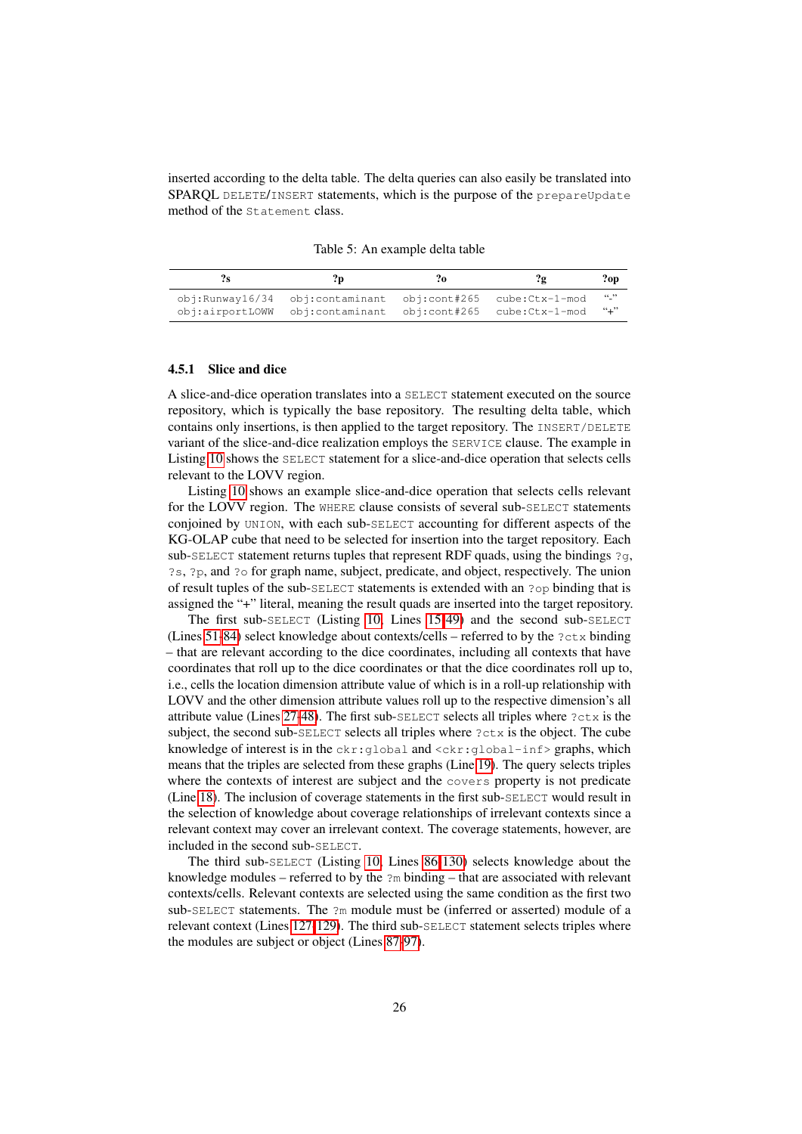inserted according to the delta table. The delta queries can also easily be translated into SPARQL DELETE/INSERT statements, which is the purpose of the prepareUpdate method of the Statement class.

<span id="page-25-1"></span>Table 5: An example delta table

|                                                                  |                | $?$ op |
|------------------------------------------------------------------|----------------|--------|
| $obj:Runway16/34$ obj:contaminant obj:cont#265 cube: $ctx-1-mod$ |                | (1)    |
| obj:airportLOWW obj:contaminant obj:cont#265                     | cube:Ctx-1-mod | $``+"$ |

#### <span id="page-25-0"></span>4.5.1 Slice and dice

A slice-and-dice operation translates into a SELECT statement executed on the source repository, which is typically the base repository. The resulting delta table, which contains only insertions, is then applied to the target repository. The INSERT/DELETE variant of the slice-and-dice realization employs the SERVICE clause. The example in Listing [10](#page-26-0) shows the SELECT statement for a slice-and-dice operation that selects cells relevant to the LOVV region.

Listing [10](#page-26-0) shows an example slice-and-dice operation that selects cells relevant for the LOVV region. The WHERE clause consists of several sub-SELECT statements conjoined by UNION, with each sub-SELECT accounting for different aspects of the KG-OLAP cube that need to be selected for insertion into the target repository. Each sub-SELECT statement returns tuples that represent RDF quads, using the bindings  $2q$ , ?s, ?p, and ?o for graph name, subject, predicate, and object, respectively. The union of result tuples of the sub-SELECT statements is extended with an ?op binding that is assigned the "+" literal, meaning the result quads are inserted into the target repository.

The first sub-SELECT (Listing [10,](#page-26-0) Lines [15-](#page-26-1)[49\)](#page-27-0) and the second sub-SELECT (Lines [51-](#page-27-1)[84\)](#page-27-2) select knowledge about contexts/cells – referred to by the  $?ctx$  binding – that are relevant according to the dice coordinates, including all contexts that have coordinates that roll up to the dice coordinates or that the dice coordinates roll up to, i.e., cells the location dimension attribute value of which is in a roll-up relationship with LOVV and the other dimension attribute values roll up to the respective dimension's all attribute value (Lines [27](#page-26-2)[-48\)](#page-27-3). The first sub- $SELECT$  selects all triples where  $?ctx$  is the subject, the second sub- $SELECT$  selects all triples where  $?ctx$  is the object. The cube knowledge of interest is in the  $ckr:global$  and  $\langle ckr:global-inf \rangle$  graphs, which means that the triples are selected from these graphs (Line [19\)](#page-26-3). The query selects triples where the contexts of interest are subject and the covers property is not predicate (Line [18\)](#page-26-4). The inclusion of coverage statements in the first sub-SELECT would result in the selection of knowledge about coverage relationships of irrelevant contexts since a relevant context may cover an irrelevant context. The coverage statements, however, are included in the second sub-SELECT.

The third sub-SELECT (Listing [10,](#page-26-0) Lines [86](#page-27-4)[-130\)](#page-28-0) selects knowledge about the knowledge modules – referred to by the ?m binding – that are associated with relevant contexts/cells. Relevant contexts are selected using the same condition as the first two sub- $SELECT$  statements. The  $2m$  module must be (inferred or asserted) module of a relevant context (Lines [127-](#page-28-1)[129\)](#page-28-2). The third sub-SELECT statement selects triples where the modules are subject or object (Lines [87-](#page-27-5)[97\)](#page-28-3).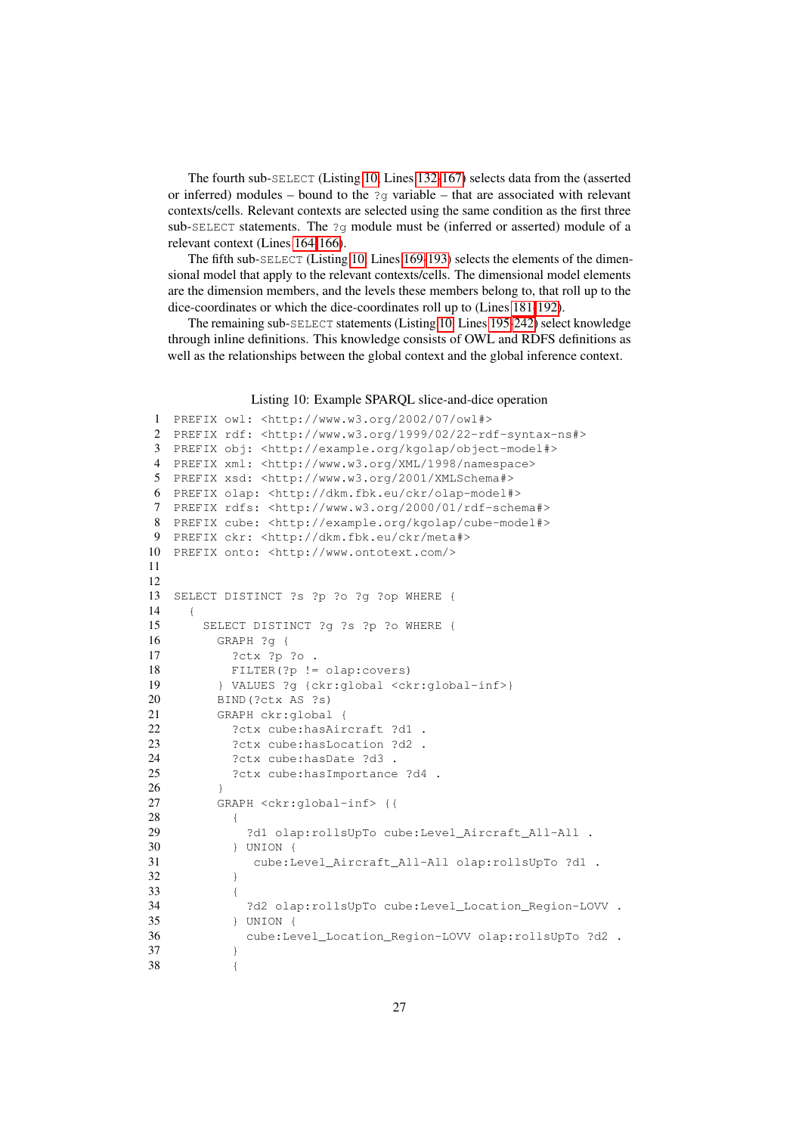The fourth sub-SELECT (Listing [10,](#page-26-0) Lines [132-](#page-28-4)[167\)](#page-29-0) selects data from the (asserted or inferred) modules – bound to the  $2q$  variable – that are associated with relevant contexts/cells. Relevant contexts are selected using the same condition as the first three sub-SELECT statements. The ?g module must be (inferred or asserted) module of a relevant context (Lines [164](#page-29-1)[-166\)](#page-29-2).

The fifth sub-SELECT (Listing [10,](#page-26-0) Lines [169](#page-29-3)[-193\)](#page-29-4) selects the elements of the dimensional model that apply to the relevant contexts/cells. The dimensional model elements are the dimension members, and the levels these members belong to, that roll up to the dice-coordinates or which the dice-coordinates roll up to (Lines [181-](#page-29-5)[192\)](#page-29-6).

The remaining sub-SELECT statements (Listing [10,](#page-26-0) Lines [195-](#page-29-7)[242\)](#page-30-1) select knowledge through inline definitions. This knowledge consists of OWL and RDFS definitions as well as the relationships between the global context and the global inference context.

#### Listing 10: Example SPARQL slice-and-dice operation

```
1 PREFIX owl: <http://www.w3.org/2002/07/owl#>
2 PREFIX rdf: <http://www.w3.org/1999/02/22-rdf-syntax-ns#>
3 PREFIX obj: <http://example.org/kgolap/object-model#>
4 PREFIX xml: <http://www.w3.org/XML/1998/namespace>
5 PREFIX xsd: <http://www.w3.org/2001/XMLSchema#>
6 PREFIX olap: <http://dkm.fbk.eu/ckr/olap-model#>
7 PREFIX rdfs: <http://www.w3.org/2000/01/rdf-schema#>
8 PREFIX cube: <http://example.org/kgolap/cube-model#>
9 PREFIX ckr: <http://dkm.fbk.eu/ckr/meta#>
10 PREFIX onto: <http://www.ontotext.com/>
11
12
13 SELECT DISTINCT ?s ?p ?o ?g ?op WHERE {
14 {
15 SELECT DISTINCT ?g ?s ?p ?o WHERE {
16 GRAPH ?g {
17 ?ctx ?p ?o .
18 FILTER(?p != olap:covers)
19 } VALUES ?g {ckr:global <ckr:global-inf>}
20 BIND(?ctx AS ?s)
21 GRAPH ckr:global {
22 ?ctx cube:hasAircraft ?d1 .
23 ?ctx cube:hasLocation ?d2 .
24 ?ctx cube:hasDate ?d3 .
25 ?ctx cube:hasImportance ?d4 .
26 }
27 GRAPH <ckr:global-inf> {{
28 {
29 ?d1 olap:rollsUpTo cube:Level_Aircraft_All-All .
30 } UNION {
31 cube:Level_Aircraft_All-All olap:rollsUpTo ?d1 .
32 }
33 {
34 ?d2 olap:rollsUpTo cube:Level_Location_Region-LOVV .
35 } UNION {
36 cube:Level_Location_Region-LOVV olap:rollsUpTo ?d2 .
37 }
38 {
```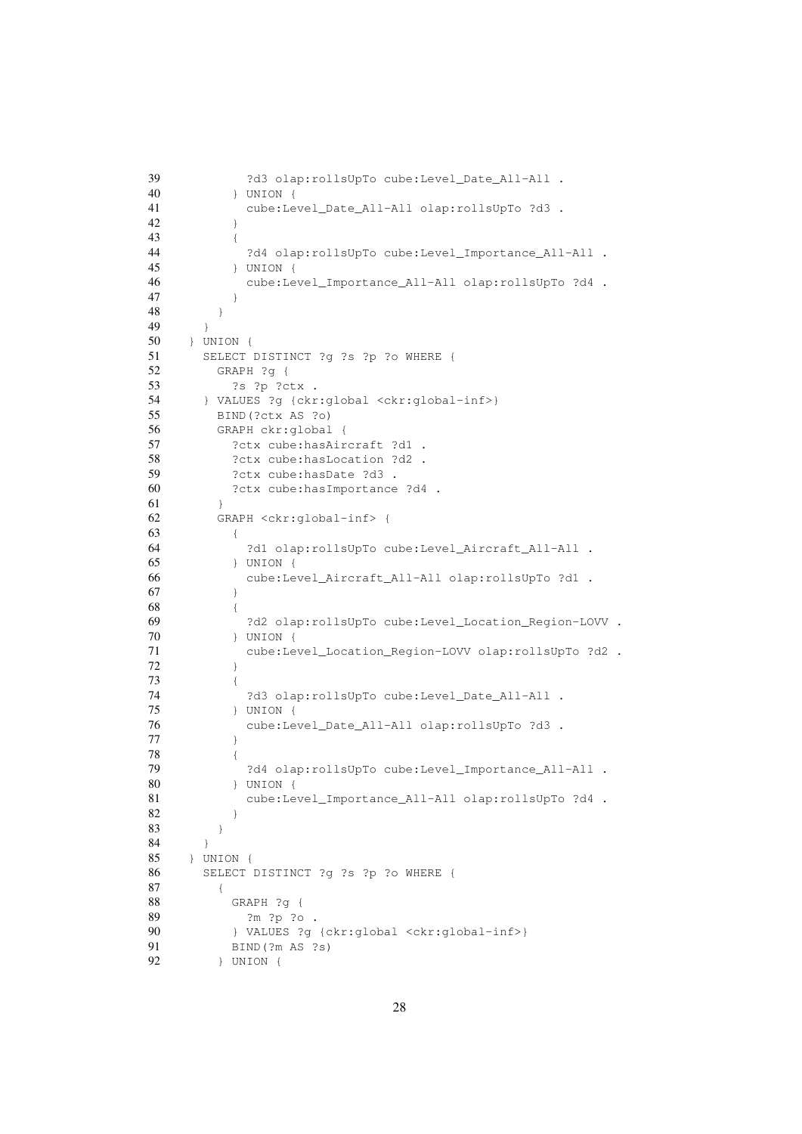```
39 ?d3 olap:rollsUpTo cube:Level_Date_All-All .
40 } UNION {
41 cube:Level_Date_All-All olap:rollsUpTo ?d3 .
42 }
43 {
44 ?d4 olap:rollsUpTo cube:Level_Importance_All-All .
45 } UNION {
46 cube:Level_Importance_All-All olap:rollsUpTo ?d4 .
47 }
48 }
49 }
50 } UNION {
51 SELECT DISTINCT ?g ?s ?p ?o WHERE {
52 GRAPH ?g {
53 ?s ?p ?ctx .
54 } VALUES ?g {ckr:global <ckr:global-inf>}
55 BIND(?ctx AS ?o)
56 GRAPH ckr:global {
57 ?ctx cube:hasAircraft ?d1 .
58 ?ctx cube: hasLocation ?d2 .
59 ?ctx cube:hasDate ?d3 .
60 ?ctx cube:hasImportance ?d4 .
61 }
62 GRAPH <ckr:global-inf> {
63 {
64 ?d1 olap:rollsUpTo cube:Level_Aircraft_All-All .
65 } UNION {
66 cube:Level_Aircraft_All-All olap:rollsUpTo ?d1 .
67 }
68 {
69 ?d2 olap:rollsUpTo cube:Level_Location_Region-LOVV .
70 } UNION {
71 cube:Level_Location_Region-LOVV olap:rollsUpTo ?d2 .
72 }
73 {
74 ?d3 olap:rollsUpTo cube:Level_Date_All-All .
75 } UNION {
76 cube:Level_Date_All-All olap:rollsUpTo ?d3 .
77 }
78 {
79 ?d4 olap:rollsUpTo cube:Level_Importance_All-All .
80 } UNION {
81 cube:Level_Importance_All-All olap:rollsUpTo ?d4 .
82 }
83 }
84 }
85 } UNION {
86 SELECT DISTINCT ?g ?s ?p ?o WHERE {
87 {
88 GRAPH ?g {
89 ?m ?p ?o .
90 } VALUES ?g {ckr:global <ckr:global-inf>}
91 BIND(?m AS ?s)
92 } UNION {
```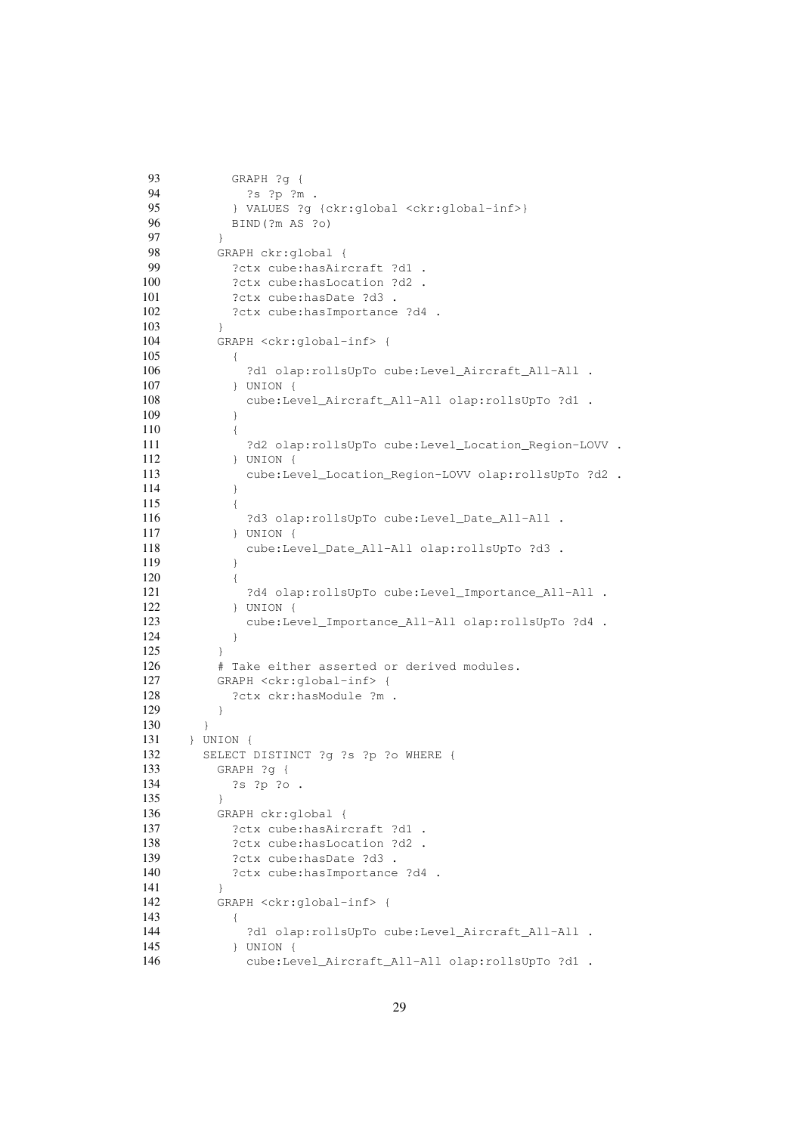```
93 GRAPH ?g {
94 ?s ?p ?m .
95 } VALUES ?q {ckr:global <ckr:global-inf>}
96 BIND(?m AS ?o)
97 }
98 GRAPH ckr:global {
99 ?ctx cube:hasAircraft ?d1 .
100 ?ctx cube: hasLocation ?d2 .
101 ?ctx cube: hasDate ?d3 .
102 ?ctx cube: hasImportance ?d4 .
103 }
104 GRAPH <ckr:global-inf> {
105 {
106 ?d1 olap:rollsUpTo cube:Level_Aircraft_All-All .
107 } UNION {
108 cube:Level_Aircraft_All-All olap:rollsUpTo ?d1 .
109 }
110 {
111 ?d2 olap:rollsUpTo cube:Level_Location_Region-LOVV .
112 } UNION {
113 cube:Level_Location_Region-LOVV olap:rollsUpTo ?d2 .
114 }
115 {
116 ?d3 olap:rollsUpTo cube:Level_Date_All-All .
117 } UNION {
118 cube:Level_Date_All-All olap:rollsUpTo ?d3 .
119 }
120 {
121 ?d4 olap:rollsUpTo cube:Level_Importance_All-All .<br>122 } UNION {
         122 } UNION {
123 cube:Level_Importance_All-All olap:rollsUpTo ?d4 .
124 }
125 }
126 # Take either asserted or derived modules.
127 GRAPH <ckr:global-inf> {
128 ?ctx ckr:hasModule ?m .
129 }
130 }
131 } UNION {
132 SELECT DISTINCT ?g ?s ?p ?o WHERE {
133 GRAPH ?g {
134 ?s ?p ?o .
135 }
136 GRAPH ckr:global {
137 ?ctx cube: hasAircraft ?d1 .
138 ?ctx cube: hasLocation ?d2 .
139 ?ctx cube: hasDate ?d3 .
140 ?ctx cube: has Importance ?d4 .
141 }
142 GRAPH <ckr:global-inf> {
143 {
144 ?d1 olap:rollsUpTo cube:Level_Aircraft_All-All .
145 } UNION {
146 cube:Level_Aircraft_All-All olap:rollsUpTo ?d1 .
```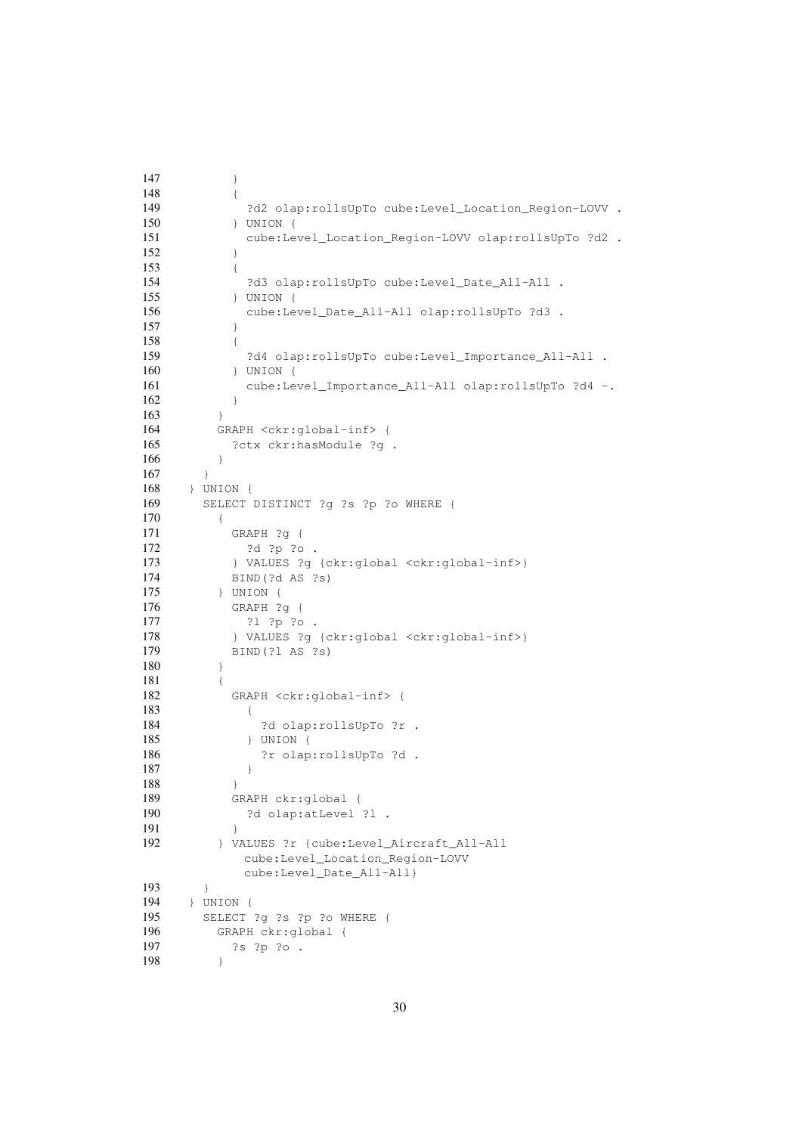```
147 }
148 {
149 ?d2 olap:rollsUpTo cube:Level_Location_Region-LOVV .
150 } UNION {
151 cube:Level_Location_Region-LOVV olap:rollsUpTo ?d2 .
152 }
153 {
154 ?d3 olap:rollsUpTo cube:Level_Date_All-All .
155 } UNION {
156 cube:Level_Date_All-All olap:rollsUpTo ?d3 .
157 }
158 {
159 ?d4 olap:rollsUpTo cube:Level_Importance_All-All .
160 } UNION {
161 cube:Level_Importance_All-All olap:rollsUpTo ?d4 -.
162 }
163 }
164 GRAPH <ckr:global-inf> {
165 ?ctx ckr:hasModule ?g .
166 }
167 }
168 } UNION {
169 SELECT DISTINCT ?g ?s ?p ?o WHERE {
170 {
171 GRAPH ?g {
172 ?d ?p ?o .
173 } VALUES ?g {ckr:global <ckr:global-inf>}
174 BIND(?d AS ?s)
175 } UNION {
176 GRAPH ?g {
177 ?l ?p ?o .
178 } VALUES ?g {ckr:global <ckr:global-inf>}
179 BIND(?l AS ?s)
180 }
181 {
182 GRAPH <ckr:global-inf> {
183 {
184 ?d olap:rollsUpTo ?r .
185 } UNION {
186 ?r olap:rollsUpTo ?d .
187 }
188 }
189 GRAPH ckr:global {
190 ?d olap:atLevel ?l .
191 }
192 } VALUES ?r {cube:Level_Aircraft_All-All
          cube:Level_Location_Region-LOVV
          cube:Level_Date_All-All}
193 }
194 } UNION {
195 SELECT ?g ?s ?p ?o WHERE {
196 GRAPH ckr:global {
197 ?s ?p ?o .
198 }
```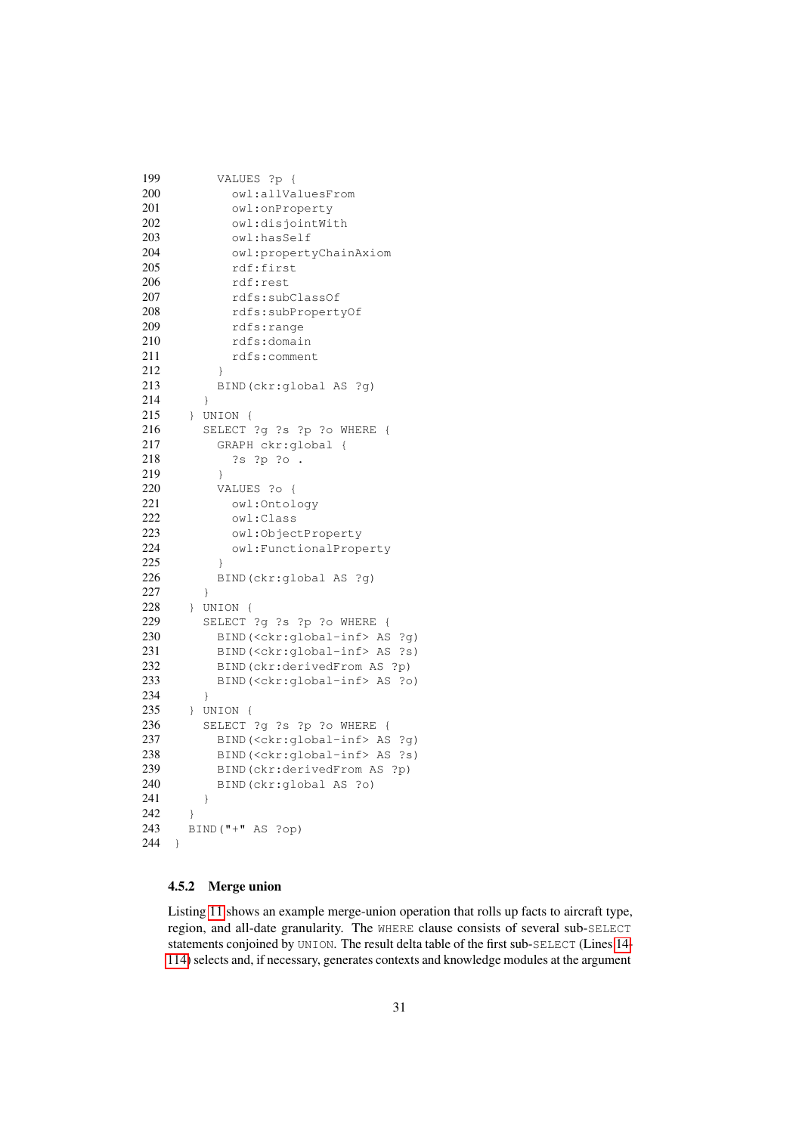```
199 VALUES ?p {
200 owl:allValuesFrom
201 owl:onProperty
202 owl:disjointWith
203 owl:hasSelf
204 owl:propertyChainAxiom
205 rdf:first
206 rdf:rest
207 rdfs:subClassOf
208 rdfs:subPropertyOf
209 rdfs:range
210 rdfs:domain
211 rdfs:comment
212 }
213 BIND(ckr:global AS ?g)
214 }
215 } UNION {
216 SELECT ?g ?s ?p ?o WHERE {
217 GRAPH ckr:global {
218 ?s ?p ?o .
219 }
220 VALUES ?o {
221 owl:Ontology
222 owl:Class
223 owl:ObjectProperty
224 owl:FunctionalProperty
225 }
226 BIND(ckr:global AS ?g)
227 }
228 } UNION {
229 SELECT ?g ?s ?p ?o WHERE {
230 BIND(<ckr:global-inf> AS ?g)
231 BIND(<ckr:global-inf> AS ?s)
232 BIND(ckr:derivedFrom AS ?p)
233 BIND(<ckr:global-inf> AS ?o)
234 }
235 } UNION {
236 SELECT ?g ?s ?p ?o WHERE {
237 BIND(<ckr:global-inf> AS ?g)
238 BIND(<ckr:global-inf> AS ?s)
239 BIND(ckr:derivedFrom AS ?p)
240 BIND(ckr:global AS ?o)
241 }
242 }
243 BIND("+" AS ?op)
244 }
```
### <span id="page-30-1"></span><span id="page-30-0"></span>4.5.2 Merge union

Listing [11](#page-31-0) shows an example merge-union operation that rolls up facts to aircraft type, region, and all-date granularity. The WHERE clause consists of several sub-SELECT statements conjoined by UNION. The result delta table of the first sub-SELECT (Lines [14-](#page-31-1) [114\)](#page-34-0) selects and, if necessary, generates contexts and knowledge modules at the argument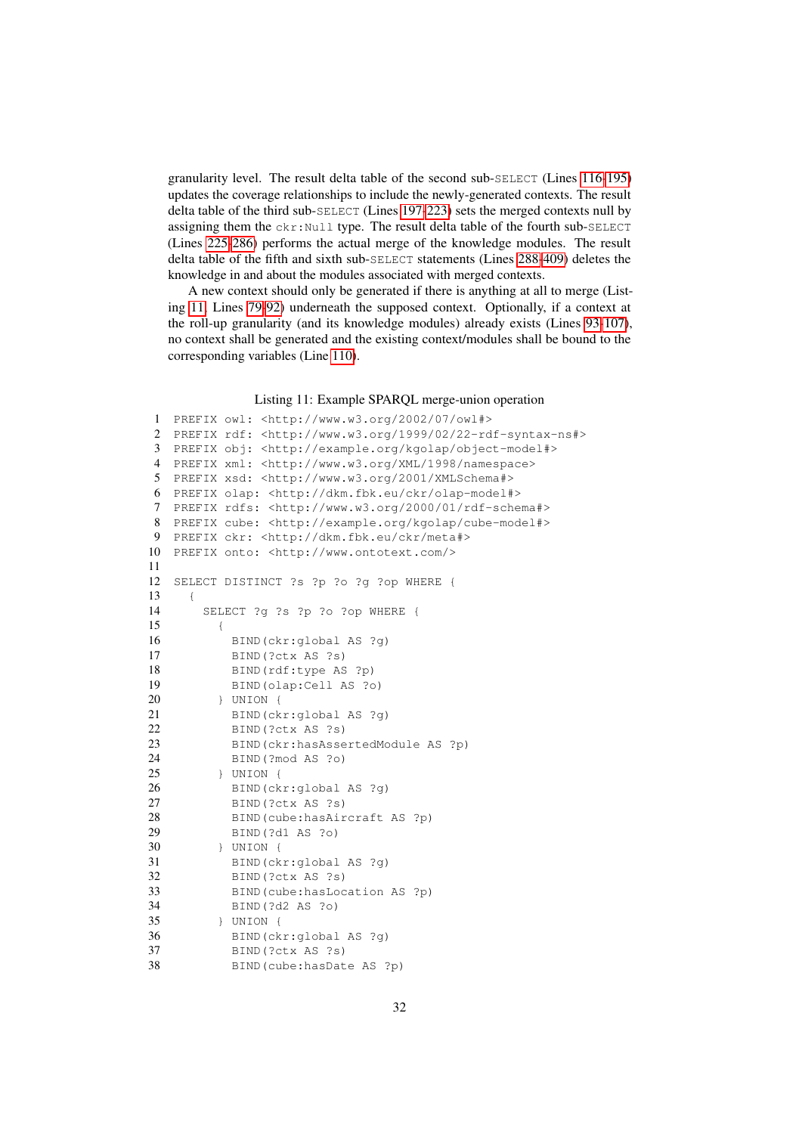granularity level. The result delta table of the second sub-SELECT (Lines [116-](#page-34-1)[195\)](#page-36-0) updates the coverage relationships to include the newly-generated contexts. The result delta table of the third sub-SELECT (Lines [197-](#page-36-1)[223\)](#page-36-2) sets the merged contexts null by assigning them the  $ckr:Null$  type. The result delta table of the fourth sub-SELECT (Lines [225-](#page-36-3)[286\)](#page-37-0) performs the actual merge of the knowledge modules. The result delta table of the fifth and sixth sub-SELECT statements (Lines [288](#page-37-1)[-409\)](#page-40-0) deletes the knowledge in and about the modules associated with merged contexts.

A new context should only be generated if there is anything at all to merge (Listing [11,](#page-31-0) Lines [79-](#page-32-0)[92\)](#page-32-1) underneath the supposed context. Optionally, if a context at the roll-up granularity (and its knowledge modules) already exists (Lines [93-](#page-33-0)[107\)](#page-33-1), no context shall be generated and the existing context/modules shall be bound to the corresponding variables (Line [110\)](#page-33-2).

#### Listing 11: Example SPARQL merge-union operation

```
1 PREFIX owl: <http://www.w3.org/2002/07/owl#>
2 PREFIX rdf: <http://www.w3.org/1999/02/22-rdf-syntax-ns#>
3 PREFIX obj: <http://example.org/kgolap/object-model#>
4 PREFIX xml: <http://www.w3.org/XML/1998/namespace>
5 PREFIX xsd: <http://www.w3.org/2001/XMLSchema#>
6 PREFIX olap: <http://dkm.fbk.eu/ckr/olap-model#>
7 PREFIX rdfs: <http://www.w3.org/2000/01/rdf-schema#>
8 PREFIX cube: <http://example.org/kgolap/cube-model#>
9 PREFIX ckr: <http://dkm.fbk.eu/ckr/meta#>
10 PREFIX onto: <http://www.ontotext.com/>
11
12 SELECT DISTINCT ?s ?p ?o ?g ?op WHERE {
13 {
14 SELECT ?g ?s ?p ?o ?op WHERE {
15 {
16 BIND(ckr:global AS ?g)
17 BIND(?ctx AS ?s)
18 BIND(rdf:type AS ?p)
19 BIND(olap:Cell AS ?o)
20 } UNION {
21 BIND(ckr:global AS ?g)
22 BIND(?ctx AS ?s)
23 BIND(ckr:hasAssertedModule AS ?p)
24 BIND(?mod AS ?o)
25 } UNION {
26 BIND(ckr:global AS ?g)
27 BIND(?ctx AS ?s)
28 BIND(cube:hasAircraft AS ?p)
29 BIND(?d1 AS ?o)
30 } UNION {
31 BIND(ckr:global AS ?g)
32 BIND(?ctx AS ?s)
33 BIND(cube:hasLocation AS ?p)
34 BIND(?d2 AS ?o)
35 } UNION {
36 BIND(ckr:global AS ?g)
37 BIND(?ctx AS ?s)
38 BIND(cube:hasDate AS ?p)
```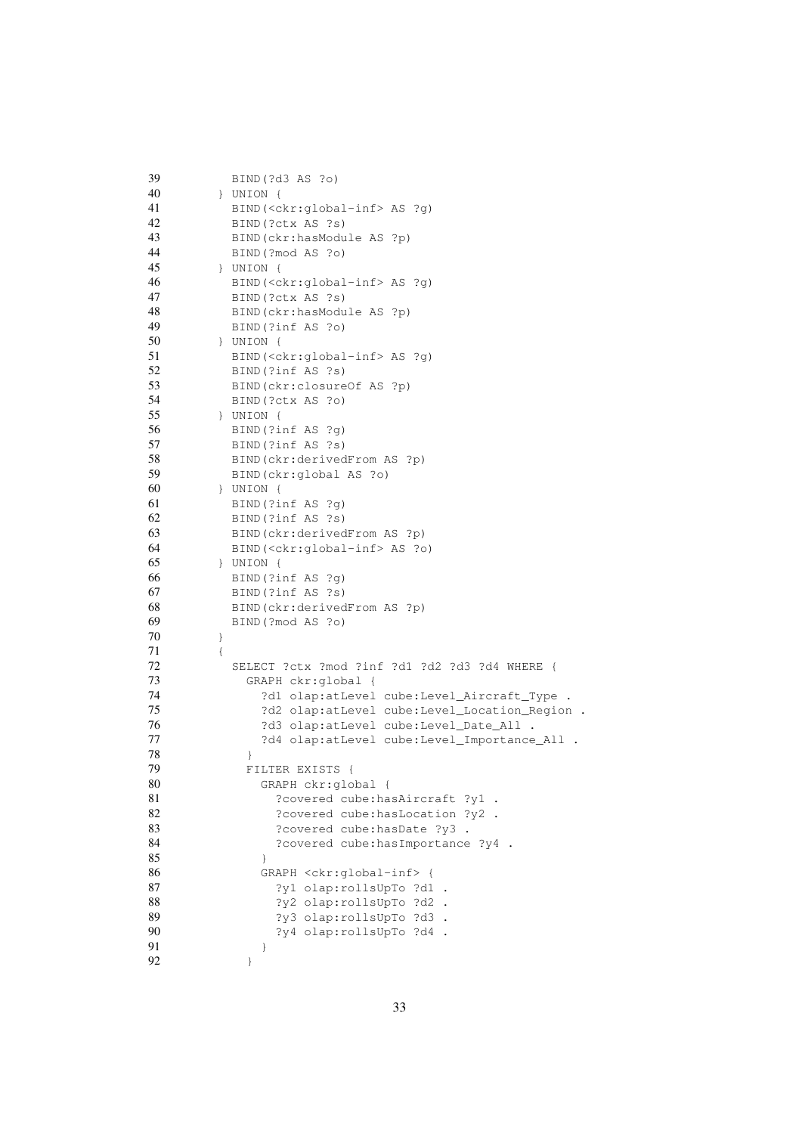<span id="page-32-1"></span><span id="page-32-0"></span>

| 39 |      | BIND(?d3 AS ?o)                                |
|----|------|------------------------------------------------|
| 40 |      | $\}$ UNION $\{$                                |
| 41 |      | BIND( <ckr:global-inf> AS ?g)</ckr:global-inf> |
| 42 |      | BIND (?ctx AS ?s)                              |
| 43 |      | BIND (ckr:hasModule AS ?p)                     |
| 44 |      | BIND (?mod AS ?o)                              |
| 45 |      | $\}$ UNION {                                   |
| 46 |      | BIND( <ckr:global-inf> AS ?g)</ckr:global-inf> |
| 47 |      | BIND (?ctx AS ?s)                              |
| 48 |      | BIND (ckr:hasModule AS ?p)                     |
| 49 |      | BIND (?inf AS ?o)                              |
| 50 |      | $\}$ UNION {                                   |
| 51 |      | BIND( <ckr:global-inf> AS ?g)</ckr:global-inf> |
| 52 |      | BIND(?inf AS ?s)                               |
| 53 |      | BIND(ckr:closureOf AS ?p)                      |
| 54 |      | BIND (?ctx AS ?o)                              |
| 55 |      | $\}$ UNION $\{$                                |
| 56 |      | BIND(?inf AS ?q)                               |
| 57 |      | BIND (?inf AS ?s)                              |
| 58 |      |                                                |
|    |      | BIND (ckr:derivedFrom AS ?p)                   |
| 59 |      | BIND(ckr:global AS ?o)                         |
| 60 |      | } UNION {                                      |
| 61 |      | BIND(?inf AS ?q)                               |
| 62 |      | BIND(?inf AS ?s)                               |
| 63 |      | BIND (ckr:derivedFrom AS ?p)                   |
| 64 |      | BIND( <ckr:global-inf> AS ?o)</ckr:global-inf> |
| 65 |      | $\}$ UNION {                                   |
| 66 |      | BIND(?inf AS ?q)                               |
| 67 |      | BIND(?inf AS ?s)                               |
| 68 |      | BIND (ckr:derivedFrom AS ?p)                   |
| 69 |      | BIND (?mod AS ?o)                              |
| 70 | $\}$ |                                                |
| 71 | $\{$ |                                                |
| 72 |      | SELECT ?ctx ?mod ?inf ?d1 ?d2 ?d3 ?d4 WHERE {  |
| 73 |      | GRAPH ckr:global {                             |
| 74 |      | ?d1 olap:atLevel cube:Level_Aircraft_Type .    |
| 75 |      | ?d2 olap:atLevel cube:Level_Location_Region .  |
| 76 |      | ?d3 olap:atLevel cube:Level_Date_All .         |
| 77 |      | ?d4 olap:atLevel cube:Level_Importance_All .   |
| 78 |      | $\}$                                           |
| 79 |      | FILTER EXISTS<br>$\overline{f}$                |
| 80 |      | GRAPH ckr:global {                             |
| 81 |      | ?covered cube: hasAircraft ?y1 .               |
| 82 |      | ?covered cube: hasLocation ?y2 .               |
| 83 |      | ?covered cube: hasDate ?y3                     |
| 84 |      | ?covered cube: has Importance ?y4 .            |
| 85 |      | $\}$                                           |
| 86 |      | GRAPH <ckr:global-inf> {</ckr:global-inf>      |
| 87 |      | ?y1 olap:rollsUpTo ?d1 .                       |
| 88 |      | ?y2 olap:rollsUpTo ?d2 .                       |
| 89 |      | ?y3 olap:rollsUpTo ?d3 .                       |
| 90 |      | ?y4 olap:rollsUpTo ?d4 .                       |
| 91 |      | }                                              |
| 92 |      | }                                              |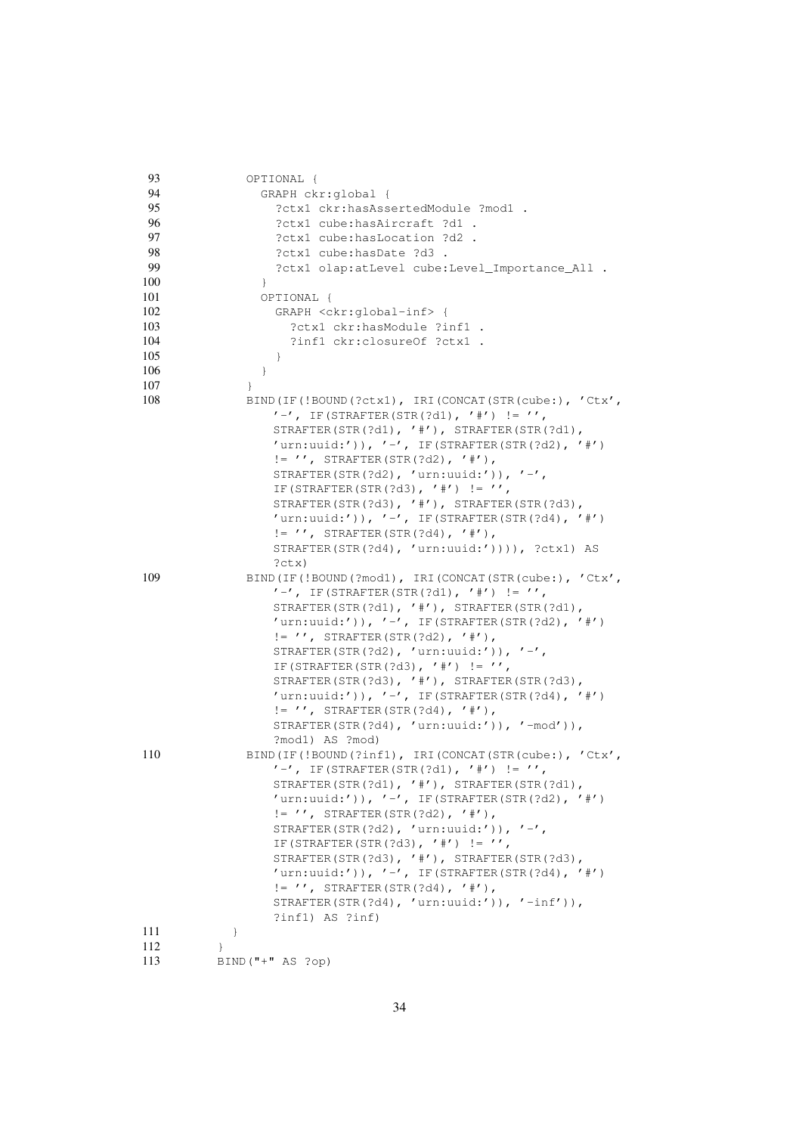<span id="page-33-1"></span><span id="page-33-0"></span>

| 93  | OPTIONAL {                                                                                                                                                                                                                                                                                                                                                                                                                                                                              |
|-----|-----------------------------------------------------------------------------------------------------------------------------------------------------------------------------------------------------------------------------------------------------------------------------------------------------------------------------------------------------------------------------------------------------------------------------------------------------------------------------------------|
| 94  | GRAPH ckr:global {                                                                                                                                                                                                                                                                                                                                                                                                                                                                      |
| 95  | ?ctx1 ckr:hasAssertedModule ?mod1 .                                                                                                                                                                                                                                                                                                                                                                                                                                                     |
| 96  | ?ctx1 cube:hasAircraft ?d1 .                                                                                                                                                                                                                                                                                                                                                                                                                                                            |
| 97  | ?ctx1 cube:hasLocation ?d2 .                                                                                                                                                                                                                                                                                                                                                                                                                                                            |
| 98  | ?ctx1 cube:hasDate ?d3.                                                                                                                                                                                                                                                                                                                                                                                                                                                                 |
| 99  | ?ctx1 olap:atLevel cube:Level_Importance_All .                                                                                                                                                                                                                                                                                                                                                                                                                                          |
| 100 | $\mathcal{F}$                                                                                                                                                                                                                                                                                                                                                                                                                                                                           |
| 101 | OPTIONAL {                                                                                                                                                                                                                                                                                                                                                                                                                                                                              |
| 102 | GRAPH <ckr:global-inf> {</ckr:global-inf>                                                                                                                                                                                                                                                                                                                                                                                                                                               |
| 103 | ?ctx1 ckr:hasModule ?inf1 .                                                                                                                                                                                                                                                                                                                                                                                                                                                             |
| 104 | ?inf1 ckr:closureOf ?ctx1 .                                                                                                                                                                                                                                                                                                                                                                                                                                                             |
| 105 | $\}$                                                                                                                                                                                                                                                                                                                                                                                                                                                                                    |
| 106 | $\}$                                                                                                                                                                                                                                                                                                                                                                                                                                                                                    |
| 107 | $\}$                                                                                                                                                                                                                                                                                                                                                                                                                                                                                    |
| 108 | BIND (IF (!BOUND (?ctx1), IRI (CONCAT (STR (cube:), 'Ctx',                                                                                                                                                                                                                                                                                                                                                                                                                              |
|     | $'$ -', IF(STRAFTER(STR(?d1), '#') != '',<br>STRAFTER(STR(?d1), '#'), STRAFTER(STR(?d1),<br>'urn:uuid:')), '-', IF(STRAFTER(STR(?d2), '#')<br>$!= ' ',$ STRAFTER (STR(?d2), '#'),<br>STRAFTER(STR(?d2), 'urn:uuid:')), '-',<br>IF (STRAFTER (STR(?d3), '#') != '',<br>STRAFTER (STR $($ ?d3), $'$ $#'$ ), STRAFTER (STR $($ ?d3),<br>$'urn:$ uuid:')), '-', IF(STRAFTER(STR(?d4), '#')<br>$!= ' ',$ STRAFTER (STR(?d4), '#'),<br>STRAFTER(STR(?d4), 'urn:uuid:')))), ?ctx1) AS<br>?ctx) |
| 109 | BIND(IF(!BOUND(?mod1), IRI(CONCAT(STR(cube:), 'Ctx',                                                                                                                                                                                                                                                                                                                                                                                                                                    |
|     | $'$ -', IF(STRAFTER(STR(?d1), '#') != '',<br>STRAFTER(STR(?d1), '#'), STRAFTER(STR(?d1),<br>'urn:uuid:')), '-', IF(STRAFTER(STR(?d2), '#')<br>$!= ' ',$ STRAFTER (STR(?d2), '#'),<br>STRAFTER(STR(?d2), 'urn:uuid:')), '-',<br>IF (STRAFTER (STR(?d3), '#') != '',<br>STRAFTER (STR $(?d3)$ , '#'), STRAFTER (STR $(?d3)$ ,<br>'urn:uuid:')), '-', IF(STRAFTER(STR(?d4), '#')<br>$!= ' ',$ STRAFTER(STR(?d4), '#'),<br>STRAFTER(STR(?d4), 'urn:uuid:')), '-mod')),<br>?mod1) AS ?mod)   |
| 110 | BIND(IF(!BOUND(?inf1), IRI(CONCAT(STR(cube:), 'Ctx',<br>$' -'$ , IF(STRAFTER(STR(?d1), '#') != '',<br>STRAFTER(STR(?d1), '#'), STRAFTER(STR(?d1),<br>$'urn:$ uuid:')), $'-'$ , IF(STRAFTER(STR(?d2), '#')                                                                                                                                                                                                                                                                               |
|     | $!= ' ',$ STRAFTER (STR(?d2), '#'),<br>STRAFTER(STR(?d2), 'urn:uuid:')), '-',                                                                                                                                                                                                                                                                                                                                                                                                           |
|     | IF (STRAFTER (STR (?d3), '#') != '',                                                                                                                                                                                                                                                                                                                                                                                                                                                    |
|     | STRAFTER (STR $(3d)$ , '#'), STRAFTER (STR $(3d)$ ,                                                                                                                                                                                                                                                                                                                                                                                                                                     |
|     | 'urn:uuid:')), '-', IF(STRAFTER(STR(?d4), '#')                                                                                                                                                                                                                                                                                                                                                                                                                                          |
|     | $!= '',$ STRAFTER(STR(?d4), '#'),                                                                                                                                                                                                                                                                                                                                                                                                                                                       |
|     | STRAFTER(STR(?d4), 'urn:uuid:')), '-inf')),                                                                                                                                                                                                                                                                                                                                                                                                                                             |
|     | ?inf1) AS ?inf)                                                                                                                                                                                                                                                                                                                                                                                                                                                                         |
| 111 | $\}$                                                                                                                                                                                                                                                                                                                                                                                                                                                                                    |
| 112 | $\}$                                                                                                                                                                                                                                                                                                                                                                                                                                                                                    |
|     |                                                                                                                                                                                                                                                                                                                                                                                                                                                                                         |
| 113 | $BIND("+" AS ?op)$                                                                                                                                                                                                                                                                                                                                                                                                                                                                      |

<span id="page-33-2"></span>34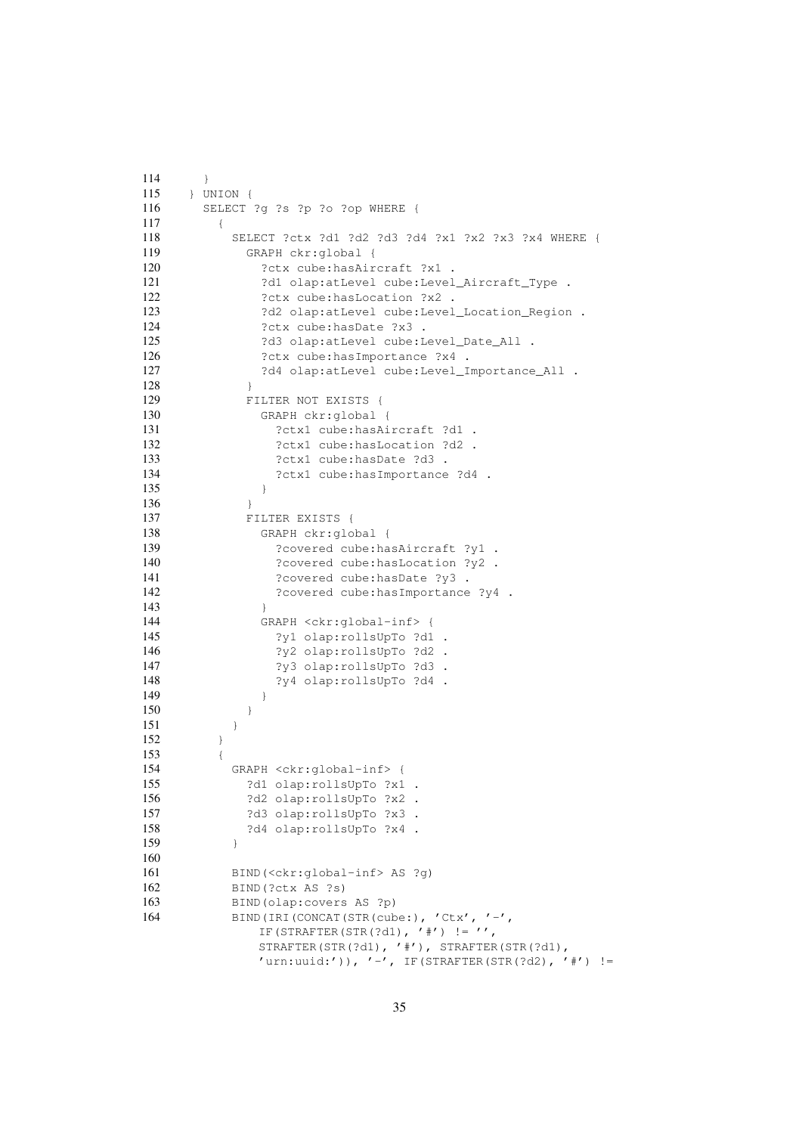```
114 \rightarrow115 } UNION {
116 SELECT ?g ?s ?p ?o ?op WHERE {
117 {
118 SELECT ?ctx ?d1 ?d2 ?d3 ?d4 ?x1 ?x2 ?x3 ?x4 WHERE {
119 GRAPH ckr:global {
120 ?ctx cube: hasAircraft ?x1 .
121 ?d1 olap:atLevel cube:Level_Aircraft_Type .
122 ?ctx cube: hasLocation ?x2 .
123 ?d2 olap:atLevel cube:Level_Location_Region .
124 ?ctx cube: hasDate ?x3 .
125 ?d3 olap:atLevel cube:Level_Date_All .
126 ?ctx cube: hasImportance ?x4 .
127 ?d4 olap:atLevel cube:Level_Importance_All .
128 }
129 FILTER NOT EXISTS {
130 GRAPH ckr:global {
131 ?ctx1 cube: hasAircraft ?d1 .
132 ?ctx1 cube: hasLocation ?d2 .
133 ?ctx1 cube: hasDate ?d3 .
134 ?ctx1 cube:hasImportance ?d4 .
135 }
136 }
137 FILTER EXISTS {
138 GRAPH ckr:global {
139 ?covered cube:hasAircraft ?y1 .
140 ?covered cube: has Location ?y2 .
141 ?covered cube: hasDate ?y3 .
142 ?covered cube:hasImportance ?y4 .
143 }
144 GRAPH <ckr:global-inf> {
145 ?y1 olap:rollsUpTo ?d1 .
146 ?y2 olap:rollsUpTo ?d2 .
147 ?y3 olap:rollsUpTo ?d3.
148 ?y4 olap:rollsUpTo ?d4 .
149 }
150 }
151 }
152 }
153 {
154 GRAPH <ckr:global-inf> {
155 ?d1 olap:rollsUpTo ?x1 .
156 ?d2 olap:rollsUpTo ?x2 .
157 ?d3 olap:rollsUpTo ?x3 .
158 ?d4 olap:rollsUpTo ?x4.
159 }
160
161 BIND(<ckr:global-inf> AS ?g)
162 BIND(?ctx AS ?s)
163 BIND(olap:covers AS ?p)
164 BIND(IRI(CONCAT(STR(cube:), 'Ctx', '-',
            IF(STRAFTER(STR(?d1), '#') != '',
            STRAFTER(STR(?d1), '#'), STRAFTER(STR(?d1),
            'urn:uuid:')), '-', IF(STRAFTER(STR(?d2), '#') !=
```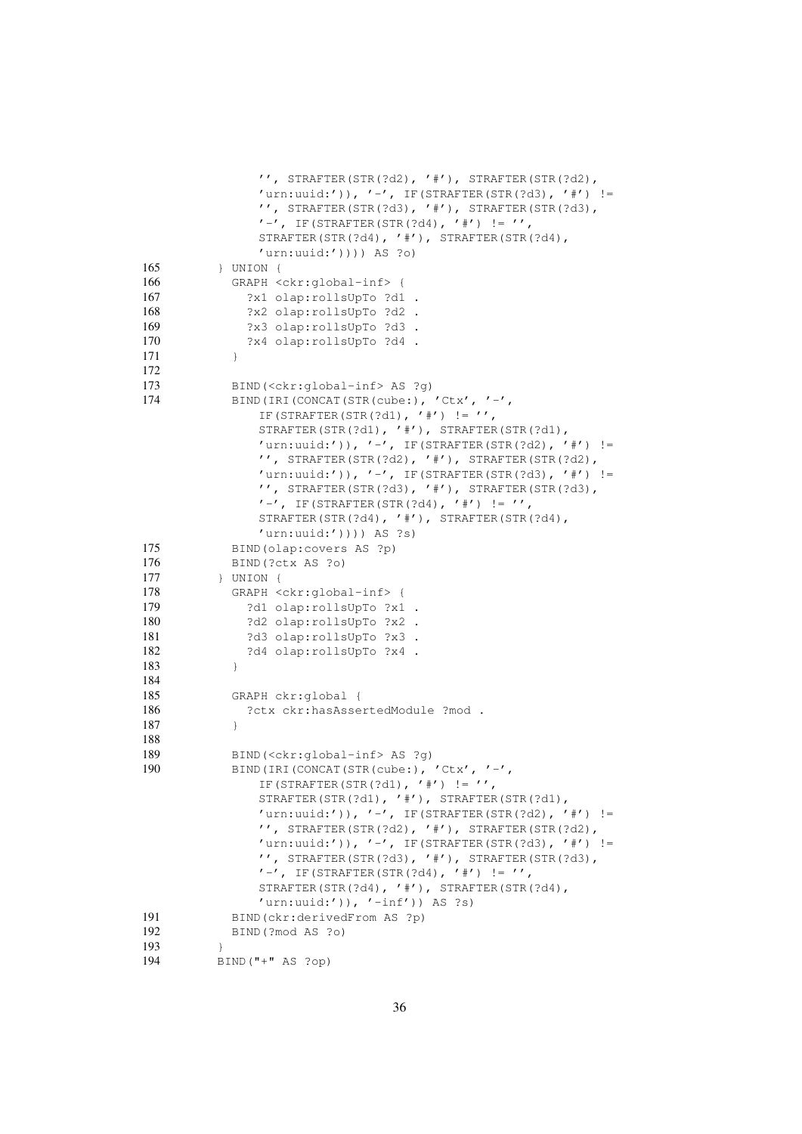```
'', STRAFTER(STR(?d2), '#'), STRAFTER(STR(?d2),
              'urn:uuid:')), '-', IF(STRAFTER(STR(?d3), '#') !=
              '', STRAFTER(STR(?d3), '#'), STRAFTER(STR(?d3),
              ' -', IF(STRAFTER(STR(?d4), '#') != '',
              STRAFTER(STR(?d4), '#'), STRAFTER(STR(?d4),
              'urn:uuid:')))) AS ?o)
165 } UNION {
166 GRAPH <ckr:global-inf> {
167 ?x1 olap:rollsUpTo ?d1 .
168 ?x2 olap:rollsUpTo ?d2 .
169 ?x3 olap:rollsUpTo ?d3 .
170 ?x4 olap:rollsUpTo ?d4 .
171 }
172
173 BIND(<ckr:global-inf> AS ?g)
174 BIND(IRI(CONCAT(STR(cube:), 'Ctx', '-',
              IF(STRAFTER(STR(?d1), '#') != '',
              STRAFTER(STR(?d1), '#'), STRAFTER(STR(?d1),
              'urn:uuid:')), ' -', IF(STRAFTER(STR(?d2), '#') !=
              '', STRAFTER(STR(?d2), '#'), STRAFTER(STR(?d2),
              'urn:uuid:')), '-', IF(STRAFTER(STR(?d3), '#') !=
              '', STRAFTER(STR(?d3), '#'), STRAFTER(STR(?d3),
              ' -', IF(STRAFTER(STR(?d4), '#') != '',
              STRAFTER(STR(?d4), '#'), STRAFTER(STR(?d4),
              'urn:uuid:')))) AS ?s)
175 BIND(olap:covers AS ?p)
176 BIND(?ctx AS ?o)
177 } UNION {
178 GRAPH <ckr:global-inf> {
179 ?d1 olap:rollsUpTo ?x1 .
180 ?d2 olap:rollsUpTo ?x2 .
181 ?d3 olap:rollsUpTo ?x3 .
182 ?d4 olap:rollsUpTo ?x4 .
183 }
184
185 GRAPH ckr:global {
186 ?ctx ckr:hasAssertedModule ?mod .
187 }
188
189 BIND(<ckr:global-inf> AS ?g)
190 BIND(IRI(CONCAT(STR(cube:), 'Ctx', '-',
              IF(STRAFTER(STR(?d1), '#') !='',
              STRAFTER(STR(?d1), '#'), STRAFTER(STR(?d1),
              'urn:uuid:')), '-', IF(STRAFTER(STR(?d2), '#') !=
              '', STRAFTER(STR(?d2), '#'), STRAFTER(STR(?d2),
              'urn:uuid:'), '-', IF(STRAFTER(STR(?d3), '#') !=
              '', STRAFTER(STR(?d3), '#'), STRAFTER(STR(?d3),
              '-', IF(STRAFTER(STR(?d4), '#') != '',
              STRAFTER(STR(?d4), '#'), STRAFTER(STR(?d4),
              'urn:uuid:')), '-inf')) AS ?s)
191 BIND(ckr:derivedFrom AS ?p)
192 BIND(?mod AS ?o)
193 }
194 BIND("+" AS ?op)
```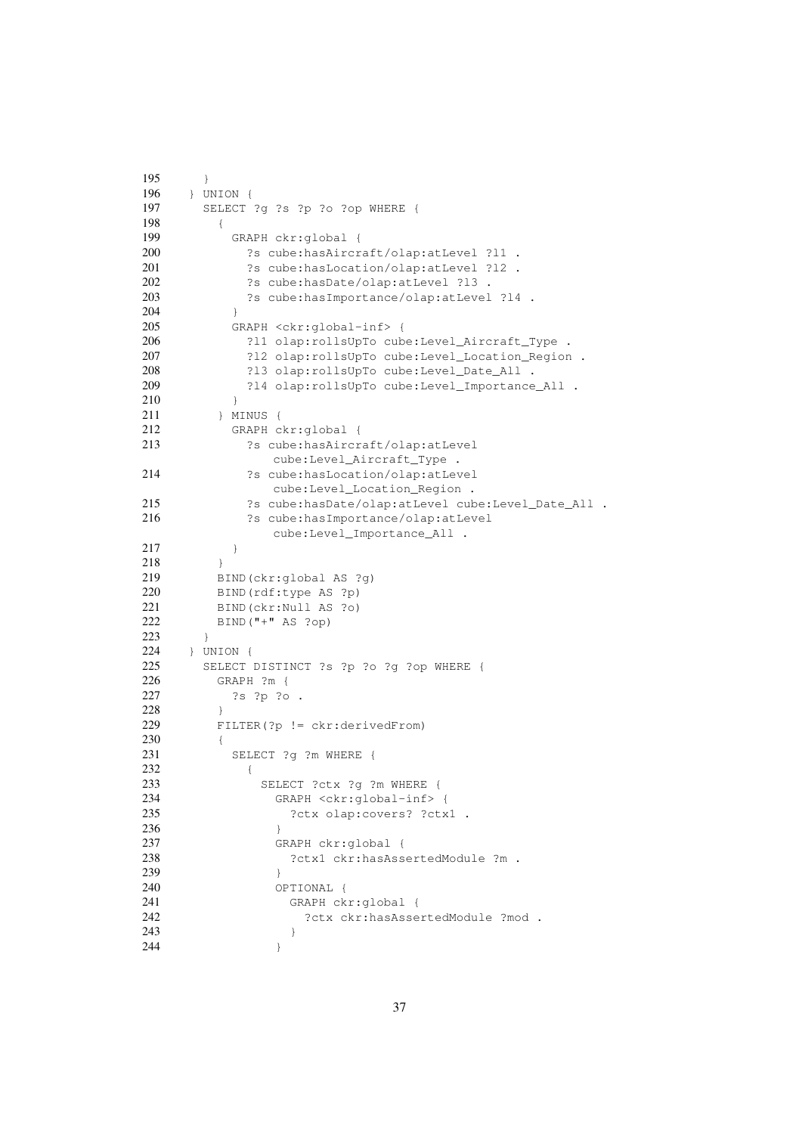```
195 \rightarrow196 } UNION {
197 SELECT ?g ?s ?p ?o ?op WHERE {
198 {
199 GRAPH ckr:global {
200 ?s cube:hasAircraft/olap:atLevel ?l1 .
201 ?s cube:hasLocation/olap:atLevel ?l2 .
202 ?s cube:hasDate/olap:atLevel ?l3 .
203 ?s cube:hasImportance/olap:atLevel ?l4 .
204 }
205 GRAPH <ckr:global-inf> {
206 ?l1 olap:rollsUpTo cube:Level_Aircraft_Type .
207 ?l2 olap:rollsUpTo cube:Level_Location_Region .
208 ?l3 olap:rollsUpTo cube:Level_Date_All .
209 ?l4 olap:rollsUpTo cube:Level_Importance_All .
210 }
211 } MINUS {
212 GRAPH ckr:global {
213 ?s cube:hasAircraft/olap:atLevel
             cube:Level_Aircraft_Type .
214 ?s cube:hasLocation/olap:atLevel
             cube:Level_Location_Region .
215 ?s cube:hasDate/olap:atLevel cube:Level_Date_All .
216 ?s cube:hasImportance/olap:atLevel
             cube:Level_Importance_All .
217 }
218 }
219 BIND(ckr:global AS ?g)
220 BIND(rdf:type AS ?p)
221 BIND(ckr:Null AS ?o)
222 BIND("+" AS ?op)
223 }
224 } UNION {
225 SELECT DISTINCT ?s ?p ?o ?g ?op WHERE {
226 GRAPH ?m {
227 ?s ?p ?o .
228 }
229 FILTER(?p != ckr:derivedFrom)
230 {
231 SELECT ?g ?m WHERE {
232 {
233 SELECT ?ctx ?q ?m WHERE {
234 GRAPH <ckr:global-inf> {
235 ?ctx olap:covers? ?ctx1 .
236 }
237 GRAPH ckr:global {
238 ?ctx1 ckr:hasAssertedModule ?m .
239 }
240 OPTIONAL {
241 GRAPH ckr:global {
242 ?ctx ckr:hasAssertedModule ?mod .
243 }
244 }
```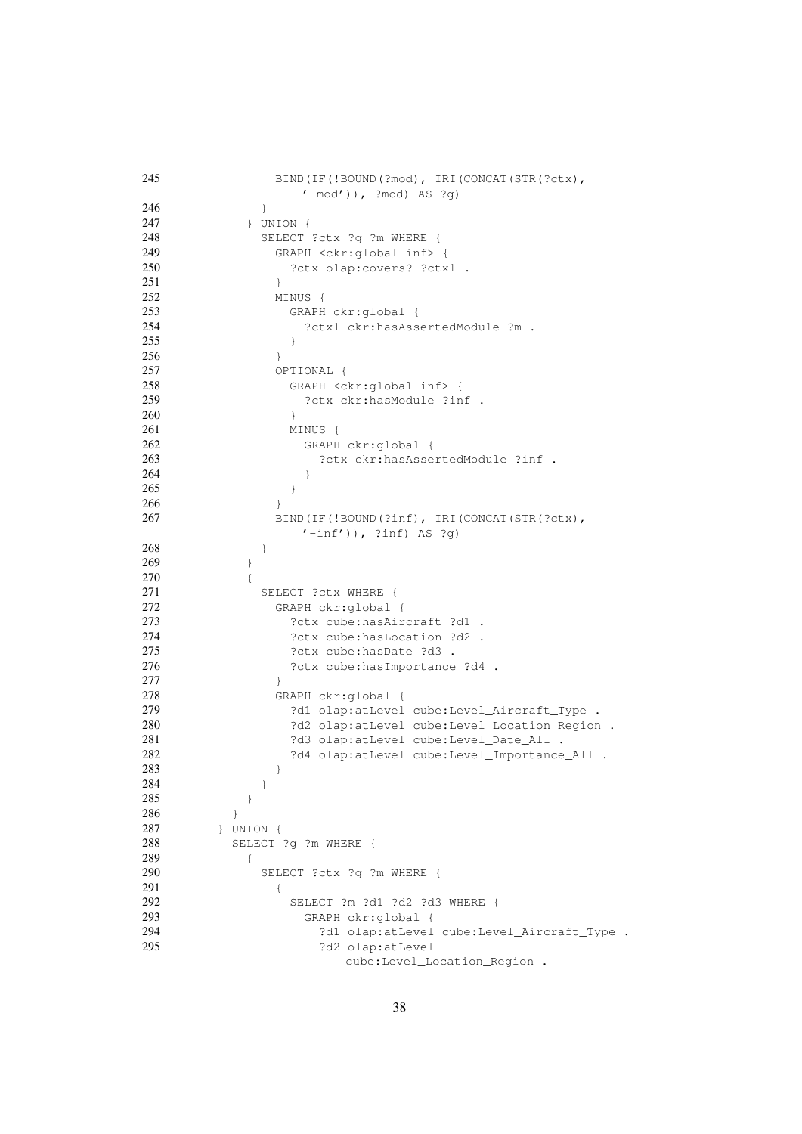<span id="page-37-1"></span><span id="page-37-0"></span>

| 245 | BIND (IF (!BOUND (?mod), IRI (CONCAT (STR (?ctx),<br>$'\neg \text{mod'}$ )), ?mod) AS ?g) |
|-----|-------------------------------------------------------------------------------------------|
| 246 | ł                                                                                         |
| 247 | $\}$ UNION $\{$                                                                           |
| 248 | SELECT ?ctx ?g ?m WHERE {                                                                 |
| 249 |                                                                                           |
| 250 | GRAPH <ckr:global-inf> {</ckr:global-inf>                                                 |
| 251 | ?ctx olap:covers? ?ctx1 .                                                                 |
|     | $\mathcal{F}$                                                                             |
| 252 | MINUS {                                                                                   |
| 253 | GRAPH ckr:global {                                                                        |
| 254 | ?ctx1 ckr:hasAssertedModule ?m .                                                          |
| 255 | $\}$                                                                                      |
| 256 | $\}$                                                                                      |
| 257 | OPTIONAL {                                                                                |
| 258 | GRAPH <ckr:global-inf> {</ckr:global-inf>                                                 |
| 259 | ?ctx ckr:hasModule ?inf .                                                                 |
| 260 | $\}$                                                                                      |
| 261 | MINUS {                                                                                   |
| 262 | GRAPH ckr:global {                                                                        |
| 263 | ?ctx ckr:hasAssertedModule ?inf .                                                         |
| 264 | $\}$                                                                                      |
| 265 | }                                                                                         |
| 266 | $\mathcal{E}$                                                                             |
| 267 | BIND (IF (!BOUND (?inf), IRI (CONCAT (STR (?ctx),<br>$'\text{-inf'}$ )), ?inf) AS ?g)     |
| 268 | }                                                                                         |
| 269 | }                                                                                         |
| 270 | $\left\{ \right.$                                                                         |
| 271 | SELECT ?ctx WHERE {                                                                       |
| 272 | GRAPH ckr:global {                                                                        |
| 273 | ?ctx cube:hasAircraft ?d1 .                                                               |
| 274 | ?ctx cube:hasLocation ?d2 .                                                               |
| 275 | ?ctx cube:hasDate ?d3 .                                                                   |
| 276 | ?ctx cube:hasImportance ?d4 .                                                             |
| 277 | $\mathcal{F}$                                                                             |
| 278 | GRAPH ckr:global {                                                                        |
| 279 |                                                                                           |
| 280 | ?d1 olap:atLevel cube:Level_Aircraft_Type .                                               |
| 281 | ?d2 olap:atLevel cube:Level_Location_Region .                                             |
|     | ?d3 olap:atLevel cube:Level_Date_All .                                                    |
| 282 | ?d4 olap:atLevel cube:Level_Importance_All .                                              |
| 283 | }                                                                                         |
| 284 | }                                                                                         |
| 285 | ł                                                                                         |
| 286 | ł                                                                                         |
| 287 | $\}$ UNION $\{$                                                                           |
| 288 | SELECT ?q ?m WHERE {                                                                      |
| 289 | $\{$                                                                                      |
| 290 | SELECT ?ctx ?q ?m WHERE {                                                                 |
| 291 | ₹                                                                                         |
| 292 | SELECT ?m ?d1 ?d2 ?d3 WHERE {                                                             |
| 293 | GRAPH ckr:global {                                                                        |
| 294 | ?d1 olap:atLevel cube:Level_Aircraft_Type .                                               |
| 295 | ?d2 olap:atLevel                                                                          |
|     | cube:Level_Location_Region .                                                              |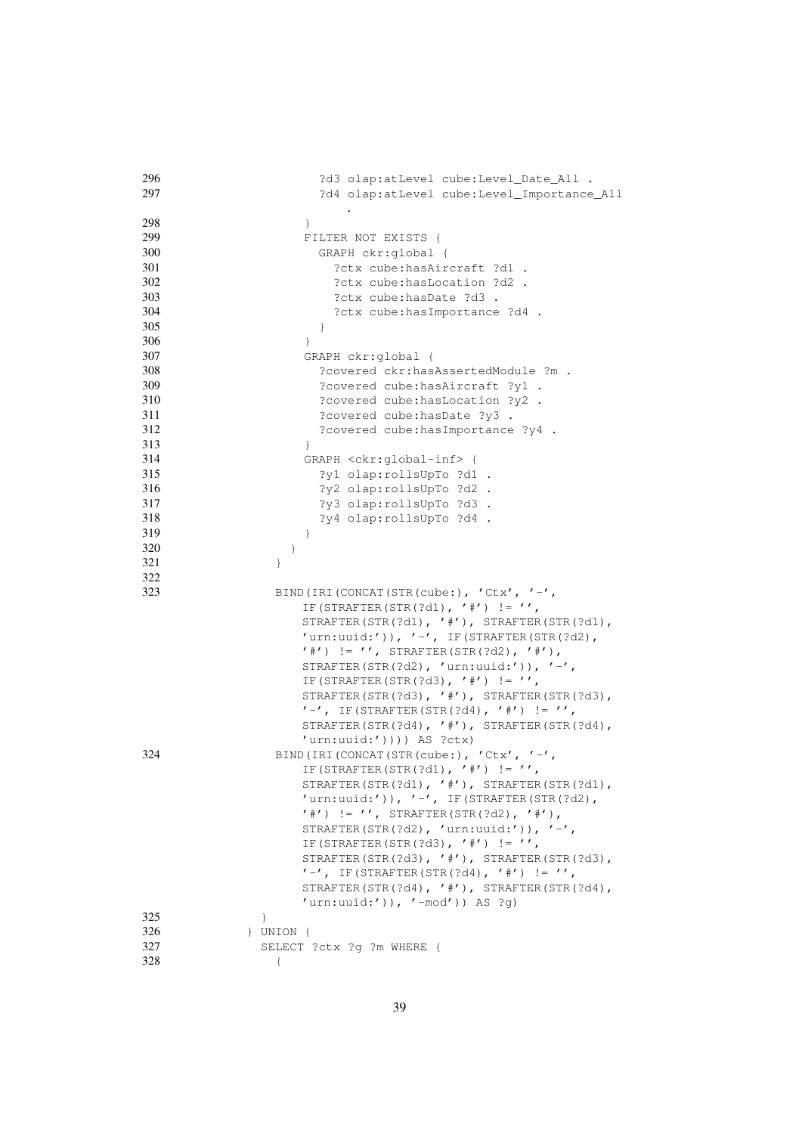| 296        | ?d3 olap:atLevel cube:Level_Date_All .                |
|------------|-------------------------------------------------------|
| 297        | ?d4 olap:atLevel cube:Level_Importance_All            |
|            |                                                       |
| 298        |                                                       |
|            | $\}$                                                  |
| 299        | FILTER NOT EXISTS {                                   |
| 300        | GRAPH ckr:global {                                    |
| 301        | ?ctx cube:hasAircraft ?d1 .                           |
| 302        | ?ctx cube:hasLocation ?d2 .                           |
| 303        | ?ctx cube:hasDate ?d3 .                               |
| 304        | ?ctx cube:hasImportance ?d4 .                         |
| 305        |                                                       |
|            | $\}$                                                  |
| 306        | $\}$                                                  |
| 307        | GRAPH ckr:global {                                    |
| 308        | ?covered ckr:hasAssertedModule ?m .                   |
| 309        | ?covered cube: has Aircraft ?y1 .                     |
| 310        | ?covered cube: hasLocation ?y2 .                      |
| 311        | ?covered cube: hasDate ?y3 .                          |
|            |                                                       |
| 312        | ?covered cube: has Importance ?y4 .                   |
| 313        | $\}$                                                  |
| 314        | GRAPH <ckr:global-inf> {</ckr:global-inf>             |
| 315        | ?y1 olap:rollsUpTo ?d1 .                              |
| 316        | ?y2 olap:rollsUpTo ?d2 .                              |
| 317        | ?y3 olap:rollsUpTo ?d3 .                              |
| 318        |                                                       |
|            | ?y4 olap:rollsUpTo ?d4 .                              |
| 319        | $\}$                                                  |
| 320        | $\}$                                                  |
| 321        | $\}$                                                  |
| 322        |                                                       |
| 323        | BIND (IRI (CONCAT (STR (cube:), 'Ctx', '-',           |
|            | IF (STRAFTER (STR (?d1), '#') != '',                  |
|            | STRAFTER (STR $(?d1)$ , '#'), STRAFTER (STR $(?d1)$ , |
|            |                                                       |
|            | $'urn:$ uid:')), $'$ -', IF(STRAFTER(STR(?d2),        |
|            |                                                       |
|            | $'$ #') != '', STRAFTER(STR(?d2), '#'),               |
|            | STRAFTER(STR(?d2), 'urn:uuid:')), '-',                |
|            | IF (STRAFTER (STR (?d3), '#') != '',                  |
|            |                                                       |
|            | STRAFTER(STR(?d3), '#'), STRAFTER(STR(?d3),           |
|            | $' -'$ , IF(STRAFTER(STR(?d4), '#') != '',            |
|            | STRAFTER (STR $(3d4)$ , '#'), STRAFTER (STR $(3d4)$ , |
|            | 'urn:uuid:')))) AS ?ctx)                              |
| 324        | BIND (IRI (CONCAT (STR (cube:), 'Ctx', '-',           |
|            | IF (STRAFTER (STR(?d1), '#') != '',                   |
|            | STRAFTER(STR(?d1), '#'), STRAFTER(STR(?d1),           |
|            |                                                       |
|            | $'urn:$ uid:')), $'$ -', IF(STRAFTER(STR(?d2),        |
|            | $'$ #') != '', STRAFTER(STR(?d2), '#'),               |
|            | STRAFTER(STR(?d2), 'urn:uuid:')), '-',                |
|            | IF (STRAFTER (STR (?d3), '#') != '',                  |
|            | STRAFTER (STR $(3d)$ , '#'), STRAFTER (STR $(3d)$ ,   |
|            | $'$ -', IF(STRAFTER(STR(?d4), '#') != '',             |
|            | STRAFTER (STR $(2d4)$ , '#'), STRAFTER (STR $(2d4)$ , |
|            |                                                       |
|            | $'urn:$ uuid:')), '-mod')) AS ?q)                     |
| 325        | $\mathcal{F}$                                         |
| 326        | } UNION {                                             |
| 327<br>328 | SELECT ?ctx ?g ?m WHERE {<br>€                        |

39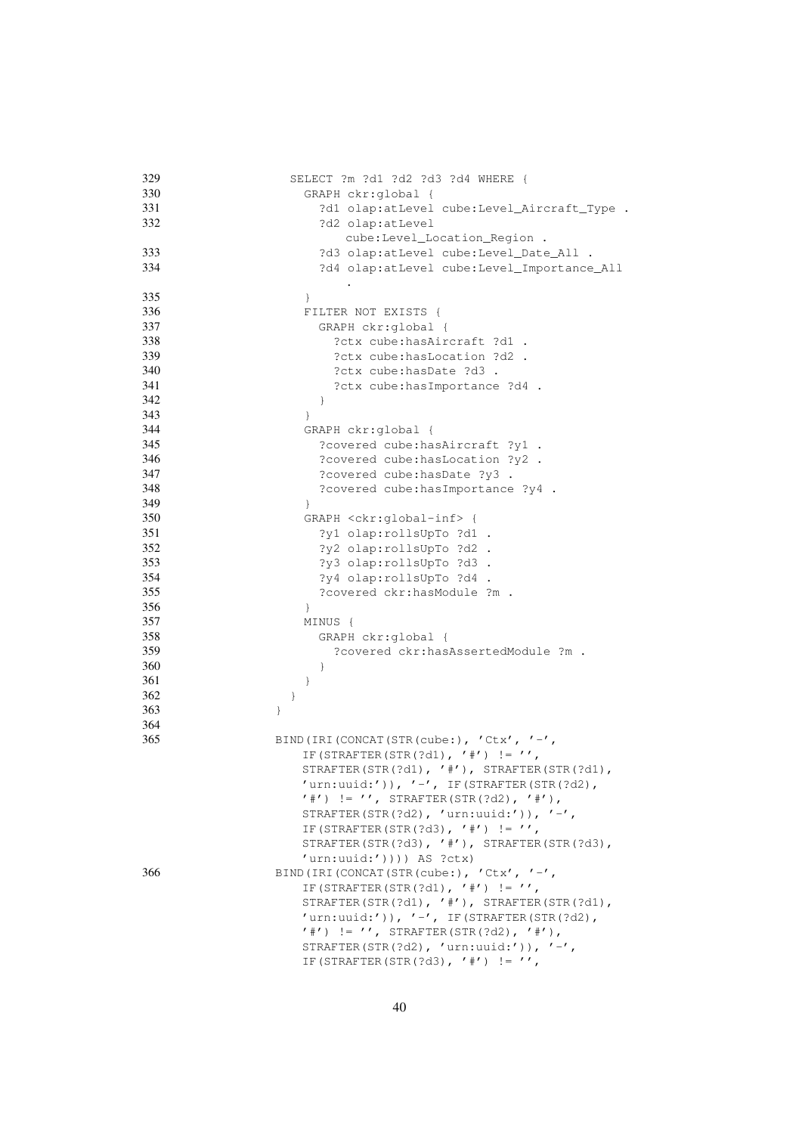| 329 | SELECT ?m ?d1 ?d2 ?d3 ?d4 WHERE {                 |
|-----|---------------------------------------------------|
| 330 | GRAPH ckr:global {                                |
| 331 | ?d1 olap:atLevel cube:Level_Aircraft_Type .       |
| 332 | ?d2 olap:atLevel                                  |
|     | cube:Level_Location_Region .                      |
| 333 | ?d3 olap:atLevel cube:Level_Date_All .            |
| 334 |                                                   |
|     | ?d4 olap:atLevel cube:Level_Importance_All        |
|     |                                                   |
| 335 | $\}$                                              |
| 336 | FILTER NOT EXISTS {                               |
| 337 | GRAPH ckr:global {                                |
| 338 | ?ctx cube:hasAircraft ?d1 .                       |
| 339 | ?ctx cube:hasLocation ?d2 .                       |
| 340 | ?ctx cube:hasDate ?d3.                            |
| 341 | ?ctx cube: has Importance ?d4 .                   |
| 342 | $\big\}$                                          |
| 343 | $\}$                                              |
| 344 | GRAPH ckr:global {                                |
| 345 | ?covered cube: has Aircraft ?y1 .                 |
| 346 | ?covered cube: has Location ?y2 .                 |
| 347 | ?covered cube: hasDate ?y3 .                      |
|     |                                                   |
| 348 | ?covered cube: has Importance ?y4 .               |
| 349 | $\mathcal{F}$                                     |
| 350 | GRAPH <ckr:global-inf> {</ckr:global-inf>         |
| 351 | ?y1 olap:rollsUpTo ?d1 .                          |
| 352 | ?y2 olap:rollsUpTo ?d2 .                          |
| 353 | ?y3 olap:rollsUpTo ?d3 .                          |
| 354 | ?y4 olap:rollsUpTo ?d4 .                          |
| 355 | ?covered ckr:hasModule ?m .                       |
| 356 | $\}$                                              |
| 357 | MINUS {                                           |
| 358 | GRAPH ckr:global {                                |
| 359 | ?covered ckr:hasAssertedModule ?m .               |
| 360 | $\}$                                              |
| 361 | $\}$                                              |
| 362 |                                                   |
|     | $\}$                                              |
| 363 | $\}$                                              |
| 364 |                                                   |
| 365 | BIND (IRI (CONCAT (STR (cube:), 'Ctx', '-',       |
|     | IF (STRAFTER (STR (?d1), '#') != '',              |
|     | STRAFTER(STR(?d1), $'$ #'), STRAFTER(STR(?d1),    |
|     | 'urn:uuid:')), '-', IF(STRAFTER(STR(?d2),         |
|     | $'$ #') != '', STRAFTER(STR(?d2), '#'),           |
|     | STRAFTER(STR(?d2), 'urn:uuid:')), '-',            |
|     | IF (STRAFTER (STR (?d3), '#') != '',              |
|     | STRAFTER(STR(?d3), $'$ #'), STRAFTER(STR(?d3),    |
|     | 'urn:uuid:')))) AS ?ctx)                          |
| 366 | BIND (IRI (CONCAT (STR (cube:), $'$ Ctx', $'$ -', |
|     | IF (STRAFTER (STR (?d1), '#') != '',              |
|     |                                                   |
|     | STRAFTER(STR(?d1), $'$ #'), STRAFTER(STR(?d1),    |
|     | $'urn:$ uuid:')), $'$ -', IF(STRAFTER(STR(?d2),   |
|     | $'$ #') != '', STRAFTER(STR(?d2), '#'),           |
|     | STRAFTER(STR(?d2), 'urn:uuid:')), '-',            |
|     | IF (STRAFTER (STR (?d3), '#') $!= '',$            |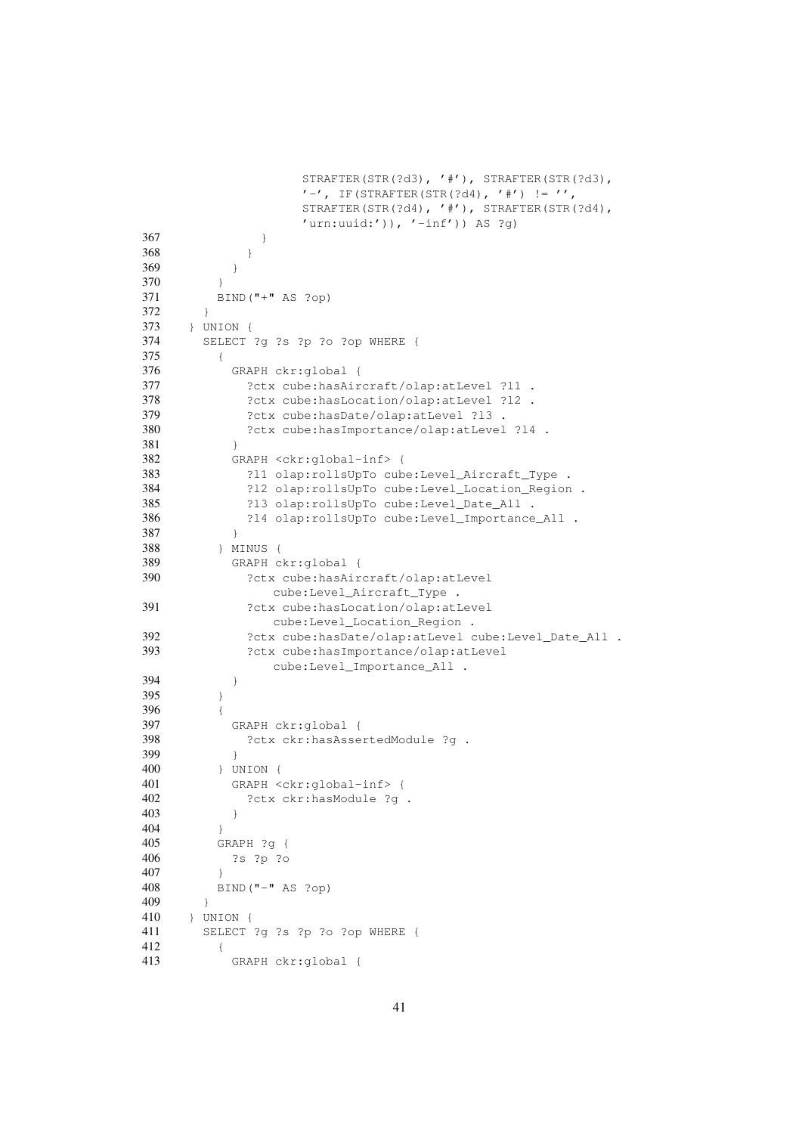```
STRAFTER(STR(?d3), '#'), STRAFTER(STR(?d3),
                 ' -', IF(STRAFTER(STR(?d4), '#') != '',
                 STRAFTER(STR(?d4), '#'), STRAFTER(STR(?d4),
                 'urn:uuid:')), '[-inf')) AS ?q)
367 }
368 }
369 }
370 }
371 BIND("+" AS ?op)
372 }
373 } UNION {
374 SELECT ?g ?s ?p ?o ?op WHERE {
375 {
376 GRAPH ckr:global {
377 ?ctx cube:hasAircraft/olap:atLevel ?l1 .
378 ?ctx cube:hasLocation/olap:atLevel ?l2 .
379 ?ctx cube:hasDate/olap:atLevel ?l3 .
380 ?ctx cube:hasImportance/olap:atLevel ?l4 .
381 }
382 GRAPH <ckr:global-inf> {
383 ?l1 olap:rollsUpTo cube:Level_Aircraft_Type .
384 ?l2 olap:rollsUpTo cube:Level_Location_Region .
385 ?l3 olap:rollsUpTo cube:Level_Date_All .
386 ?l4 olap:rollsUpTo cube:Level_Importance_All .
387 }
388 } MINUS {
389 GRAPH ckr:global {
390 ?ctx cube:hasAircraft/olap:atLevel
              cube:Level_Aircraft_Type .
391 ?ctx cube:hasLocation/olap:atLevel
             cube:Level_Location_Region .
392 ?ctx cube:hasDate/olap:atLevel cube:Level_Date_All .
393 ?ctx cube:hasImportance/olap:atLevel
              cube:Level_Importance_All .
394 }
395 }
396 {
397 GRAPH ckr:global {
398 ?ctx ckr:hasAssertedModule ?g .
399 }
400 } UNION {
401 GRAPH <ckr:global-inf> {
402 ?ctx ckr:hasModule ?g .
403 }
404 }
405 GRAPH ?g {
406 ?s ?p ?o
407 }
408 BIND("-" AS ?op)
409 }
410 } UNION {
411 SELECT ?g ?s ?p ?o ?op WHERE {
412 {
413 GRAPH ckr:global {
```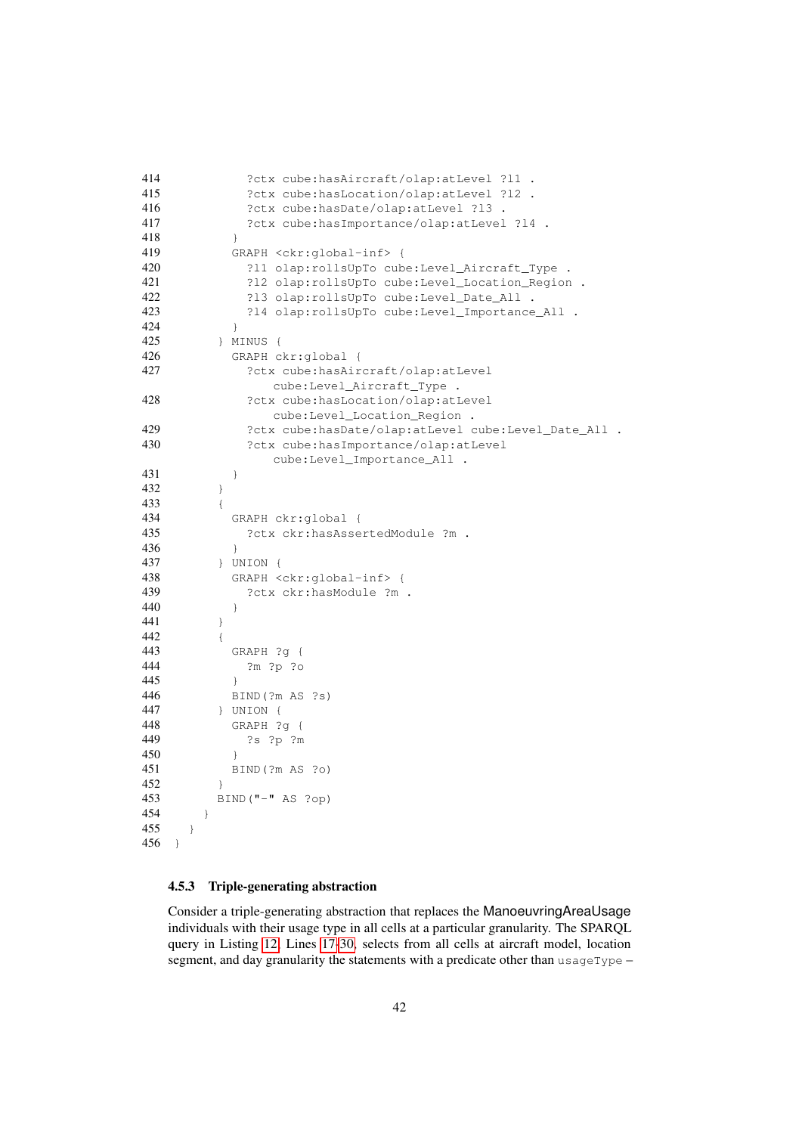```
414 ?ctx cube:hasAircraft/olap:atLevel ?l1 .
415 ?ctx cube:hasLocation/olap:atLevel ?l2 .
416 ?ctx cube:hasDate/olap:atLevel ?l3 .
417 ?ctx cube:hasImportance/olap:atLevel ?l4 .
418 }
419 GRAPH <ckr:global-inf> {
420 ?l1 olap:rollsUpTo cube:Level_Aircraft_Type .
421 ?l2 olap:rollsUpTo cube:Level_Location_Region .
422 ?l3 olap:rollsUpTo cube:Level_Date_All .
423 ?l4 olap:rollsUpTo cube:Level_Importance_All .
424 }
425 } MINUS {
426 GRAPH ckr:global {
427 ?ctx cube:hasAircraft/olap:atLevel
             cube:Level_Aircraft_Type .
428 ?ctx cube:hasLocation/olap:atLevel
             cube:Level_Location_Region .
429 ?ctx cube:hasDate/olap:atLevel cube:Level_Date_All .
430 ?ctx cube:hasImportance/olap:atLevel
             cube:Level_Importance_All .
431 }
432 }
433 {
434 GRAPH ckr:global {
435 ?ctx ckr:hasAssertedModule ?m .
436 }
437 } UNION {
438 GRAPH <ckr:global-inf> {
439 ?ctx ckr:hasModule ?m .
440 }
441 }
442 {
443 GRAPH ?g {
444 ?m ?p ?o
445 }
446 BIND(?m AS ?s)
447 } UNION {
448 GRAPH ?g {
449 ?s ?p ?m
450 }
451 BIND(?m AS ?o)
452 }
453 BIND("-" AS ?op)
454 }
455 }
456 }
```
#### <span id="page-41-0"></span>4.5.3 Triple-generating abstraction

Consider a triple-generating abstraction that replaces the ManoeuvringAreaUsage individuals with their usage type in all cells at a particular granularity. The SPARQL query in Listing [12,](#page-42-0) Lines [17](#page-42-1)[-30,](#page-42-2) selects from all cells at aircraft model, location segment, and day granularity the statements with a predicate other than usageType –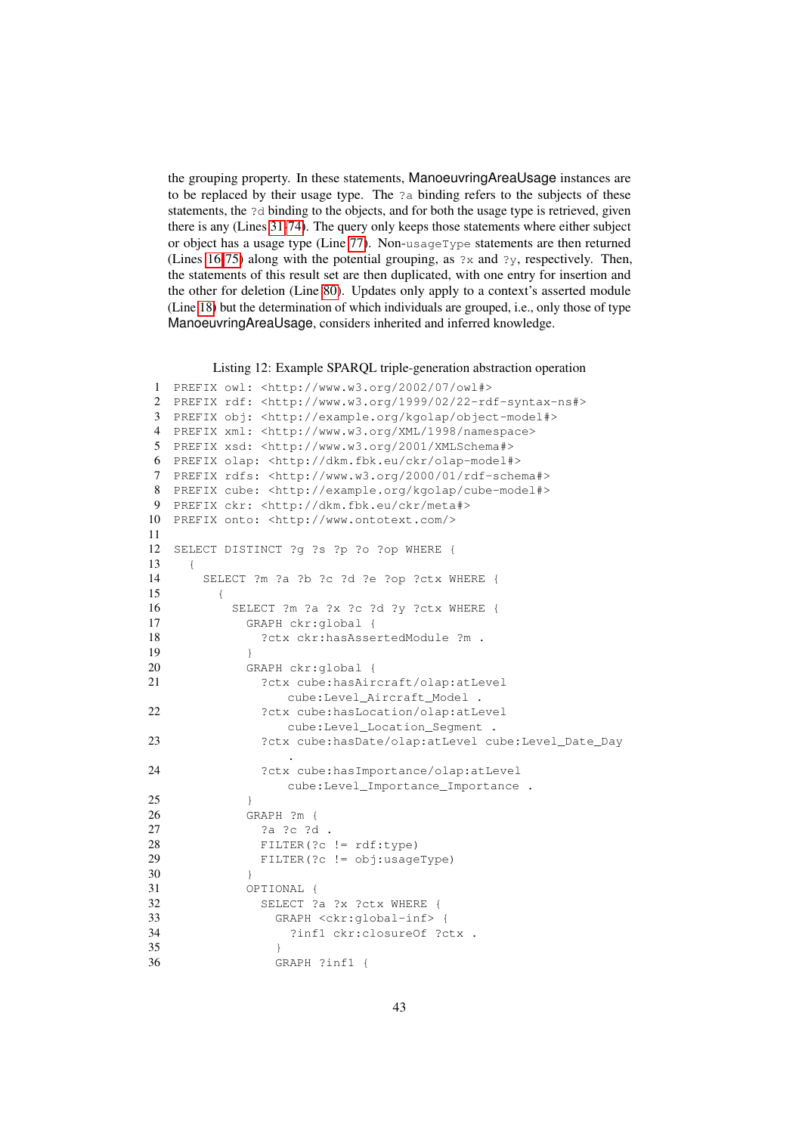the grouping property. In these statements, ManoeuvringAreaUsage instances are to be replaced by their usage type. The ?a binding refers to the subjects of these statements, the ?d binding to the objects, and for both the usage type is retrieved, given there is any (Lines [31-](#page-42-3)[74\)](#page-43-0). The query only keeps those statements where either subject or object has a usage type (Line [77\)](#page-43-1). Non-usageType statements are then returned (Lines [16](#page-42-4)[-75\)](#page-43-2) along with the potential grouping, as ?x and ?y, respectively. Then, the statements of this result set are then duplicated, with one entry for insertion and the other for deletion (Line [80\)](#page-43-3). Updates only apply to a context's asserted module (Line [18\)](#page-42-5) but the determination of which individuals are grouped, i.e., only those of type ManoeuvringAreaUsage, considers inherited and inferred knowledge.

Listing 12: Example SPARQL triple-generation abstraction operation

```
1 PREFIX owl: <http://www.w3.org/2002/07/owl#>
2 PREFIX rdf: <http://www.w3.org/1999/02/22-rdf-syntax-ns#>
3 PREFIX obj: <http://example.org/kgolap/object-model#>
4 PREFIX xml: <http://www.w3.org/XML/1998/namespace>
5 PREFIX xsd: <http://www.w3.org/2001/XMLSchema#>
6 PREFIX olap: <http://dkm.fbk.eu/ckr/olap-model#>
7 PREFIX rdfs: <http://www.w3.org/2000/01/rdf-schema#>
8 PREFIX cube: <http://example.org/kgolap/cube-model#>
9 PREFIX ckr: <http://dkm.fbk.eu/ckr/meta#>
10 PREFIX onto: <http://www.ontotext.com/>
11
12 SELECT DISTINCT ?g ?s ?p ?o ?op WHERE {
13 {
14 SELECT ?m ?a ?b ?c ?d ?e ?op ?ctx WHERE {
15 {
16 SELECT ?m ?a ?x ?c ?d ?y ?ctx WHERE {
17 GRAPH ckr:global {
18 ?ctx ckr:hasAssertedModule ?m .
19 }
20 GRAPH ckr:global {
21 ?ctx cube:hasAircraft/olap:atLevel
               cube:Level_Aircraft_Model .
22 ?ctx cube:hasLocation/olap:atLevel
               cube:Level_Location_Segment .
23 ?ctx cube:hasDate/olap:atLevel cube:Level Date Day
                .
24 ?ctx cube:hasImportance/olap:atLevel
               cube:Level_Importance_Importance .
25 }
26 GRAPH ?m {
27 ?a ?c ?d .
28 FILTER(?c != rdf:type)
29 FILTER(?c != obj:usageType)
30 }
31 OPTIONAL {
32 SELECT ?a ?x ?ctx WHERE {
33 GRAPH <ckr:global-inf> {
34 ?inf1 ckr:closureOf ?ctx .
35 }
36 GRAPH ?inf1 {
```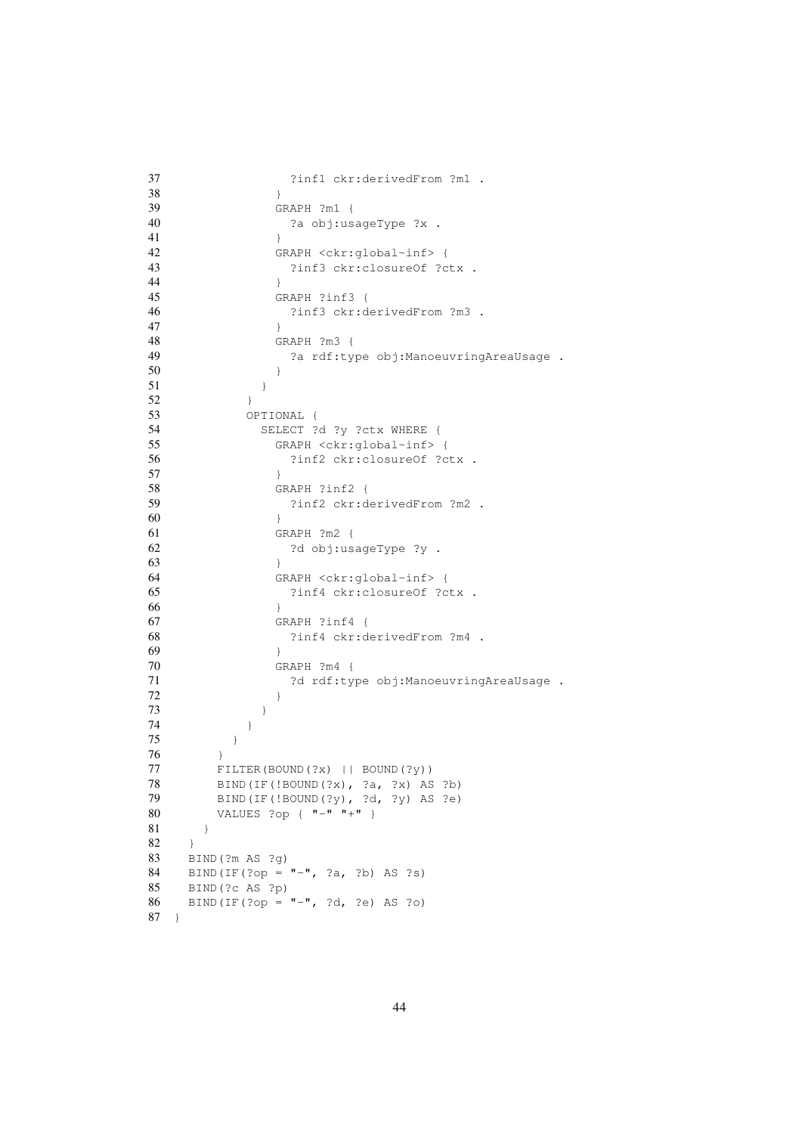```
37 ?inf1 ckr:derivedFrom ?m1 .
38 }
39 GRAPH ?m1 {
40 ?a obj:usageType ?x .
41 }
42 GRAPH <ckr:global-inf> {
43 ?inf3 ckr:closureOf ?ctx .
44 }
45 GRAPH ?inf3 {
46 ?inf3 ckr:derivedFrom ?m3 .
47 }
48 GRAPH ?m3 {
49 ?a rdf:type obj:ManoeuvringAreaUsage .
50 }
51 }
52 }
53 OPTIONAL {
54 SELECT ?d ?y ?ctx WHERE {
55 GRAPH <ckr:global-inf> {
56 ?inf2 ckr:closureOf ?ctx .
57 }
58 GRAPH ?inf2 {
59 ?inf2 ckr:derivedFrom ?m2 .
60 }
61 GRAPH ?m2 {
62 ?d obj:usageType ?y .
63 }
64 GRAPH <ckr:global-inf> {
65 ?inf4 ckr:closureOf ?ctx .
66 }
67 GRAPH ?inf4 {
68 ?inf4 ckr:derivedFrom ?m4 .
69 }
70 GRAPH ?m4 {
71 ?d rdf:type obj:ManoeuvringAreaUsage .
72 }
73 }
74 }
75 }
76 }
77 FILTER(BOUND(?x) || BOUND(?y))
78 BIND(IF(!BOUND(?x), ?a, ?x) AS ?b)
79 BIND(IF(!BOUND(?y), ?d, ?y) AS ?e)
80 VALUES ?op { "-" "+" }
81 }
82 }
83 BIND(?m AS ?g)
84 BIND(IF(?op = "-", ?a, ?b) AS ?s)
85 BIND(?c AS ?p)
86 BIND(IF(?op = "-", ?d, ?e) AS ?o)
87 }
```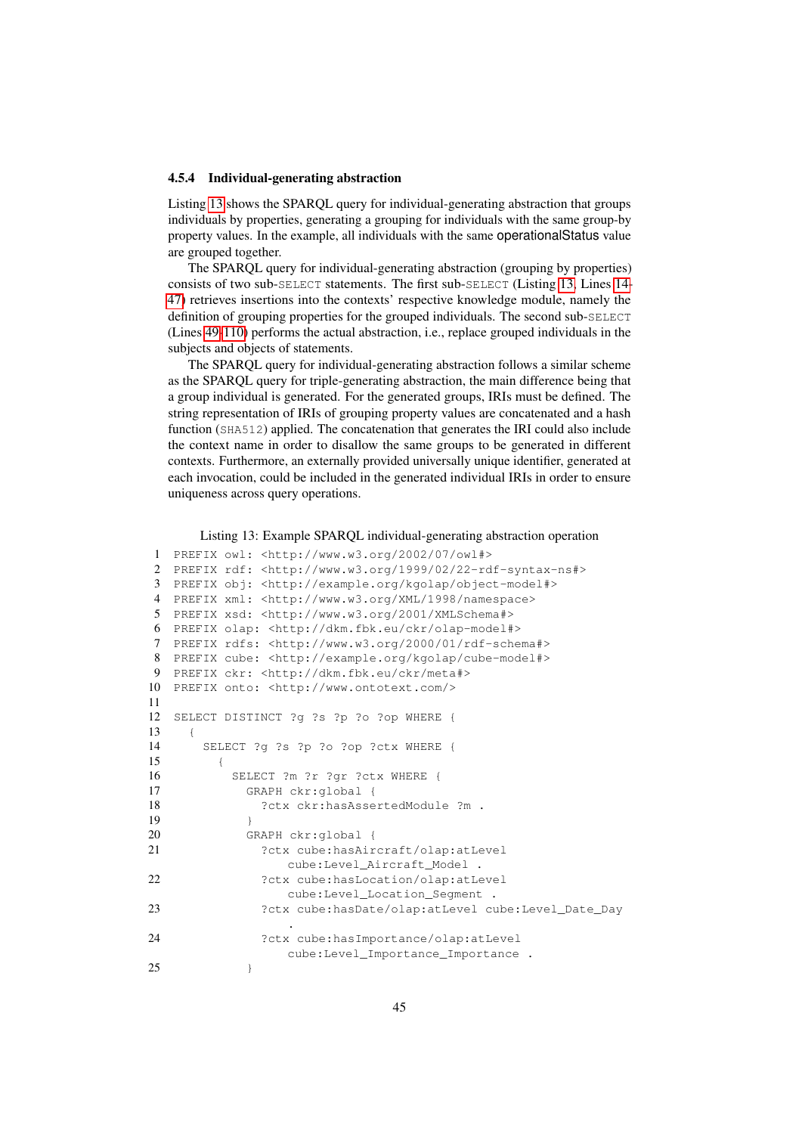#### <span id="page-44-0"></span>4.5.4 Individual-generating abstraction

Listing [13](#page-44-1) shows the SPARQL query for individual-generating abstraction that groups individuals by properties, generating a grouping for individuals with the same group-by property values. In the example, all individuals with the same operationalStatus value are grouped together.

The SPARQL query for individual-generating abstraction (grouping by properties) consists of two sub-SELECT statements. The first sub-SELECT (Listing [13,](#page-44-1) Lines [14-](#page-44-2) [47\)](#page-45-0) retrieves insertions into the contexts' respective knowledge module, namely the definition of grouping properties for the grouped individuals. The second sub-SELECT (Lines [49-](#page-45-1)[110\)](#page-46-0) performs the actual abstraction, i.e., replace grouped individuals in the subjects and objects of statements.

The SPARQL query for individual-generating abstraction follows a similar scheme as the SPARQL query for triple-generating abstraction, the main difference being that a group individual is generated. For the generated groups, IRIs must be defined. The string representation of IRIs of grouping property values are concatenated and a hash function (SHA512) applied. The concatenation that generates the IRI could also include the context name in order to disallow the same groups to be generated in different contexts. Furthermore, an externally provided universally unique identifier, generated at each invocation, could be included in the generated individual IRIs in order to ensure uniqueness across query operations.

```
Listing 13: Example SPARQL individual-generating abstraction operation
```

```
1 PREFIX owl: <http://www.w3.org/2002/07/owl#>
2 PREFIX rdf: <http://www.w3.org/1999/02/22-rdf-syntax-ns#>
3 PREFIX obj: <http://example.org/kgolap/object-model#>
4 PREFIX xml: <http://www.w3.org/XML/1998/namespace>
5 PREFIX xsd: <http://www.w3.org/2001/XMLSchema#>
6 PREFIX olap: <http://dkm.fbk.eu/ckr/olap-model#>
7 PREFIX rdfs: <http://www.w3.org/2000/01/rdf-schema#>
8 PREFIX cube: <http://example.org/kgolap/cube-model#>
9 PREFIX ckr: <http://dkm.fbk.eu/ckr/meta#>
10 PREFIX onto: <http://www.ontotext.com/>
11
12 SELECT DISTINCT ?g ?s ?p ?o ?op WHERE {
13 {
14 SELECT ?g ?s ?p ?o ?op ?ctx WHERE {
15 {
16 SELECT ?m ?r ?gr ?ctx WHERE {
17 GRAPH ckr:global {
18 ?ctx ckr:hasAssertedModule ?m .
19 }
20 GRAPH ckr:global {
21 ?ctx cube:hasAircraft/olap:atLevel
                 cube:Level_Aircraft_Model .
22 ?ctx cube:hasLocation/olap:atLevel
                 cube:Level_Location_Segment .
23 ?ctx cube:hasDate/olap:atLevel cube:Level_Date_Day
                 .
24 ?ctx cube:hasImportance/olap:atLevel
                 cube:Level_Importance_Importance .
25 }
```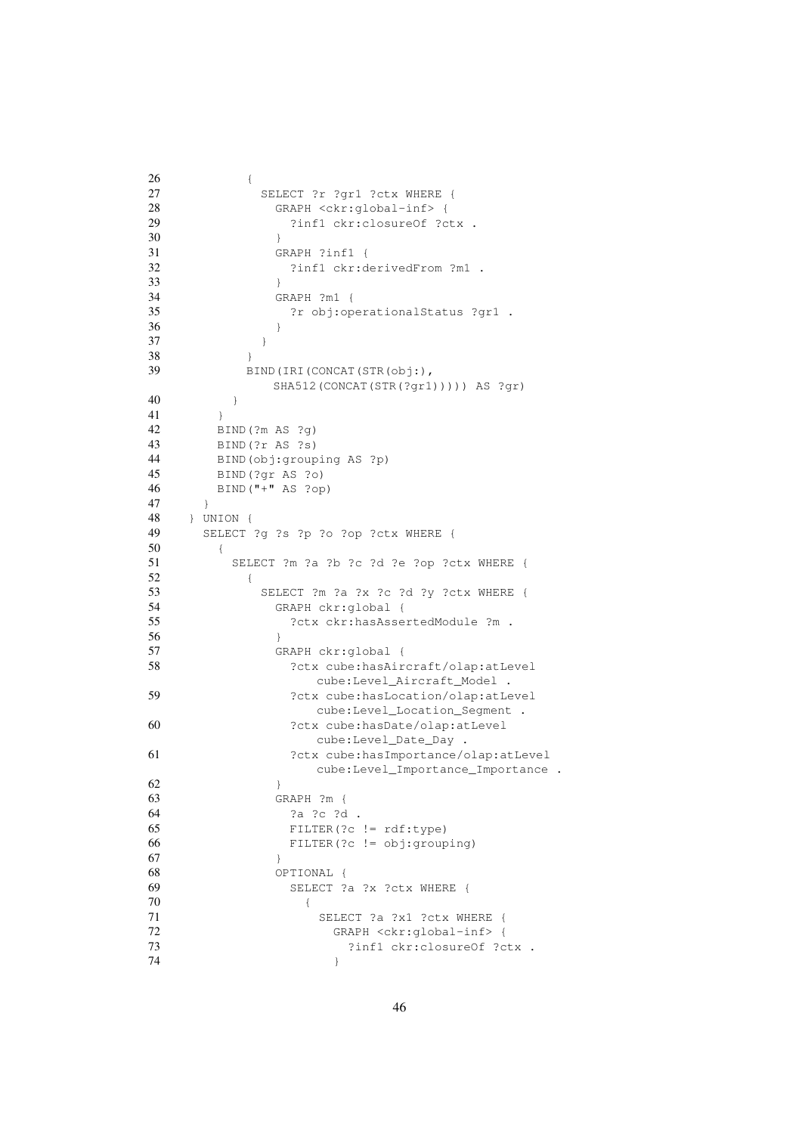<span id="page-45-1"></span><span id="page-45-0"></span>

| 26 | €                                         |
|----|-------------------------------------------|
| 27 | SELECT ?r ?gr1 ?ctx WHERE {               |
| 28 | GRAPH <ckr:global-inf> {</ckr:global-inf> |
| 29 | ?inf1 ckr:closureOf ?ctx .                |
| 30 | $\big\}$                                  |
| 31 | GRAPH ?inf1 {                             |
| 32 | ?inf1 ckr:derivedFrom ?m1 .               |
| 33 | $\mathcal{F}$                             |
| 34 | GRAPH ?m1 {                               |
| 35 | ?r obj:operationalStatus ?qr1 .           |
| 36 |                                           |
|    | }                                         |
| 37 | }                                         |
| 38 | $\mathcal{E}$                             |
| 39 | BIND (IRI (CONCAT (STR (obj:),            |
|    | SHA512 (CONCAT (STR (?gr1))))) AS ?gr)    |
| 40 | $\}$                                      |
| 41 | $\mathcal{F}$                             |
| 42 | BIND (?m AS ?q)                           |
| 43 | BIND(?r AS ?s)                            |
| 44 | BIND (obj: grouping AS ?p)                |
| 45 | BIND (?gr AS ?o)                          |
| 46 | $BIND("+" AS ?op)$                        |
| 47 | $\}$                                      |
| 48 | $\}$ UNION $\{$                           |
| 49 | SELECT ?g ?s ?p ?o ?op ?ctx WHERE {       |
| 50 | $\{$                                      |
| 51 |                                           |
|    | SELECT ?m ?a ?b ?c ?d ?e ?op ?ctx WHERE { |
| 52 | €                                         |
| 53 | SELECT ?m ?a ?x ?c ?d ?y ?ctx WHERE {     |
| 54 | GRAPH ckr:global {                        |
| 55 | ?ctx ckr:hasAssertedModule ?m .           |
| 56 | $\mathcal{F}$                             |
| 57 | GRAPH ckr:global {                        |
| 58 | ?ctx cube: hasAircraft/olap: atLevel      |
|    | cube:Level_Aircraft_Model .               |
| 59 | ?ctx cube:hasLocation/olap:atLevel        |
|    | cube:Level_Location_Segment .             |
| 60 | ?ctx cube:hasDate/olap:atLevel            |
|    | cube:Level_Date_Day .                     |
| 61 | ?ctx cube: has Importance/olap: at Level  |
|    | cube:Level_Importance_Importance .        |
| 62 | <sup>}</sup>                              |
| 63 | GRAPH ?m {                                |
| 64 |                                           |
|    | ?a ?c ?d .                                |
| 65 | FILTER (?c != rdf:type)                   |
| 66 | FILTER (?c != obj:grouping)               |
| 67 | ł                                         |
| 68 | OPTIONAL {                                |
| 69 | SELECT ?a ?x ?ctx WHERE {                 |
| 70 | $\{$                                      |
| 71 | SELECT ?a ?x1 ?ctx WHERE {                |
| 72 | GRAPH <ckr:global-inf> {</ckr:global-inf> |
| 73 | ?inf1 ckr:closureOf ?ctx .                |
| 74 | $\mathcal{F}$                             |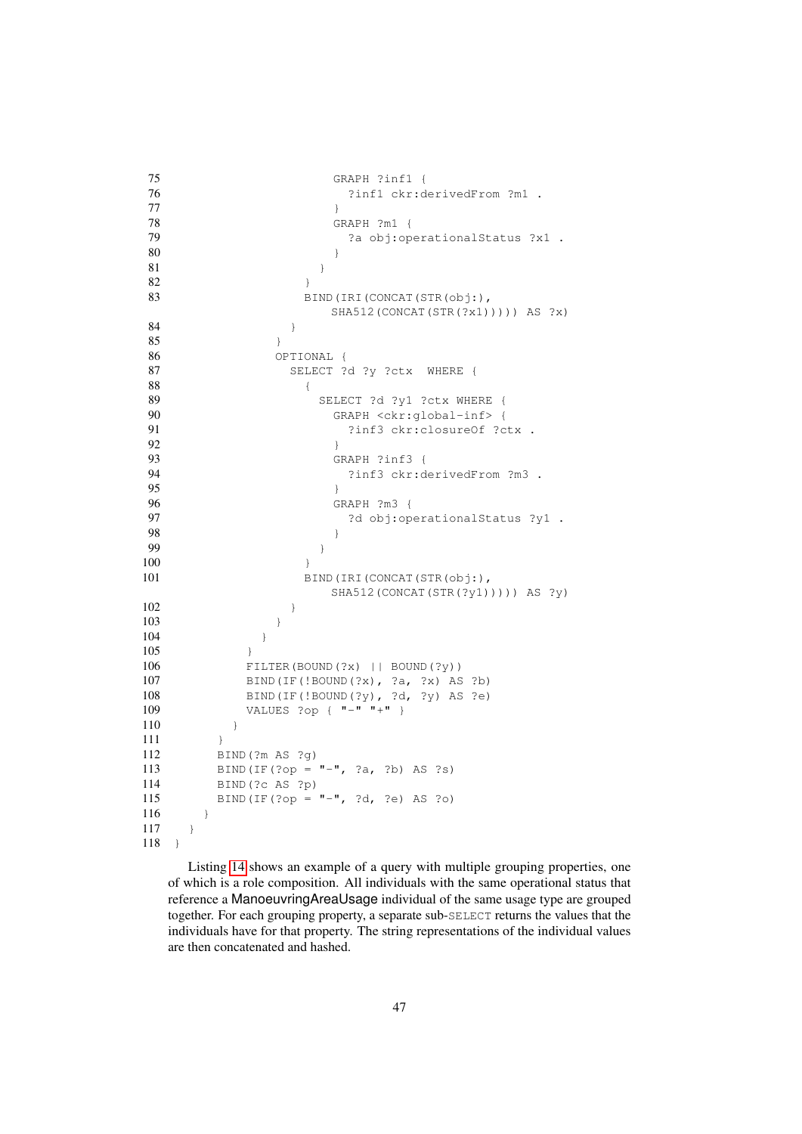```
75 GRAPH ?inf1 {
76 ?inf1 ckr:derivedFrom ?m1 .
77 }
78 GRAPH ?m1 {
79 ?a obj:operationalStatus ?x1 .
80 }
81 }
82 }
83 BIND(IRI(CONCAT(STR(obj:),
              SHA512(CONCAT(STR(?x1))))) AS ?x)
84 }
85 }
86 OPTIONAL {
87 SELECT ?d ?y ?ctx WHERE {
88 {
89 SELECT ?d ?y1 ?ctx WHERE {
90 GRAPH <ckr:global-inf> {
91 ?inf3 ckr:closureOf ?ctx .
92 }
93 GRAPH ?inf3 {
94 ?inf3 ckr:derivedFrom ?m3 .
95 }
96 GRAPH ?m3 {
97 3d obj:operationalStatus ?y1 .
98 }
99 }
100 }
101 BIND(IRI(CONCAT(STR(obj:),
              SHA512(CONCAT(STR(?y1))))) AS ?y)
102 }
103 }
104 }
105 }
106 FILTER(BOUND(?x) || BOUND(?y))
107 BIND(IF(!BOUND(?x), ?a, ?x) AS ?b)
108 BIND(IF(!BOUND(?y), ?d, ?y) AS ?e)
109 VALUES ?op { "-" "+" }
110 }
111 }
112 BIND(?m AS ?g)
113 BIND(IF(?op = "-", ?a, ?b) AS ?s)
114 BIND(?c AS ?p)
115 BIND(IF(?op = "-", ?d, ?e) AS ?o)
116 }
117 }
118 }
```
<span id="page-46-0"></span>Listing [14](#page-47-0) shows an example of a query with multiple grouping properties, one of which is a role composition. All individuals with the same operational status that reference a ManoeuvringAreaUsage individual of the same usage type are grouped together. For each grouping property, a separate sub-SELECT returns the values that the individuals have for that property. The string representations of the individual values are then concatenated and hashed.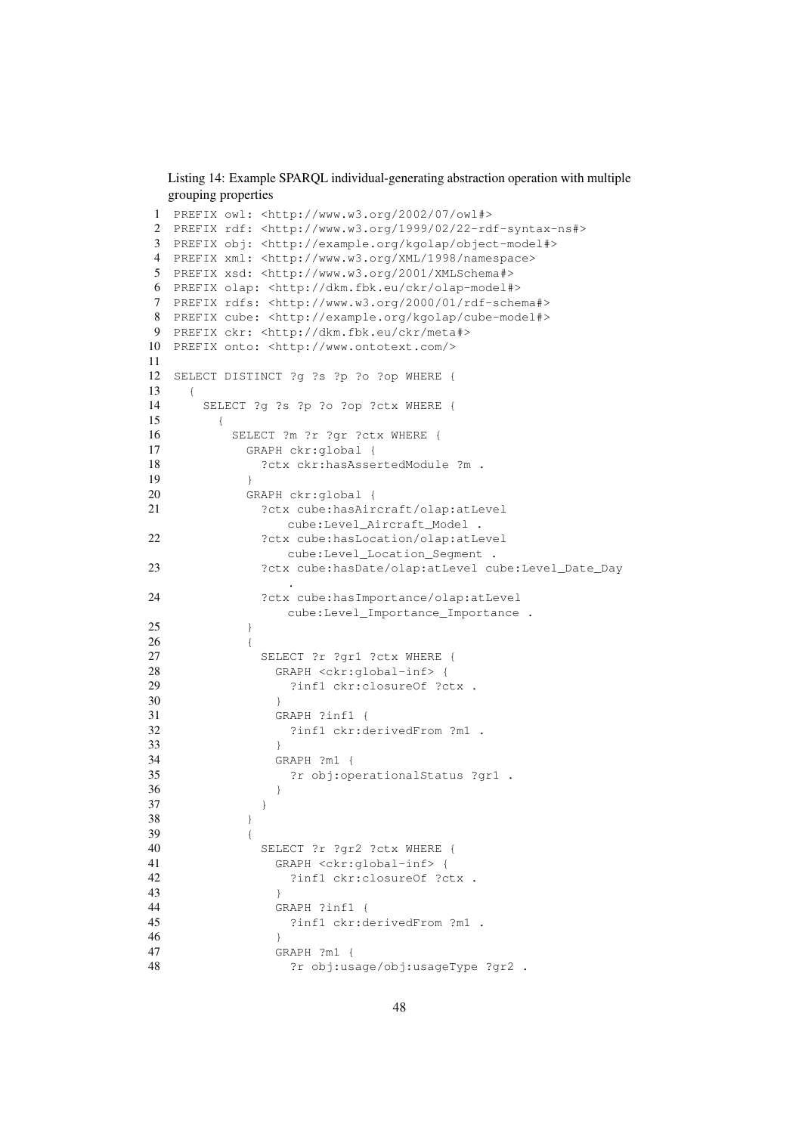<span id="page-47-0"></span>Listing 14: Example SPARQL individual-generating abstraction operation with multiple grouping properties

```
1 PREFIX owl: <http://www.w3.org/2002/07/owl#>
2 PREFIX rdf: <http://www.w3.org/1999/02/22-rdf-syntax-ns#>
3 PREFIX obj: <http://example.org/kgolap/object-model#>
4 PREFIX xml: <http://www.w3.org/XML/1998/namespace>
5 PREFIX xsd: <http://www.w3.org/2001/XMLSchema#>
6 PREFIX olap: <http://dkm.fbk.eu/ckr/olap-model#>
7 PREFIX rdfs: <http://www.w3.org/2000/01/rdf-schema#>
8 PREFIX cube: <http://example.org/kgolap/cube-model#>
9 PREFIX ckr: <http://dkm.fbk.eu/ckr/meta#>
10 PREFIX onto: <http://www.ontotext.com/>
11
12 SELECT DISTINCT ?g ?s ?p ?o ?op WHERE {
13 {
14 SELECT ?g ?s ?p ?o ?op ?ctx WHERE {
15 {
16 SELECT ?m ?r ?gr ?ctx WHERE {
17 GRAPH ckr:global {
18 ?ctx ckr:hasAssertedModule ?m .
19 }
20 GRAPH ckr:global {
21 ?ctx cube:hasAircraft/olap:atLevel
              cube:Level_Aircraft_Model .
22 ?ctx cube:hasLocation/olap:atLevel
              cube:Level_Location_Segment .
23 ?ctx cube:hasDate/olap:atLevel cube:Level_Date_Day
               .
24 ?ctx cube:hasImportance/olap:atLevel
               cube:Level_Importance_Importance .
25 }
26 {
27 SELECT ?r ?gr1 ?ctx WHERE {
28 GRAPH <ckr:global-inf> {<br>29 3infl ckr:closure0f ?c
29 ?inf1 ckr:closureOf ?ctx .<br>30 }
30 }
31 GRAPH ?inf1 {
32 ?inf1 ckr:derivedFrom ?m1 .
33 }
34 GRAPH ?m1 {
35 ?r obj:operationalStatus ?gr1 .
36 }
37 }
38 }
39 {
40 SELECT ?r ?gr2 ?ctx WHERE {
41 GRAPH <ckr:global-inf> {
42 ?inf1 ckr:closureOf ?ctx .
43 }
44 GRAPH ?inf1 {
45 ?inf1 ckr:derivedFrom ?m1 .
46 }
47 GRAPH ?m1 {
48 ?r obj:usage/obj:usageType ?gr2.
```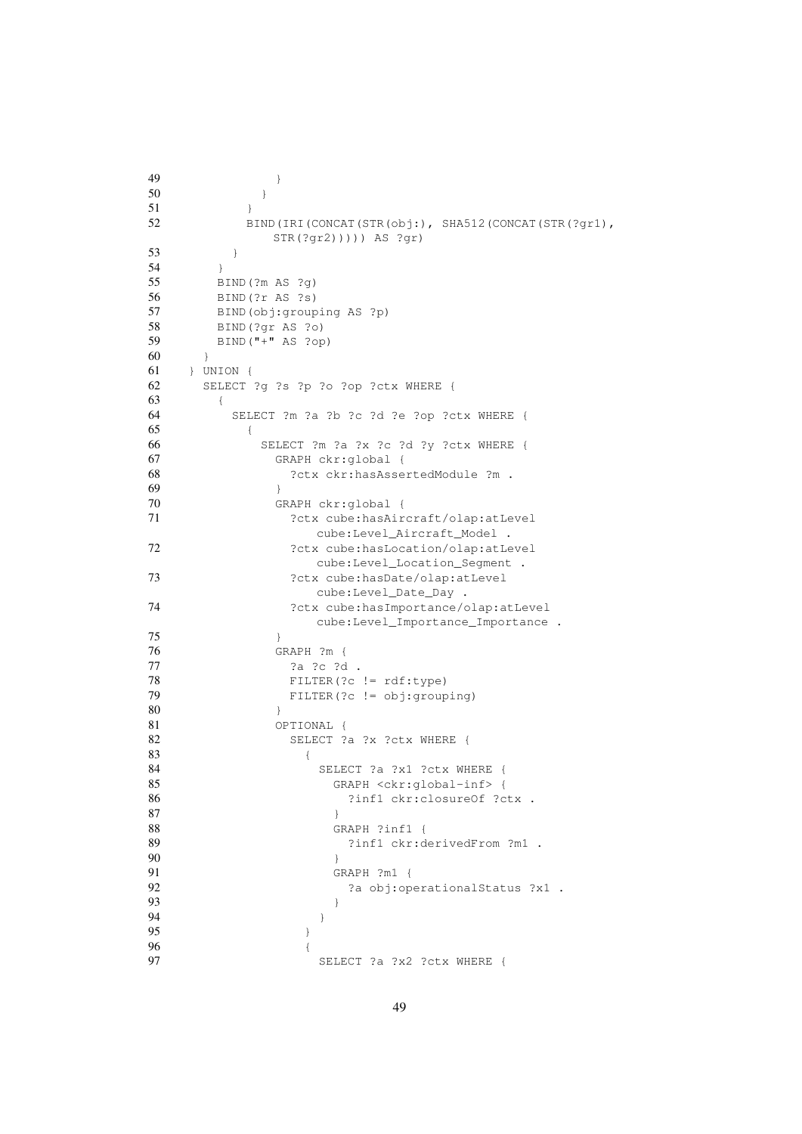```
49 }
50 }
51 }
52 BIND(IRI(CONCAT(STR(obj:), SHA512(CONCAT(STR(?gr1),
          STR(?gr2))))) AS ?gr)
53 }
54 }
55 BIND(?m AS ?g)
56 BIND(?r AS ?s)
57 BIND(obj:grouping AS ?p)
58 BIND(?gr AS ?o)
59 BIND("+" AS ?op)
60 }
61 } UNION {
62 SELECT ?g ?s ?p ?o ?op ?ctx WHERE {
63 {
64 SELECT ?m ?a ?b ?c ?d ?e ?op ?ctx WHERE {
65 {
66 SELECT ?m ?a ?x ?c ?d ?y ?ctx WHERE {
67 GRAPH ckr:global {
68 ?ctx ckr:hasAssertedModule ?m .
69 }
70 GRAPH ckr:global {
71 ?ctx cube:hasAircraft/olap:atLevel
              cube:Level_Aircraft_Model .
72 ?ctx cube: hasLocation/olap: atLevel
             cube:Level_Location_Segment .
73 ?ctx cube: hasDate/olap: atLevel
              cube:Level_Date_Day .
74 ?ctx cube:hasImportance/olap:atLevel
              cube:Level_Importance_Importance .
75 }
76 GRAPH ?m {
77 ?a ?c ?d .
78 FILTER(?c != rdf:type)
79 FILTER(?c != obj:grouping)
80 }
81 OPTIONAL {
82 SELECT ?a ?x ?ctx WHERE {
83 {
84 SELECT ?a ?x1 ?ctx WHERE {
85 GRAPH <ckr:global-inf> {
86 ?inf1 ckr:closureOf ?ctx .
87 }
88 GRAPH ?inf1 {
89 ?inf1 ckr:derivedFrom ?m1 .
90 }
91 GRAPH ?m1 {
92 ?a obj:operationalStatus ?x1 .
93 }
94 }
95 }
96 {
97 SELECT ?a ?x2 ?ctx WHERE {
```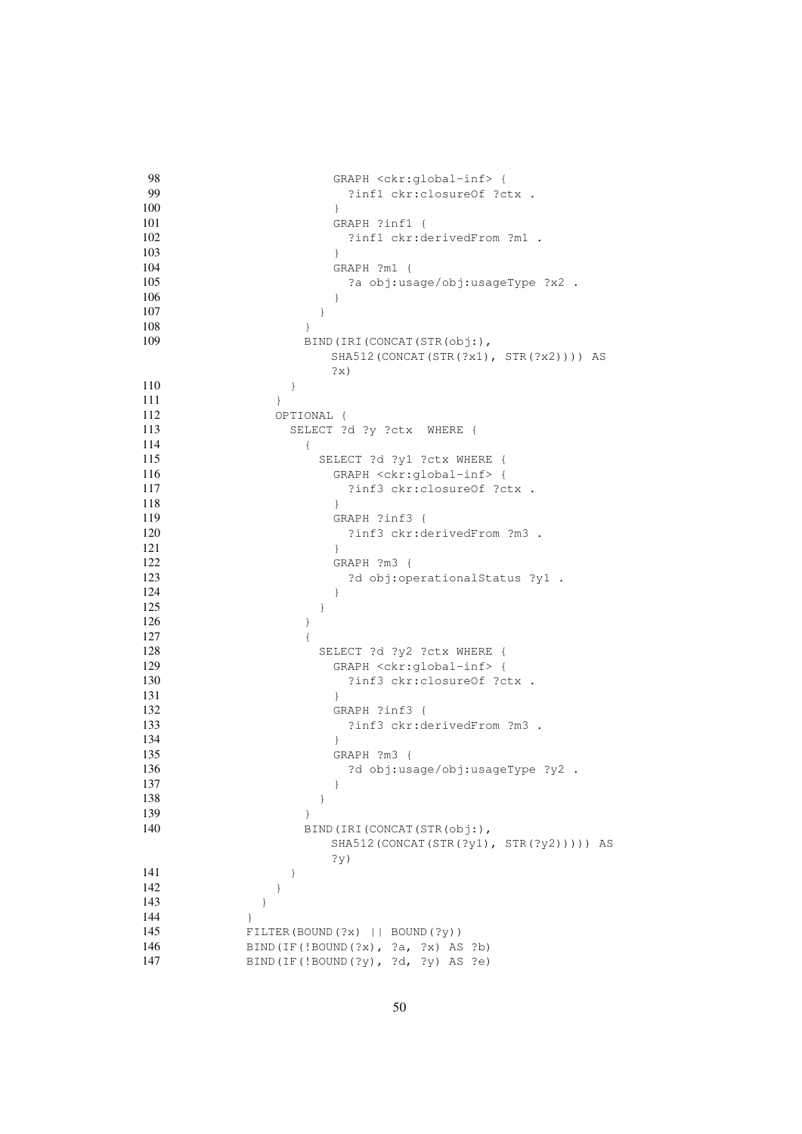```
98 GRAPH <ckr:global-inf> {<br>99 3infl ckr:closure0f ?c
               ?inf1 ckr:closureOf ?ctx .
100 }
101 GRAPH ?inf1 {
102 ?inf1 ckr:derivedFrom ?m1 .
103 }
104 GRAPH ?m1 {
105 ?a obj:usage/obj:usageType ?x2 .
106 }
107 }
108 }
109 BIND(IRI(CONCAT(STR(obj:),
              SHA512(CONCAT(STR(?x1), STR(?x2)))) AS
              ?x)
110 }
111 }
112 OPTIONAL {
113 SELECT ?d ?y ?ctx WHERE {
\begin{array}{c} \hline 114 \end{array}115 SELECT ?d ?y1 ?ctx WHERE {
116 GRAPH <ckr:global-inf> {
117 2inf3 ckr:closureOf ?ctx .
118 }
119 GRAPH ?inf3 {
120 ?inf3 ckr:derivedFrom ?m3 .
121 }
122 GRAPH ?m3 {
123 23 2d obj:operationalStatus ?y1 .
124 }
125 }
126 }
127128 SELECT ?d ?y2 ?ctx WHERE {
129 GRAPH <ckr:global-inf> {
130 ?inf3 ckr:closureOf ?ctx .
131 }
132 GRAPH ?inf3 {
133 ?inf3 ckr:derivedFrom ?m3 .
134 }
135 GRAPH ?m3 {
136 2d obj:usage/obj:usageType ?y2 .
137 }
138 }
139 }
140 BIND(IRI(CONCAT(STR(obj:),
              SHA512(CONCAT(STR(?y1), STR(?y2))))) AS
              ?y)
141 }
142 }
143 }
144 }
145 FILTER(BOUND(?x) || BOUND(?y))
146 BIND(IF(!BOUND(?x), ?a, ?x) AS ?b)
147 BIND(IF(!BOUND(?y), ?d, ?y) AS ?e)
```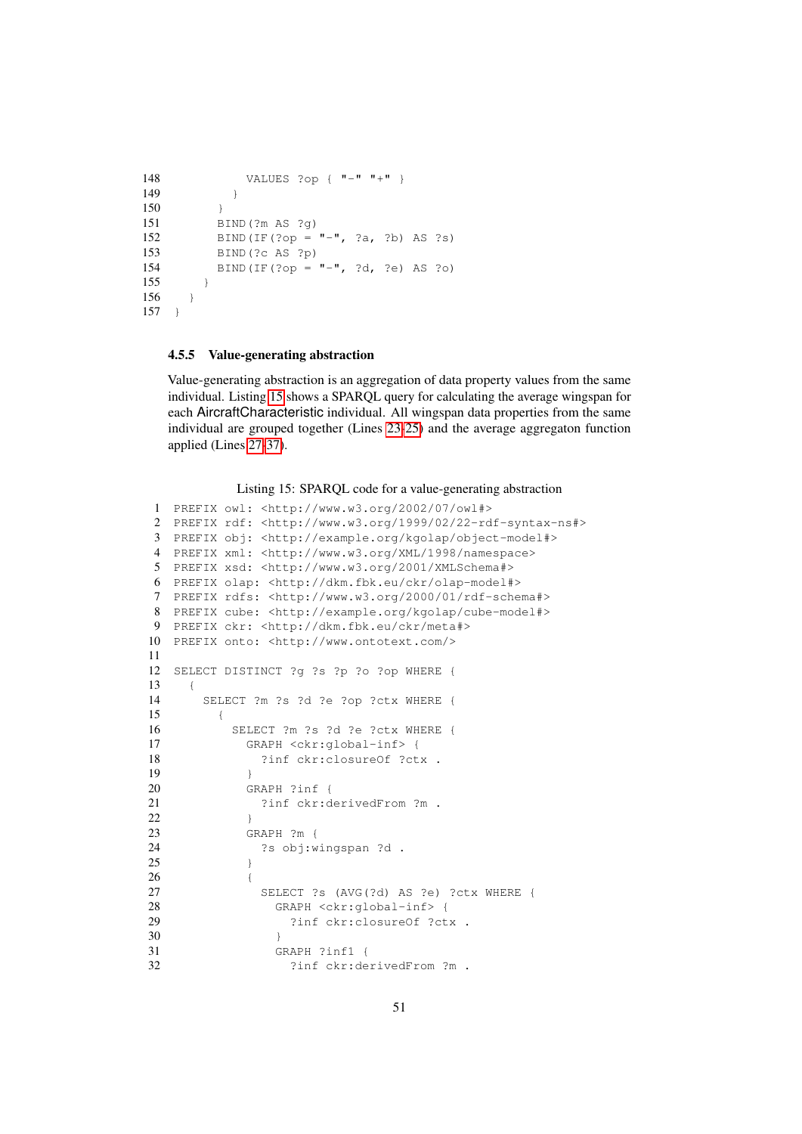```
148 VALUES ?op { "-" "+" }
149 }
150 }
151 BIND(?m AS ?g)
152 BIND(IF(?op = "-", ?a, ?b) AS ?s)
153 BIND(?c AS ?p)
154 BIND(IF(?op = "-", ?d, ?e) AS ?o)
155 }
156 }
157 }
```
#### <span id="page-50-0"></span>4.5.5 Value-generating abstraction

Value-generating abstraction is an aggregation of data property values from the same individual. Listing [15](#page-50-1) shows a SPARQL query for calculating the average wingspan for each AircraftCharacteristic individual. All wingspan data properties from the same individual are grouped together (Lines [23-](#page-50-2)[25\)](#page-50-3) and the average aggregaton function applied (Lines [27-](#page-50-4)[37\)](#page-51-1).

Listing 15: SPARQL code for a value-generating abstraction

```
1 PREFIX owl: <http://www.w3.org/2002/07/owl#>
2 PREFIX rdf: <http://www.w3.org/1999/02/22-rdf-syntax-ns#>
3 PREFIX obj: <http://example.org/kgolap/object-model#>
4 PREFIX xml: <http://www.w3.org/XML/1998/namespace>
5 PREFIX xsd: <http://www.w3.org/2001/XMLSchema#>
6 PREFIX olap: <http://dkm.fbk.eu/ckr/olap-model#>
7 PREFIX rdfs: <http://www.w3.org/2000/01/rdf-schema#>
8 PREFIX cube: <http://example.org/kgolap/cube-model#>
9 PREFIX ckr: <http://dkm.fbk.eu/ckr/meta#>
10 PREFIX onto: <http://www.ontotext.com/>
11
12 SELECT DISTINCT ?g ?s ?p ?o ?op WHERE {
13 {
14 SELECT ?m ?s ?d ?e ?op ?ctx WHERE {
15 {
16 SELECT ?m ?s ?d ?e ?ctx WHERE {
17 GRAPH <ckr:global-inf> {
18 ?inf ckr:closureOf ?ctx .
19 }
20 GRAPH ?inf {
21 ?inf ckr:derivedFrom ?m .
22 }
23 GRAPH ?m {
24 ?s obj:wingspan ?d .
25 }
26 {
27 SELECT ?s (AVG(?d) AS ?e) ?ctx WHERE {
28 GRAPH <ckr:global-inf> {
29 ?inf ckr:closureOf ?ctx .
30 }
31 GRAPH ?inf1 {
32 ?inf ckr:derivedFrom ?m .
```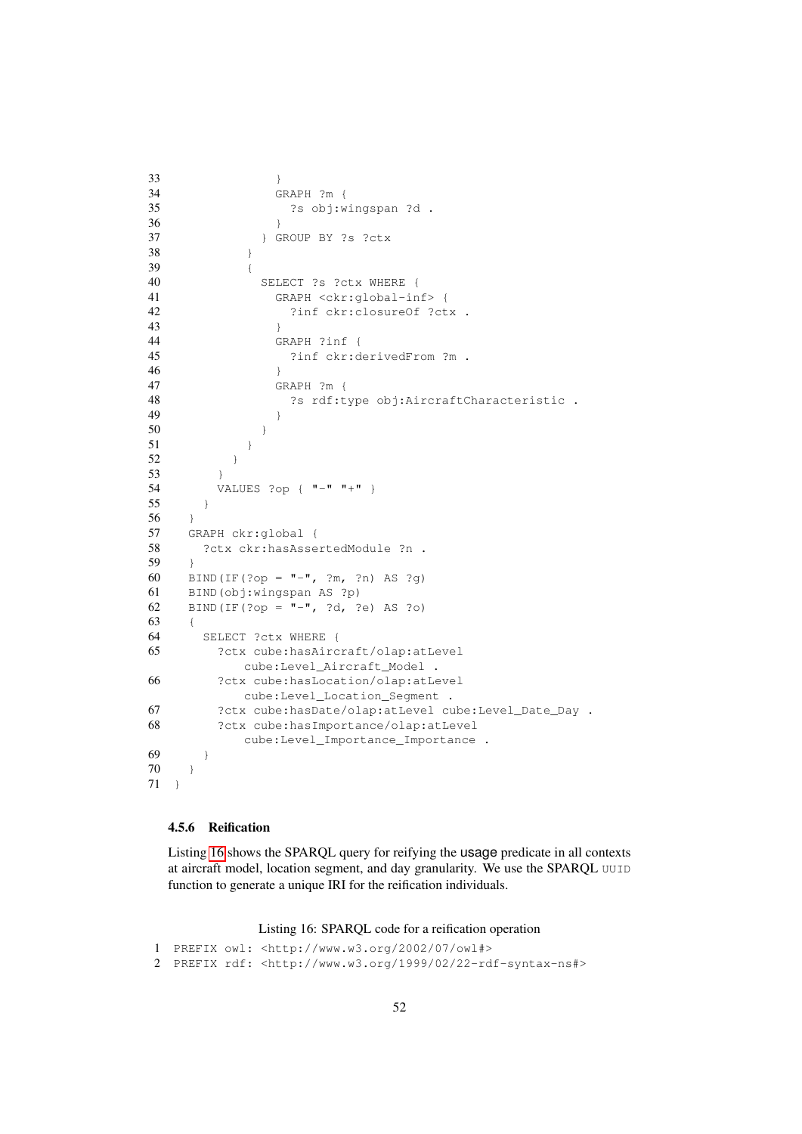```
33 }
34 GRAPH ?m {
35 ?s obj:wingspan ?d .
36 }
37 } GROUP BY ?s ?ctx
38 }
39 {
40 SELECT ?s ?ctx WHERE {
41 GRAPH <ckr:global-inf> {
42 ?inf ckr:closureOf ?ctx .
43 }
44 GRAPH ?inf {
45 ?inf ckr:derivedFrom ?m .
46 }
47 GRAPH ?m {
48 ?s rdf:type obj:AircraftCharacteristic .
49 }
50 }
51 }
52 }
53 }
54 VALUES ?op { "-" "+" }
55 }
56 }
57 GRAPH ckr:global {
58 ?ctx ckr:hasAssertedModule ?n .
59 }
60 BIND(IF(?op = "-", ?m, ?n) AS ?g)
61 BIND(obj:wingspan AS ?p)
62 BIND(IF(?op = "-", ?d, ?e) AS ?o)
63 {
64 SELECT ?ctx WHERE {
65 ?ctx cube:hasAircraft/olap:atLevel
         cube:Level_Aircraft_Model .
66 ?ctx cube:hasLocation/olap:atLevel
         cube:Level_Location_Segment .
67 ?ctx cube:hasDate/olap:atLevel cube:Level_Date_Day .
68 ?ctx cube:hasImportance/olap:atLevel
         cube:Level_Importance_Importance .
69 }
70 }
71 }
```
#### <span id="page-51-0"></span>4.5.6 Reification

Listing [16](#page-51-2) shows the SPARQL query for reifying the usage predicate in all contexts at aircraft model, location segment, and day granularity. We use the SPARQL UUID function to generate a unique IRI for the reification individuals.

Listing 16: SPARQL code for a reification operation

```
1 PREFIX owl: <http://www.w3.org/2002/07/owl#>
2 PREFIX rdf: <http://www.w3.org/1999/02/22-rdf-syntax-ns#>
```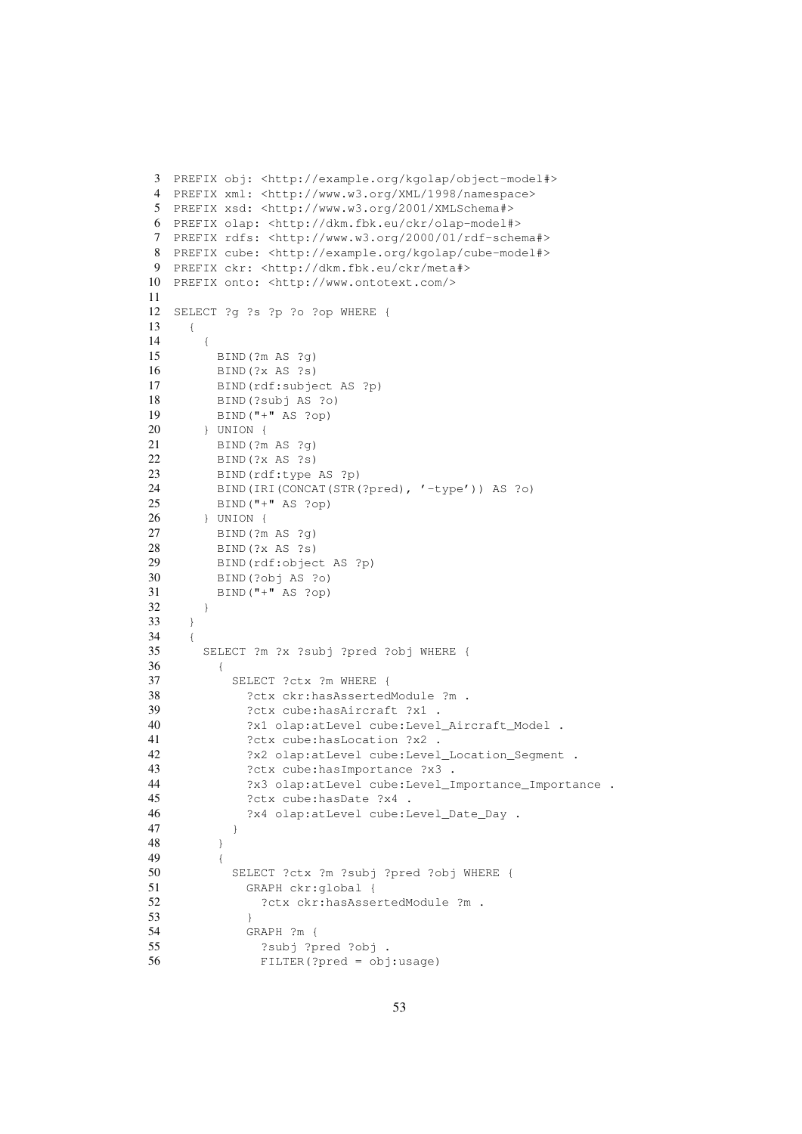```
3 PREFIX obj: <http://example.org/kgolap/object-model#>
4 PREFIX xml: <http://www.w3.org/XML/1998/namespace>
5 PREFIX xsd: <http://www.w3.org/2001/XMLSchema#>
6 PREFIX olap: <http://dkm.fbk.eu/ckr/olap-model#>
7 PREFIX rdfs: <http://www.w3.org/2000/01/rdf-schema#>
8 PREFIX cube: <http://example.org/kgolap/cube-model#>
9 PREFIX ckr: <http://dkm.fbk.eu/ckr/meta#>
10 PREFIX onto: <http://www.ontotext.com/>
11
12 SELECT ?g ?s ?p ?o ?op WHERE {
13 {
14 {
15 BIND(?m AS ?g)
16 BIND(?x AS ?s)
17 BIND(rdf:subject AS ?p)
18 BIND(?subj AS ?o)
19 BIND("+" AS ?op)
20 } UNION {
21 BIND(?m AS ?g)
22 BIND(?x AS ?s)
23 BIND(rdf:type AS ?p)
24 BIND(IRI(CONCAT(STR(?pred), '-type')) AS ?o)
25 BIND("+" AS ?op)
26 } UNION {
27 BIND(?m AS ?g)
28 BIND(?x AS ?s)
29 BIND(rdf:object AS ?p)
30 BIND(?obj AS ?o)
31 BIND("+" AS ?op)
32 }
33 }
34 {
35 SELECT ?m ?x ?subj ?pred ?obj WHERE {
36 {
37 SELECT ?ctx ?m WHERE {
38 ?ctx ckr:hasAssertedModule ?m .
39 ?ctx cube:hasAircraft ?x1 .
40 ?x1 olap:atLevel cube:Level_Aircraft_Model .
41 ?ctx cube:hasLocation ?x2 .
42 ?x2 olap:atLevel cube:Level_Location_Segment .
43 ?ctx cube:hasImportance ?x3 .
44 ?x3 olap:atLevel cube:Level_Importance_Importance .
45 ?ctx cube:hasDate ?x4 .
46 ?x4 olap:atLevel cube:Level_Date_Day .
47 }
48 }
49 {
50 SELECT ?ctx ?m ?subj ?pred ?obj WHERE {
51 GRAPH ckr:global {
52 ?ctx ckr:hasAssertedModule ?m .
53 }
54 GRAPH ?m {
55 ?subj ?pred ?obj .
56 FILTER(?pred = obj:usage)
```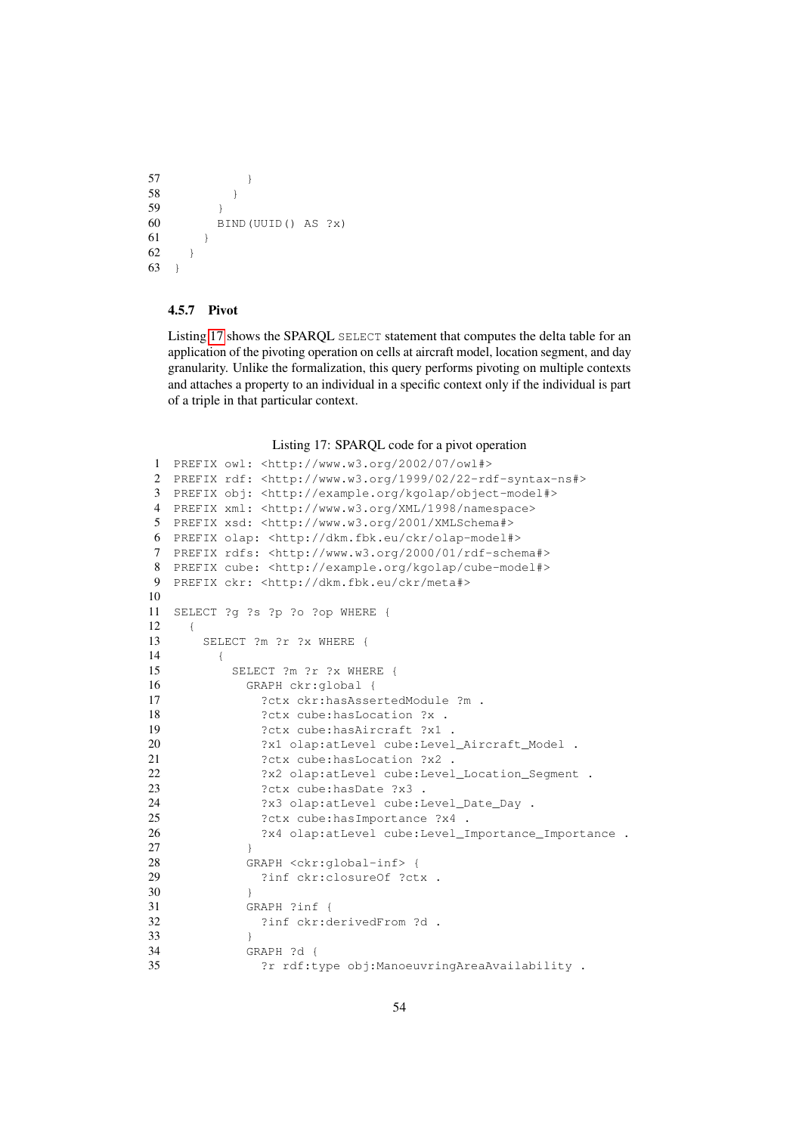```
57 }
58 }
59 }
60 BIND(UUID() AS ?x)
61 }
62 }
63 }
```
### <span id="page-53-0"></span>4.5.7 Pivot

Listing [17](#page-53-1) shows the SPARQL SELECT statement that computes the delta table for an application of the pivoting operation on cells at aircraft model, location segment, and day granularity. Unlike the formalization, this query performs pivoting on multiple contexts and attaches a property to an individual in a specific context only if the individual is part of a triple in that particular context.

Listing 17: SPARQL code for a pivot operation

```
1 PREFIX owl: <http://www.w3.org/2002/07/owl#>
2 PREFIX rdf: <http://www.w3.org/1999/02/22-rdf-syntax-ns#>
3 PREFIX obj: <http://example.org/kgolap/object-model#>
4 PREFIX xml: <http://www.w3.org/XML/1998/namespace>
5 PREFIX xsd: <http://www.w3.org/2001/XMLSchema#>
6 PREFIX olap: <http://dkm.fbk.eu/ckr/olap-model#>
7 PREFIX rdfs: <http://www.w3.org/2000/01/rdf-schema#>
8 PREFIX cube: <http://example.org/kgolap/cube-model#>
9 PREFIX ckr: <http://dkm.fbk.eu/ckr/meta#>
10
11 SELECT ?g ?s ?p ?o ?op WHERE {
12 {
13 SELECT ?m ?r ?x WHERE {
\begin{array}{ccc} 14 & & & \{ \\ 15 & & & \end{array}SELECT ?m ?r ?x WHERE {
16 GRAPH ckr:global {
17 ?ctx ckr:hasAssertedModule ?m .
18 ?ctx cube: hasLocation ?x .
19 ?ctx cube:hasAircraft ?x1 .
20 ?x1 olap:atLevel cube:Level_Aircraft_Model .
21 ?ctx cube: hasLocation ?x2 .
22 ?x2 olap:atLevel cube:Level_Location_Segment .
23 ?ctx cube: hasDate ?x3 .
24 25 ?x3 olap:atLevel cube:Level_Date_Day .<br>25 ?ctx cube:hasImportance ?x4 .
             ?ctx cube:hasImportance ?x4 .
26 ?x4 olap:atLevel cube:Level_Importance_Importance .
27 }
28 GRAPH <ckr:global-inf> {
29 ?inf ckr:closureOf ?ctx .
30 }
31 GRAPH ?inf {
32 ?inf ckr:derivedFrom ?d .
33 }
34 GRAPH ?d {
35 ?r rdf:type obj:ManoeuvringAreaAvailability .
```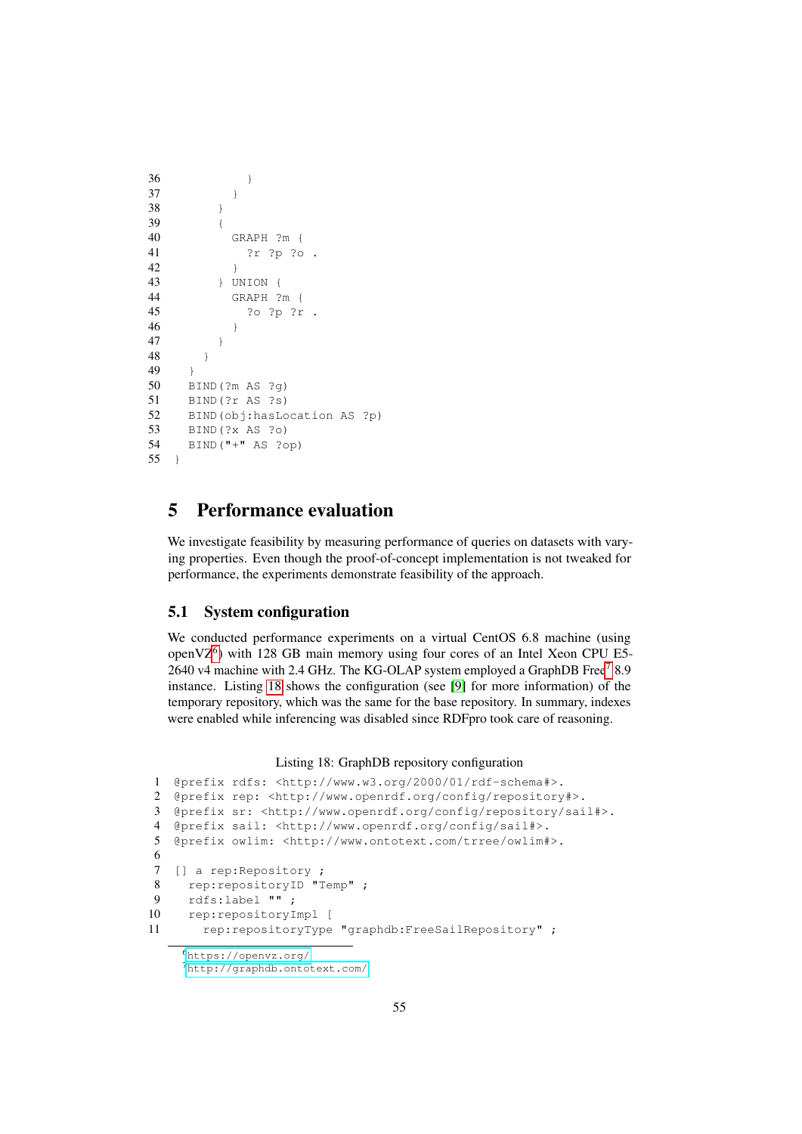```
36 }
37 }
38 }
39 {
40 GRAPH ?m {
41 ?r ?p ?o .
42 }
43 } UNION {
44 GRAPH ?m {
45 ?o ?p ?r .
46 }
47 }
48 }
49 }
50 BIND(?m AS ?g)
51 BIND(?r AS ?s)
52 BIND(obj:hasLocation AS ?p)
53 BIND(?x AS ?o)
54 BIND("+" AS ?op)
55 }
```
# <span id="page-54-0"></span>5 Performance evaluation

We investigate feasibility by measuring performance of queries on datasets with varying properties. Even though the proof-of-concept implementation is not tweaked for performance, the experiments demonstrate feasibility of the approach.

# <span id="page-54-1"></span>5.1 System configuration

We conducted performance experiments on a virtual CentOS 6.8 machine (using open $VZ^6$  $VZ^6$ ) with 128 GB main memory using four cores of an Intel Xeon CPU E5-2640 v4 machine with 2.4 GHz. The KG-OLAP system employed a GraphDB Free<sup>[7](#page-54-3)</sup> 8.9 instance. Listing [18](#page-54-4) shows the configuration (see [\[9\]](#page-69-8) for more information) of the temporary repository, which was the same for the base repository. In summary, indexes were enabled while inferencing was disabled since RDFpro took care of reasoning.

#### Listing 18: GraphDB repository configuration

```
1 @prefix rdfs: <http://www.w3.org/2000/01/rdf-schema#>.
2 @prefix rep: <http://www.openrdf.org/config/repository#>.
3 @prefix sr: <http://www.openrdf.org/config/repository/sail#>.
4 @prefix sail: <http://www.openrdf.org/config/sail#>.
5 @prefix owlim: <http://www.ontotext.com/trree/owlim#>.
6
7 [] a rep:Repository ;
8 rep:repositoryID "Temp" ;
9 rdfs:label "" ;
10 rep:repositoryImpl [
11 rep: repositoryType "graphdb: FreeSailRepository" ;
```
<span id="page-54-2"></span><https://openvz.org/>

<span id="page-54-3"></span><http://graphdb.ontotext.com/>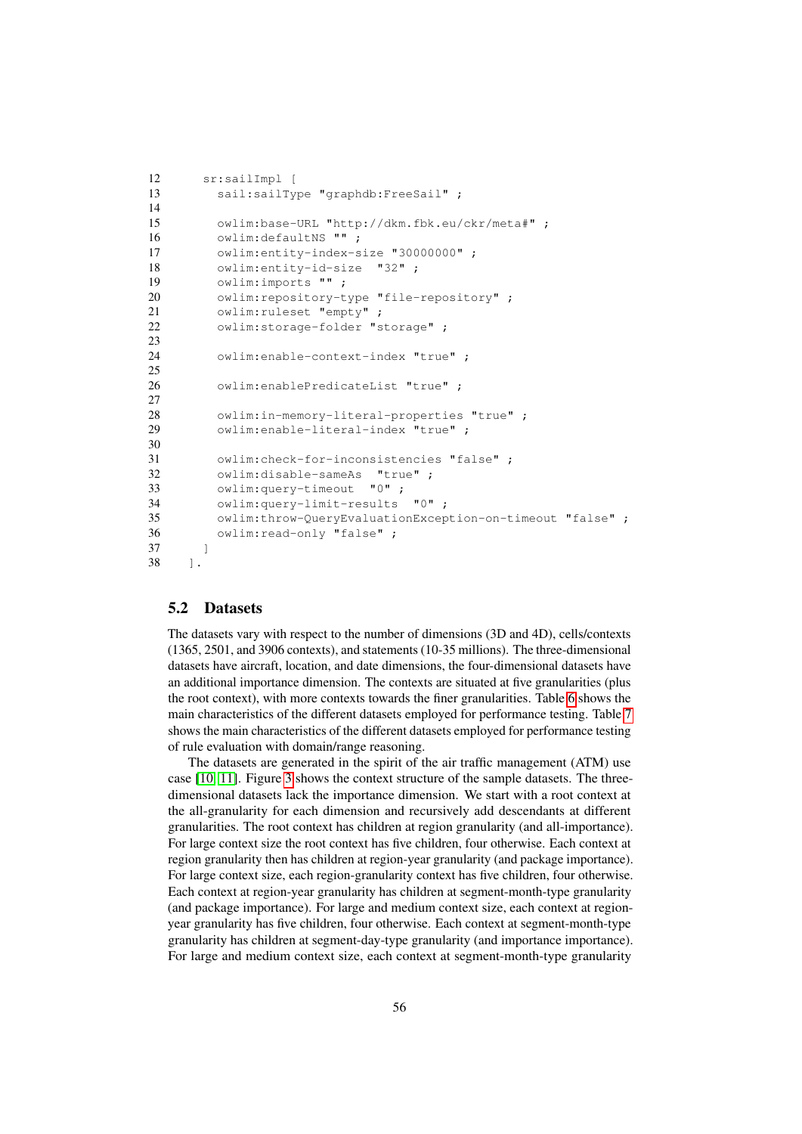```
12 sr:sailImpl [
13 sail:sailType "graphdb:FreeSail" ;
14
15 owlim:base-URL "http://dkm.fbk.eu/ckr/meta#" ;
16 owlim:defaultNS "";
17 owlim:entity-index-size "30000000" ;
18 owlim: entity-id-size "32";
19 owlim:imports "" ;
20 owlim: repository-type "file-repository";
21 owlim:ruleset "empty" ;
22 owlim:storage-folder "storage" ;
23
24 owlim:enable-context-index "true" ;
25
26 owlim:enablePredicateList "true" ;
27
28 owlim:in-memory-literal-properties "true" ;
29 owlim:enable-literal-index "true" ;
30
31 owlim:check-for-inconsistencies "false" ;
32 owlim:disable-sameAs "true" ;
33 owlim: query-timeout "0" ;
34 owlim:query-limit-results "0" ;
35 owlim:throw-QueryEvaluationException-on-timeout "false" ;
36 owlim:read-only "false" ;
37 ]
38 ].
```
#### <span id="page-55-0"></span>5.2 Datasets

The datasets vary with respect to the number of dimensions (3D and 4D), cells/contexts (1365, 2501, and 3906 contexts), and statements (10-35 millions). The three-dimensional datasets have aircraft, location, and date dimensions, the four-dimensional datasets have an additional importance dimension. The contexts are situated at five granularities (plus the root context), with more contexts towards the finer granularities. Table [6](#page-59-0) shows the main characteristics of the different datasets employed for performance testing. Table [7](#page-60-0) shows the main characteristics of the different datasets employed for performance testing of rule evaluation with domain/range reasoning.

The datasets are generated in the spirit of the air traffic management (ATM) use case [\[10,](#page-69-9) [11\]](#page-69-10). Figure [3](#page-58-0) shows the context structure of the sample datasets. The threedimensional datasets lack the importance dimension. We start with a root context at the all-granularity for each dimension and recursively add descendants at different granularities. The root context has children at region granularity (and all-importance). For large context size the root context has five children, four otherwise. Each context at region granularity then has children at region-year granularity (and package importance). For large context size, each region-granularity context has five children, four otherwise. Each context at region-year granularity has children at segment-month-type granularity (and package importance). For large and medium context size, each context at regionyear granularity has five children, four otherwise. Each context at segment-month-type granularity has children at segment-day-type granularity (and importance importance). For large and medium context size, each context at segment-month-type granularity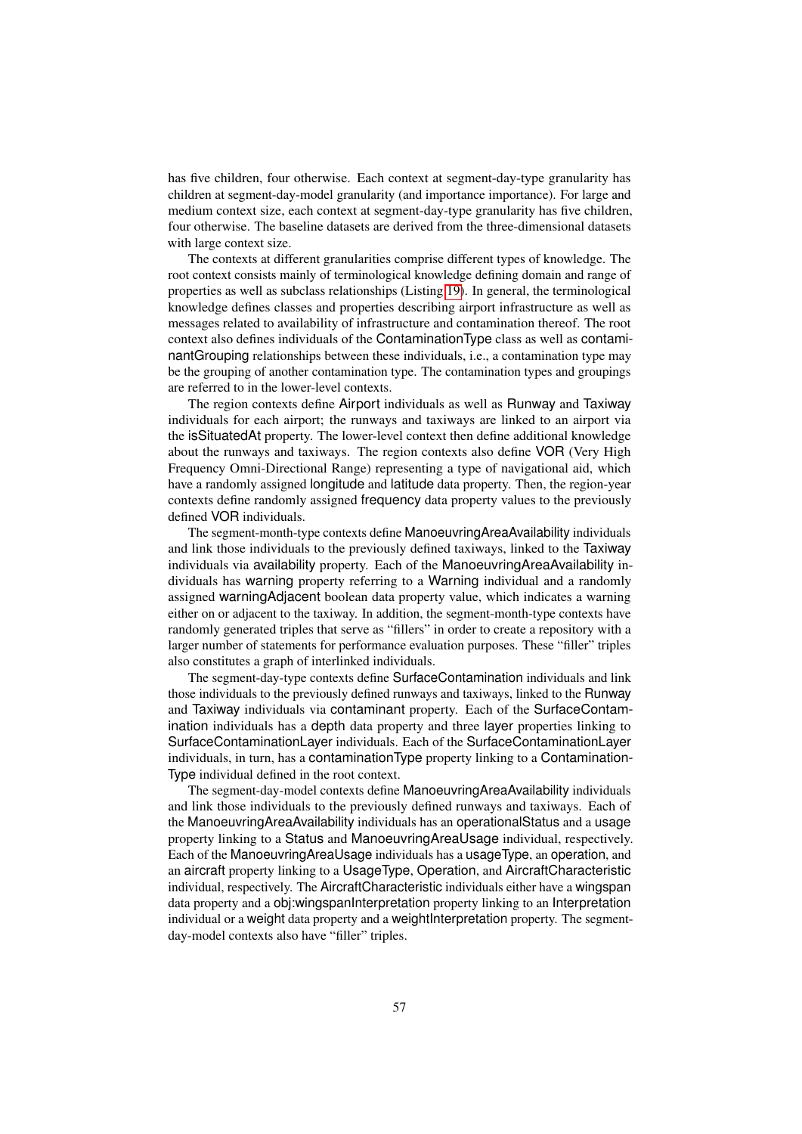has five children, four otherwise. Each context at segment-day-type granularity has children at segment-day-model granularity (and importance importance). For large and medium context size, each context at segment-day-type granularity has five children, four otherwise. The baseline datasets are derived from the three-dimensional datasets with large context size.

The contexts at different granularities comprise different types of knowledge. The root context consists mainly of terminological knowledge defining domain and range of properties as well as subclass relationships (Listing [19\)](#page-57-0). In general, the terminological knowledge defines classes and properties describing airport infrastructure as well as messages related to availability of infrastructure and contamination thereof. The root context also defines individuals of the ContaminationType class as well as contaminantGrouping relationships between these individuals, i.e., a contamination type may be the grouping of another contamination type. The contamination types and groupings are referred to in the lower-level contexts.

The region contexts define Airport individuals as well as Runway and Taxiway individuals for each airport; the runways and taxiways are linked to an airport via the isSituatedAt property. The lower-level context then define additional knowledge about the runways and taxiways. The region contexts also define VOR (Very High Frequency Omni-Directional Range) representing a type of navigational aid, which have a randomly assigned longitude and latitude data property. Then, the region-year contexts define randomly assigned frequency data property values to the previously defined VOR individuals.

The segment-month-type contexts define ManoeuvringAreaAvailability individuals and link those individuals to the previously defined taxiways, linked to the Taxiway individuals via availability property. Each of the ManoeuvringAreaAvailability individuals has warning property referring to a Warning individual and a randomly assigned warningAdjacent boolean data property value, which indicates a warning either on or adjacent to the taxiway. In addition, the segment-month-type contexts have randomly generated triples that serve as "fillers" in order to create a repository with a larger number of statements for performance evaluation purposes. These "filler" triples also constitutes a graph of interlinked individuals.

The segment-day-type contexts define SurfaceContamination individuals and link those individuals to the previously defined runways and taxiways, linked to the Runway and Taxiway individuals via contaminant property. Each of the SurfaceContamination individuals has a depth data property and three layer properties linking to SurfaceContaminationLayer individuals. Each of the SurfaceContaminationLayer individuals, in turn, has a contaminationType property linking to a Contamination-Type individual defined in the root context.

The segment-day-model contexts define ManoeuvringAreaAvailability individuals and link those individuals to the previously defined runways and taxiways. Each of the ManoeuvringAreaAvailability individuals has an operationalStatus and a usage property linking to a Status and ManoeuvringAreaUsage individual, respectively. Each of the ManoeuvringAreaUsage individuals has a usageType, an operation, and an aircraft property linking to a UsageType, Operation, and AircraftCharacteristic individual, respectively. The AircraftCharacteristic individuals either have a wingspan data property and a obj:wingspanInterpretation property linking to an Interpretation individual or a weight data property and a weightInterpretation property. The segmentday-model contexts also have "filler" triples.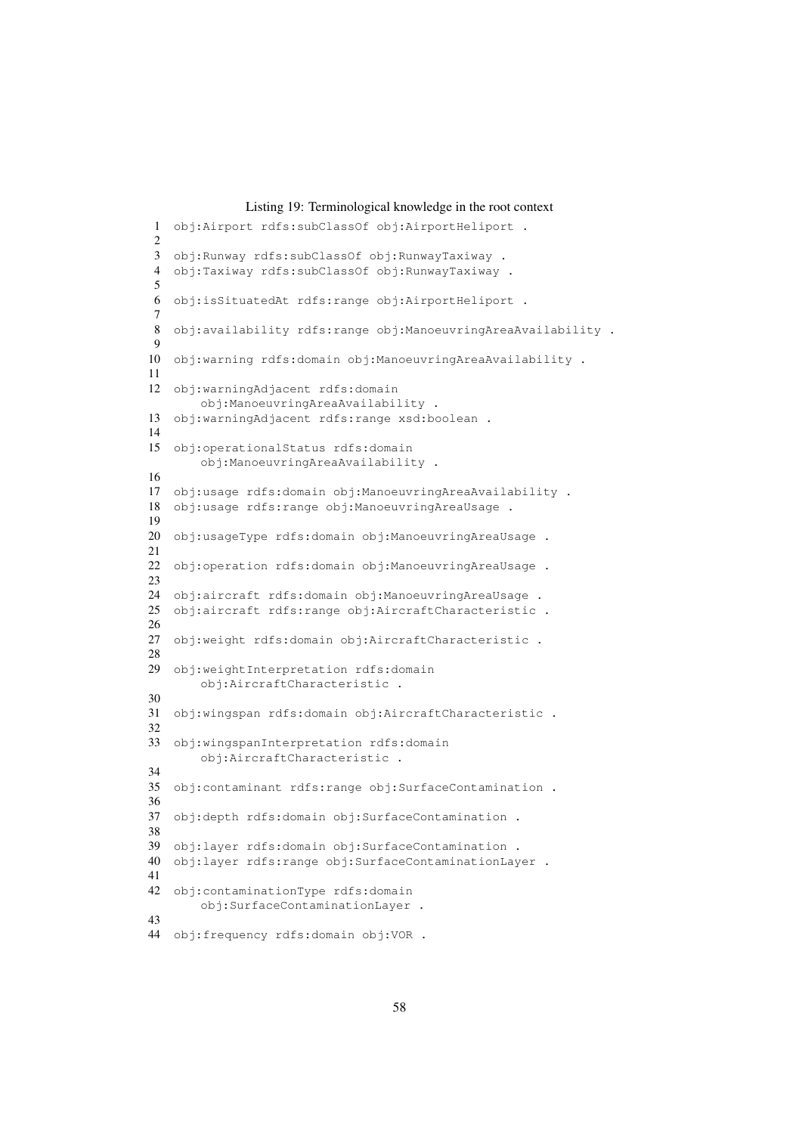#### Listing 19: Terminological knowledge in the root context

```
1 obj:Airport rdfs:subClassOf obj:AirportHeliport .
2
3 obj:Runway rdfs:subClassOf obj:RunwayTaxiway .
4 obj:Taxiway rdfs:subClassOf obj:RunwayTaxiway .
5
6 obj:isSituatedAt rdfs:range obj:AirportHeliport .
7
8 obj:availability rdfs:range obj:ManoeuvringAreaAvailability .
9
10 obj:warning rdfs:domain obj:ManoeuvringAreaAvailability .
11
12 obj:warningAdjacent rdfs:domain
       obj:ManoeuvringAreaAvailability .
13 obj:warningAdjacent rdfs:range xsd:boolean .
14
15 obj:operationalStatus rdfs:domain
       obj:ManoeuvringAreaAvailability .
16
17 obj:usage rdfs:domain obj:ManoeuvringAreaAvailability .
18 obj:usage rdfs:range obj:ManoeuvringAreaUsage .
19
20 obj:usageType rdfs:domain obj:ManoeuvringAreaUsage .
21
22 obj:operation rdfs:domain obj:ManoeuvringAreaUsage .
23
24 obj:aircraft rdfs:domain obj:ManoeuvringAreaUsage .
25 obj:aircraft rdfs:range obj:AircraftCharacteristic .
26
27 obj:weight rdfs:domain obj:AircraftCharacteristic .
28
29 obj:weightInterpretation rdfs:domain
       obj:AircraftCharacteristic .
30
31 obj:wingspan rdfs:domain obj:AircraftCharacteristic .
32
33 obj:wingspanInterpretation rdfs:domain
       obj:AircraftCharacteristic .
34
35 obj:contaminant rdfs:range obj:SurfaceContamination .
36
37 obj:depth rdfs:domain obj:SurfaceContamination .
38
39 obj:layer rdfs:domain obj:SurfaceContamination .
40 obj:layer rdfs:range obj:SurfaceContaminationLayer .
41
42 obj:contaminationType rdfs:domain
       obj:SurfaceContaminationLayer .
43
44 obj:frequency rdfs:domain obj:VOR .
```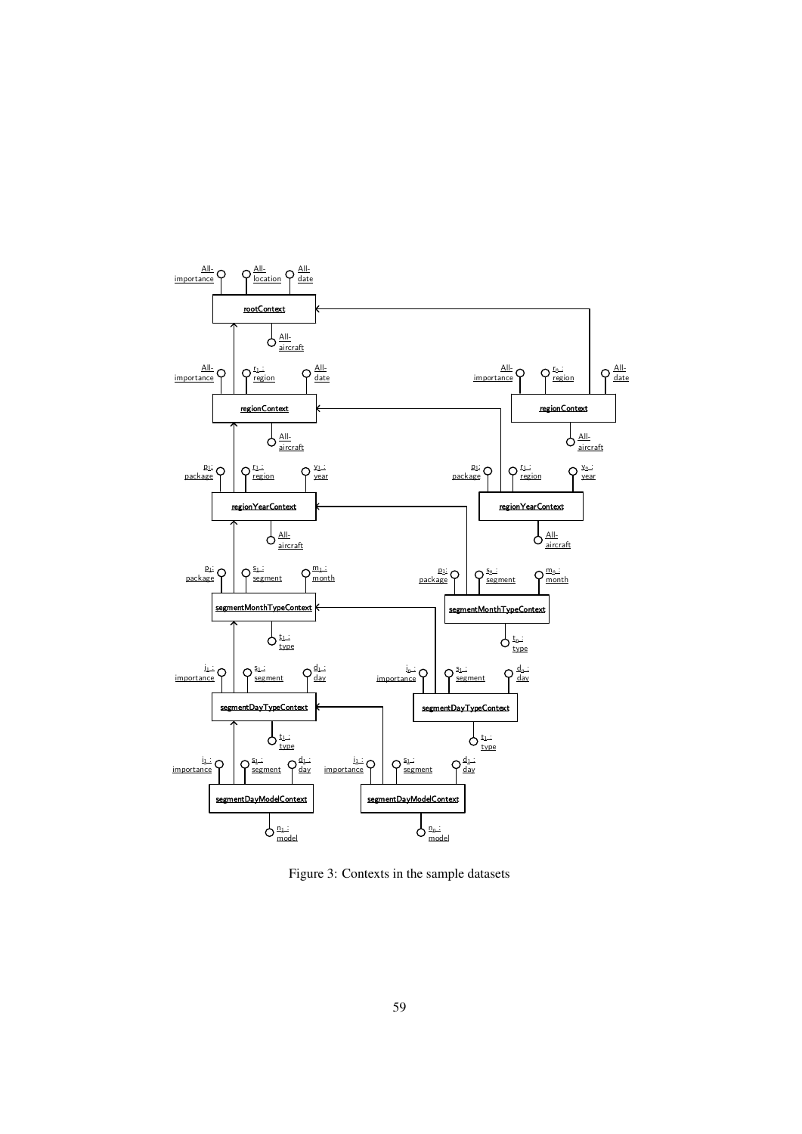

<span id="page-58-0"></span>Figure 3: Contexts in the sample datasets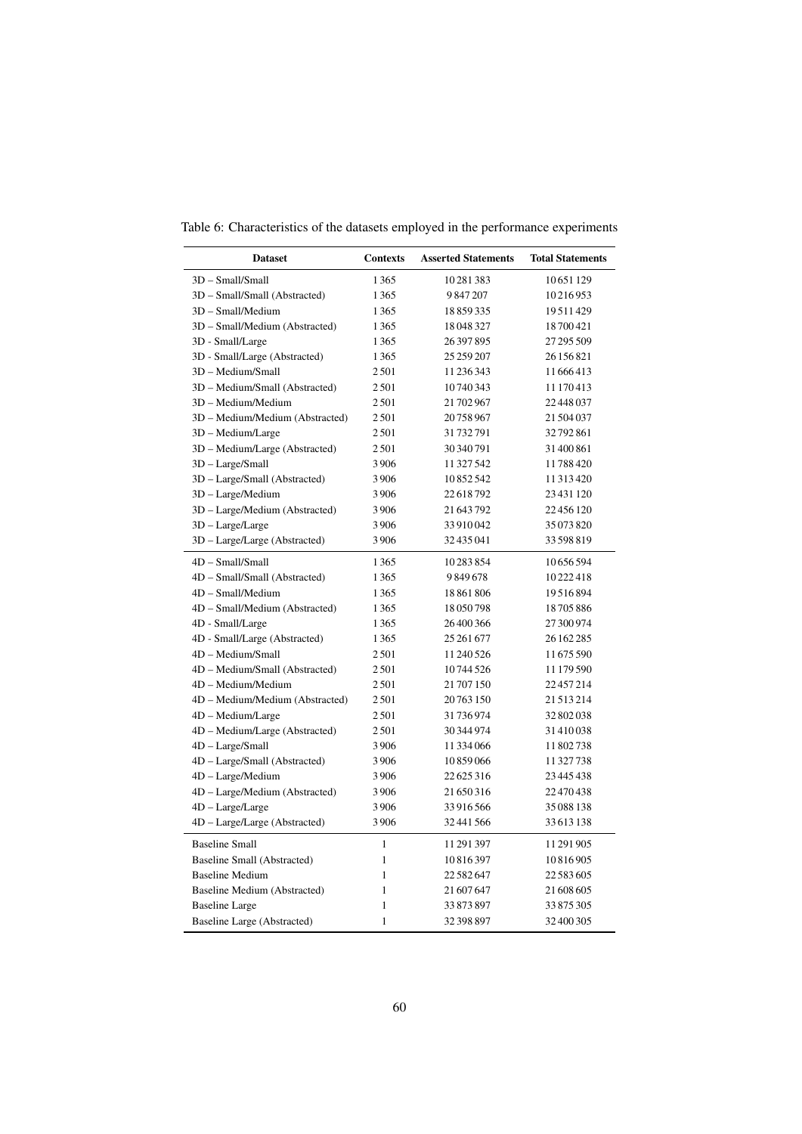<span id="page-59-0"></span>

| Table 6: Characteristics of the datasets employed in the performance experiments |  |  |  |
|----------------------------------------------------------------------------------|--|--|--|
|                                                                                  |  |  |  |

| <b>Dataset</b>                  | <b>Contexts</b> | <b>Asserted Statements</b> | <b>Total Statements</b> |
|---------------------------------|-----------------|----------------------------|-------------------------|
| 3D - Small/Small                | 1365            | 10281383                   | 10651129                |
| 3D - Small/Small (Abstracted)   | 1365            | 9847207                    | 10216953                |
| 3D - Small/Medium               | 1365            | 18859335                   | 19511429                |
| 3D - Small/Medium (Abstracted)  | 1365            | 18048327                   | 18700421                |
| 3D - Small/Large                | 1365            | 26397895                   | 27 295 509              |
| 3D - Small/Large (Abstracted)   | 1365            | 25 259 207                 | 26 156 821              |
| 3D - Medium/Small               | 2501            | 11 236 343                 | 11666413                |
| 3D - Medium/Small (Abstracted)  | 2501            | 10740343                   | 11 170 413              |
| 3D - Medium/Medium              | 2501            | 21 702 967                 | 22448037                |
| 3D - Medium/Medium (Abstracted) | 2501            | 20758967                   | 21504037                |
| 3D - Medium/Large               | 2501            | 31732791                   | 32792861                |
| 3D - Medium/Large (Abstracted)  | 2501            | 30 340 791                 | 31400861                |
| 3D - Large/Small                | 3906            | 11 327 542                 | 11788420                |
| 3D - Large/Small (Abstracted)   | 3906            | 10852542                   | 11 313 420              |
| 3D - Large/Medium               | 3906            | 22618792                   | 23431120                |
| 3D - Large/Medium (Abstracted)  | 3906            | 21 643 792                 | 22 456 120              |
| 3D - Large/Large                | 3906            | 33910042                   | 35073820                |
| 3D - Large/Large (Abstracted)   | 3906            | 32435041                   | 33 598 819              |
| 4D - Small/Small                | 1365            | 10283854                   | 10656594                |
| 4D - Small/Small (Abstracted)   | 1365            | 9849678                    | 10222418                |
| 4D - Small/Medium               | 1365            | 18861806                   | 19516894                |
| 4D - Small/Medium (Abstracted)  | 1365            | 18050798                   | 18705886                |
| 4D - Small/Large                | 1365            | 26400366                   | 27 300 974              |
| 4D - Small/Large (Abstracted)   | 1365            | 25 261 677                 | 26 162 285              |
| 4D - Medium/Small               | 2501            | 11 240 526                 | 11675590                |
| 4D - Medium/Small (Abstracted)  | 2501            | 10744526                   | 11 179 590              |
| 4D - Medium/Medium              | 2501            | 21707150                   | 22457214                |
| 4D - Medium/Medium (Abstracted) | 2501            | 20763150                   | 21513214                |
| 4D - Medium/Large               | 2501            | 31736974                   | 32802038                |
| 4D - Medium/Large (Abstracted)  | 2501            | 30 344 974                 | 31410038                |
| 4D - Large/Small                | 3906            | 11334066                   | 11802738                |
| 4D - Large/Small (Abstracted)   | 3906            | 10859066                   | 11327738                |
| 4D - Large/Medium               | 3906            | 22625316                   | 23 445 438              |
| 4D - Large/Medium (Abstracted)  | 3906            | 21650316                   | 22470438                |
| 4D - Large/Large                | 3906            | 33916566                   | 35088138                |
| 4D - Large/Large (Abstracted)   | 3906            | 32 441 566                 | 33613138                |
| <b>Baseline Small</b>           | $\mathbf{1}$    | 11 291 397                 | 11 291 905              |
| Baseline Small (Abstracted)     | $\mathbf{1}$    | 10816397                   | 10816905                |
| <b>Baseline Medium</b>          | $\mathbf{1}$    | 22582647                   | 22583605                |
| Baseline Medium (Abstracted)    | 1               | 21 607 647                 | 21 608 605              |
| <b>Baseline Large</b>           | $\mathbf{1}$    | 33873897                   | 33875305                |
| Baseline Large (Abstracted)     | $\mathbf{1}$    | 32 398 897                 | 32 400 305              |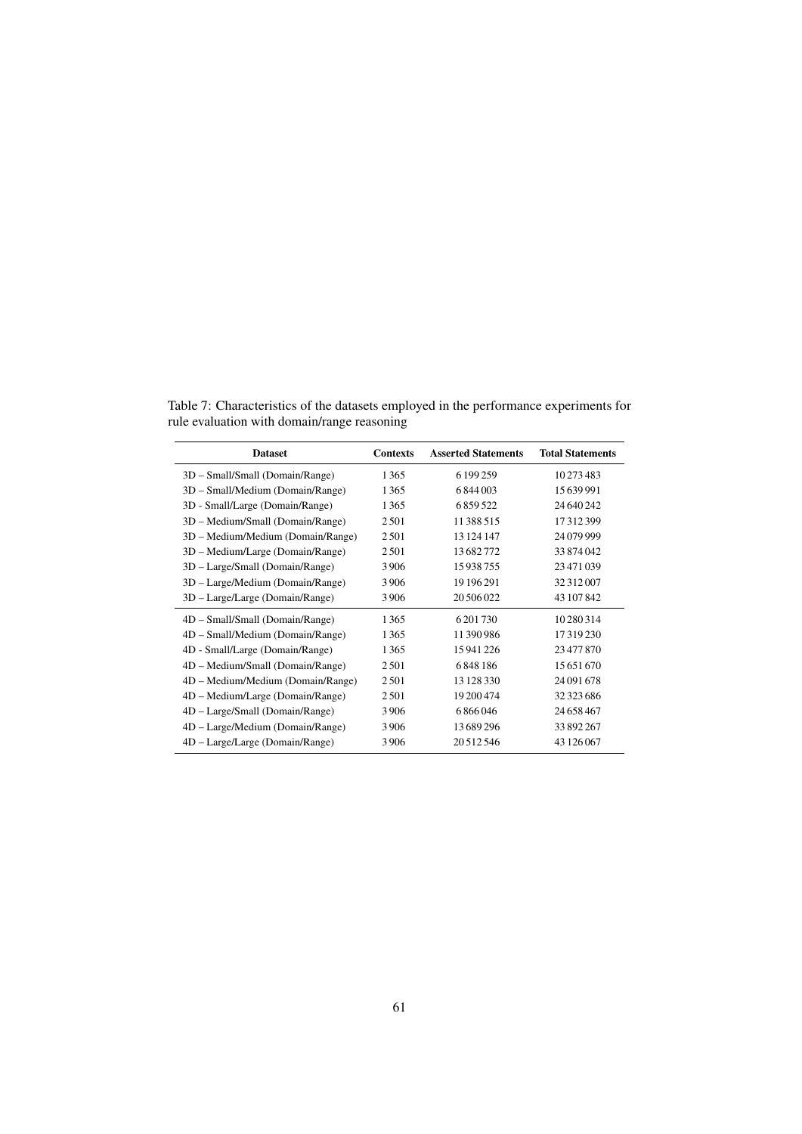<span id="page-60-0"></span>Table 7: Characteristics of the datasets employed in the performance experiments for rule evaluation with domain/range reasoning

| <b>Contexts</b> | <b>Asserted Statements</b> | <b>Total Statements</b> |
|-----------------|----------------------------|-------------------------|
| 1365            | 6 199 259                  | 10273483                |
| 1365            | 6844003                    | 15 639 991              |
| 1365            | 6859522                    | 24 640 242              |
| 2501            | 11388515                   | 17312399                |
| 2501            | 13 124 147                 | 24 079 999              |
| 2501            | 13682772                   | 33874042                |
| 3906            | 15938755                   | 23471039                |
| 3906            | 19 19 6 29 1               | 32 312 007              |
| 3906            | 20 50 6 0 22               | 43 107 842              |
| 1365            | 6 201 730                  | 10 280 314              |
| 1365            | 11390986                   | 17319230                |
| 1365            | 15941226                   | 23477870                |
| 2501            | 6848186                    | 15 651 670              |
| 2501            | 13 128 330                 | 24 091 678              |
| 2501            | 19 200 474                 | 32 323 686              |
| 3906            | 6866046                    | 24 658 467              |
| 3906            | 13689296                   | 33 892 267              |
| 3906            | 20 5 12 5 46               | 43 126 067              |
|                 |                            |                         |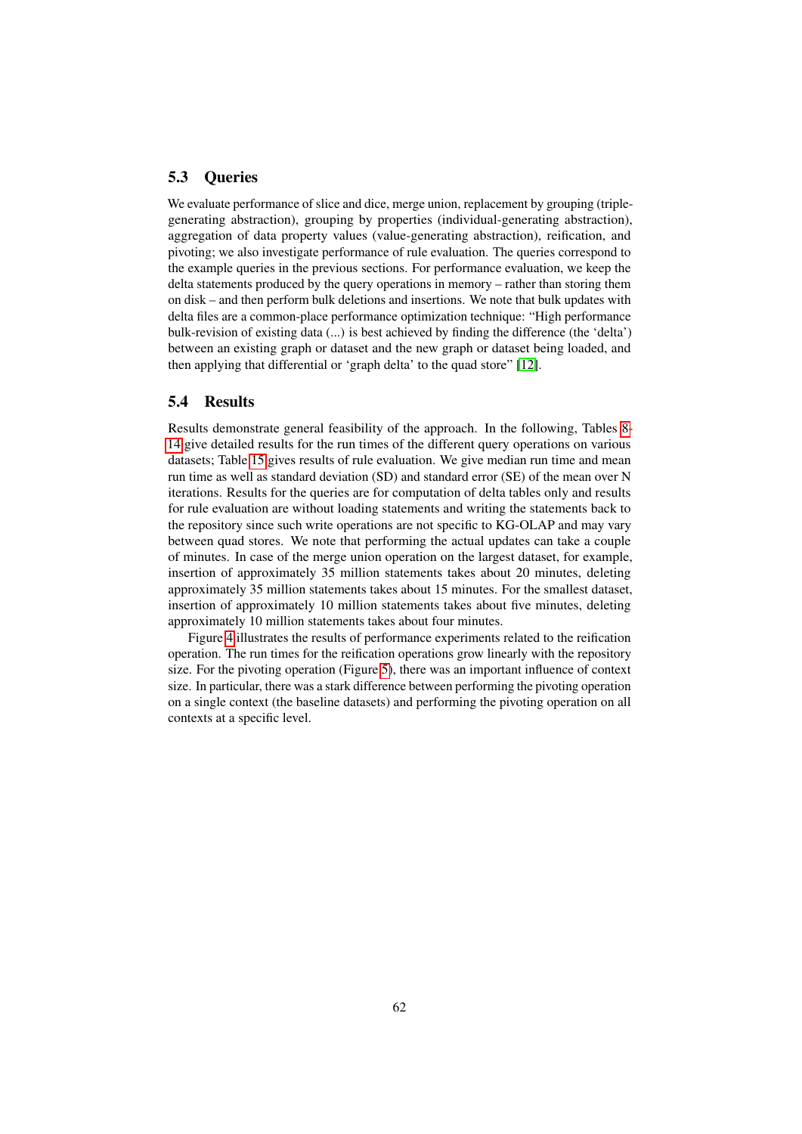# <span id="page-61-0"></span>5.3 Queries

We evaluate performance of slice and dice, merge union, replacement by grouping (triplegenerating abstraction), grouping by properties (individual-generating abstraction), aggregation of data property values (value-generating abstraction), reification, and pivoting; we also investigate performance of rule evaluation. The queries correspond to the example queries in the previous sections. For performance evaluation, we keep the delta statements produced by the query operations in memory – rather than storing them on disk – and then perform bulk deletions and insertions. We note that bulk updates with delta files are a common-place performance optimization technique: "High performance bulk-revision of existing data (...) is best achieved by finding the difference (the 'delta') between an existing graph or dataset and the new graph or dataset being loaded, and then applying that differential or 'graph delta' to the quad store" [\[12\]](#page-69-11).

### <span id="page-61-1"></span>5.4 Results

Results demonstrate general feasibility of the approach. In the following, Tables [8-](#page-62-0) [14](#page-67-0) give detailed results for the run times of the different query operations on various datasets; Table [15](#page-67-1) gives results of rule evaluation. We give median run time and mean run time as well as standard deviation (SD) and standard error (SE) of the mean over N iterations. Results for the queries are for computation of delta tables only and results for rule evaluation are without loading statements and writing the statements back to the repository since such write operations are not specific to KG-OLAP and may vary between quad stores. We note that performing the actual updates can take a couple of minutes. In case of the merge union operation on the largest dataset, for example, insertion of approximately 35 million statements takes about 20 minutes, deleting approximately 35 million statements takes about 15 minutes. For the smallest dataset, insertion of approximately 10 million statements takes about five minutes, deleting approximately 10 million statements takes about four minutes.

Figure [4](#page-62-1) illustrates the results of performance experiments related to the reification operation. The run times for the reification operations grow linearly with the repository size. For the pivoting operation (Figure [5\)](#page-62-2), there was an important influence of context size. In particular, there was a stark difference between performing the pivoting operation on a single context (the baseline datasets) and performing the pivoting operation on all contexts at a specific level.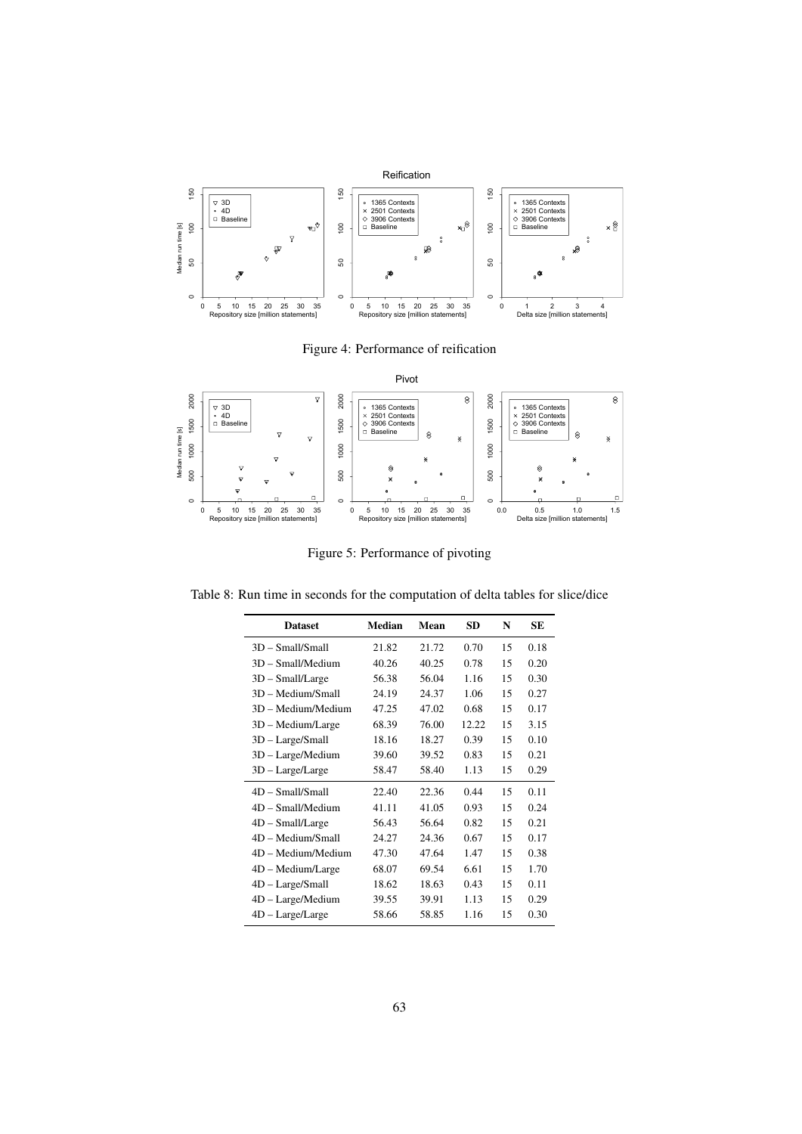

<span id="page-62-1"></span>Figure 4: Performance of reification



<span id="page-62-2"></span>Figure 5: Performance of pivoting

Table 8: Run time in seconds for the computation of delta tables for slice/dice

<span id="page-62-0"></span>

| <b>Dataset</b>      | <b>Median</b> | Mean  | <b>SD</b> | N  | <b>SE</b> |
|---------------------|---------------|-------|-----------|----|-----------|
| $3D - Small/Small$  | 21.82         | 21.72 | 0.70      | 15 | 0.18      |
| $3D - Small/Median$ | 40.26         | 40.25 | 0.78      | 15 | 0.20      |
| $3D$ – Small/Large  | 56.38         | 56.04 | 1.16      | 15 | 0.30      |
| 3D – Medium/Small   | 24.19         | 24.37 | 1.06      | 15 | 0.27      |
| 3D - Medium/Medium  | 47.25         | 47.02 | 0.68      | 15 | 0.17      |
| 3D - Medium/Large   | 68.39         | 76.00 | 12.22     | 15 | 3.15      |
| 3D - Large/Small    | 18.16         | 18.27 | 0.39      | 15 | 0.10      |
| 3D - Large/Medium   | 39.60         | 39.52 | 0.83      | 15 | 0.21      |
| 3D - Large/Large    | 58.47         | 58.40 | 1.13      | 15 | 0.29      |
| $4D - Small/Small$  | 22.40         | 22.36 | 0.44      | 15 | 0.11      |
| $4D - Small/Median$ | 41.11         | 41.05 | 0.93      | 15 | 0.24      |
| $4D$ – Small/Large  | 56.43         | 56.64 | 0.82      | 15 | 0.21      |
| 4D - Medium/Small   | 24.27         | 24.36 | 0.67      | 15 | 0.17      |
| 4D - Medium/Medium  | 47.30         | 47.64 | 1.47      | 15 | 0.38      |
| 4D - Medium/Large   | 68.07         | 69.54 | 6.61      | 15 | 1.70      |
| 4D - Large/Small    | 18.62         | 18.63 | 0.43      | 15 | 0.11      |
| $4D - Large/Median$ | 39.55         | 39.91 | 1.13      | 15 | 0.29      |
| $4D - Large/Large$  | 58.66         | 58.85 | 1.16      | 15 | 0.30      |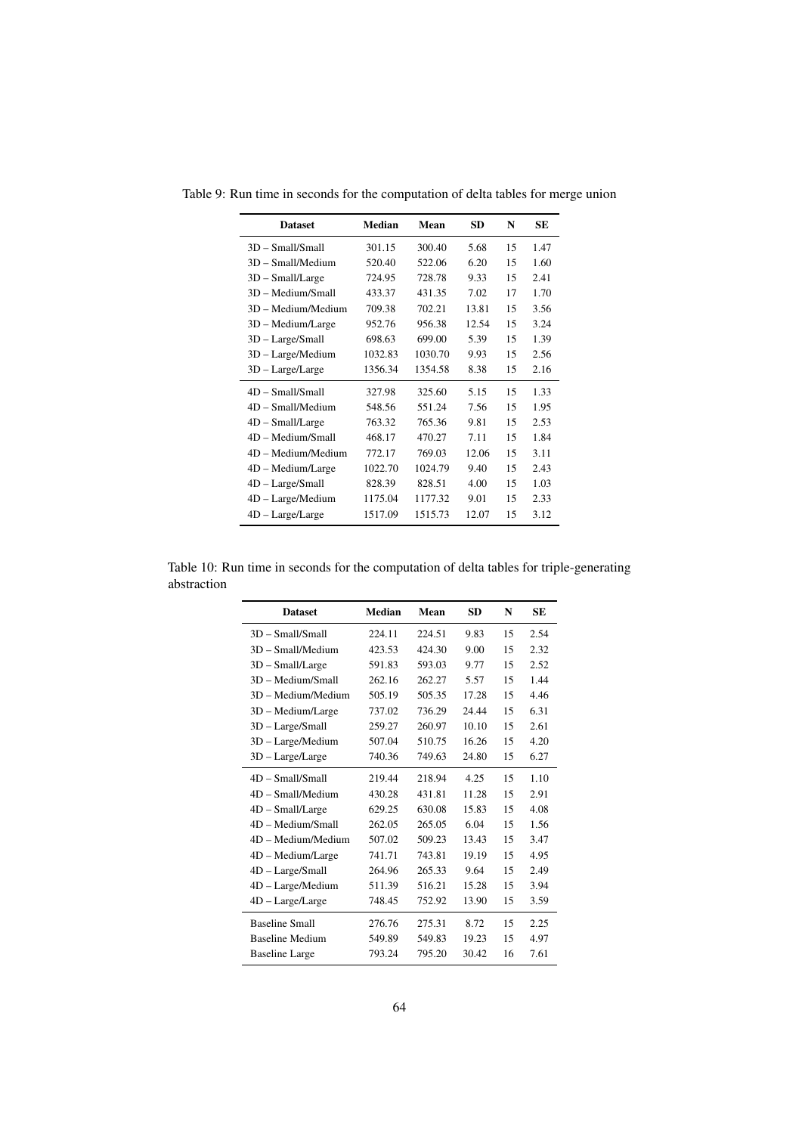| <b>Dataset</b>      | Median  | Mean    | <b>SD</b> | N  | SЕ   |
|---------------------|---------|---------|-----------|----|------|
| $3D - Small/Smal$   | 301.15  | 300.40  | 5.68      | 15 | 1.47 |
| $3D - Small/Median$ | 520.40  | 522.06  | 6.20      | 15 | 1.60 |
| $3D$ – Small/Large  | 724.95  | 728.78  | 9.33      | 15 | 2.41 |
| 3D - Medium/Small   | 433.37  | 431.35  | 7.02      | 17 | 1.70 |
| 3D - Medium/Medium  | 709.38  | 702.21  | 13.81     | 15 | 3.56 |
| 3D - Medium/Large   | 952.76  | 956.38  | 12.54     | 15 | 3.24 |
| 3D - Large/Small    | 698.63  | 699.00  | 5.39      | 15 | 1.39 |
| 3D - Large/Medium   | 1032.83 | 1030.70 | 9.93      | 15 | 2.56 |
| $3D - Large/Large$  | 1356.34 | 1354.58 | 8.38      | 15 | 2.16 |
| $4D - Small/Small$  | 327.98  | 325.60  | 5.15      | 15 | 1.33 |
| 4D - Small/Medium   | 548.56  | 551.24  | 7.56      | 15 | 1.95 |
| $4D$ – Small/Large  | 763.32  | 765.36  | 9.81      | 15 | 2.53 |
| 4D - Medium/Small   | 468.17  | 470.27  | 7.11      | 15 | 1.84 |
| 4D - Medium/Medium  | 772.17  | 769.03  | 12.06     | 15 | 3.11 |
| $4D - Medium/Large$ | 1022.70 | 1024.79 | 9.40      | 15 | 2.43 |
| $4D - Large/Small$  | 828.39  | 828.51  | 4.00      | 15 | 1.03 |
| $4D - Large/Median$ | 1175.04 | 1177.32 | 9.01      | 15 | 2.33 |
| $4D - Large/Large$  | 1517.09 | 1515.73 | 12.07     | 15 | 3.12 |

Table 9: Run time in seconds for the computation of delta tables for merge union

Table 10: Run time in seconds for the computation of delta tables for triple-generating abstraction

| <b>Dataset</b>         | <b>Median</b> | Mean   | <b>SD</b> | N  | <b>SE</b> |
|------------------------|---------------|--------|-----------|----|-----------|
| $3D - Small/Small$     | 224.11        | 224.51 | 9.83      | 15 | 2.54      |
| $3D - Small/Median$    | 423.53        | 424.30 | 9.00      | 15 | 2.32      |
| $3D$ – Small/Large     | 591.83        | 593.03 | 9.77      | 15 | 2.52      |
| 3D - Medium/Small      | 262.16        | 262.27 | 5.57      | 15 | 1.44      |
| 3D - Medium/Medium     | 505.19        | 505.35 | 17.28     | 15 | 4.46      |
| 3D - Medium/Large      | 737.02        | 736.29 | 24.44     | 15 | 6.31      |
| 3D - Large/Small       | 259.27        | 260.97 | 10.10     | 15 | 2.61      |
| 3D - Large/Medium      | 507.04        | 510.75 | 16.26     | 15 | 4.20      |
| $3D - Large/Large$     | 740.36        | 749.63 | 24.80     | 15 | 6.27      |
| $4D - Small/Small$     | 219.44        | 218.94 | 4.25      | 15 | 1.10      |
| 4D - Small/Medium      | 430.28        | 431.81 | 11.28     | 15 | 2.91      |
| $4D$ – Small/Large     | 629.25        | 630.08 | 15.83     | 15 | 4.08      |
| 4D - Medium/Small      | 262.05        | 265.05 | 6.04      | 15 | 1.56      |
| 4D - Medium/Medium     | 507.02        | 509.23 | 13.43     | 15 | 3.47      |
| 4D – Medium/Large      | 741.71        | 743.81 | 19.19     | 15 | 4.95      |
| 4D - Large/Small       | 264.96        | 265.33 | 9.64      | 15 | 2.49      |
| 4D - Large/Medium      | 511.39        | 516.21 | 15.28     | 15 | 3.94      |
| $4D - Large/Large$     | 748.45        | 752.92 | 13.90     | 15 | 3.59      |
| <b>Baseline Small</b>  | 276.76        | 275.31 | 8.72      | 15 | 2.25      |
| <b>Baseline Medium</b> | 549.89        | 549.83 | 19.23     | 15 | 4.97      |
| <b>Baseline Large</b>  | 793.24        | 795.20 | 30.42     | 16 | 7.61      |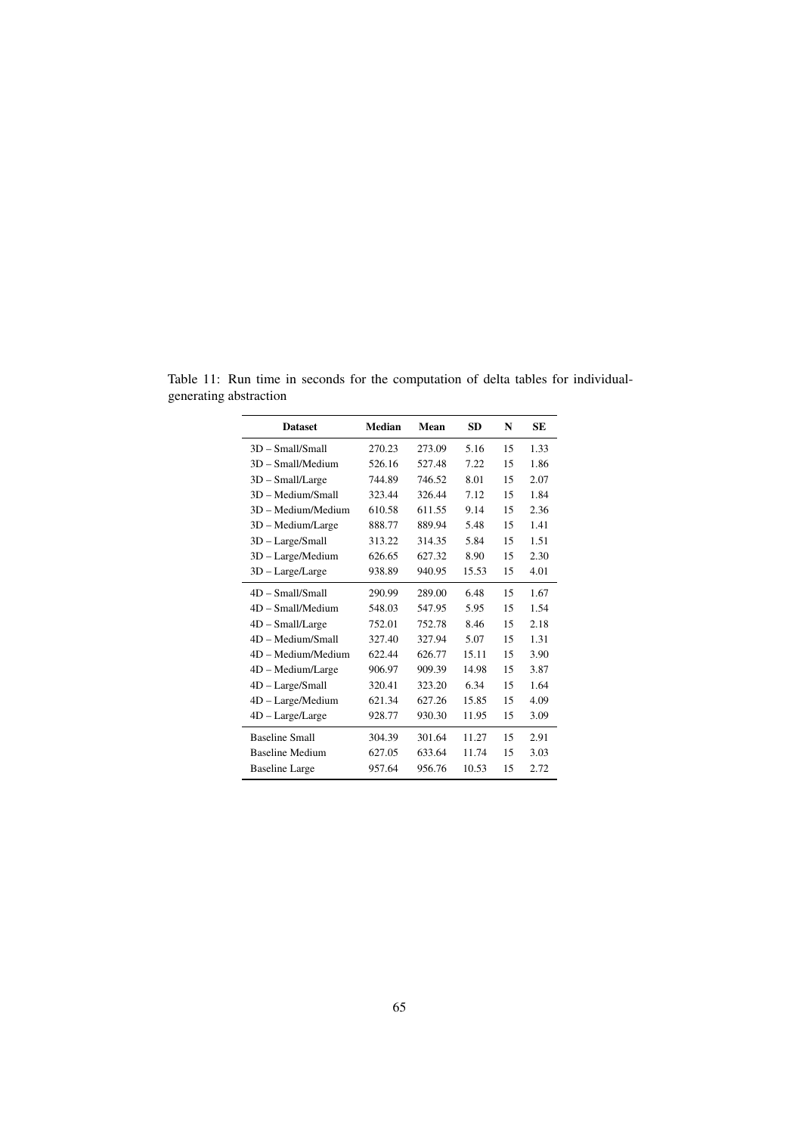| <b>Dataset</b>         | <b>Median</b> | Mean   | SD    | N  | SЕ   |
|------------------------|---------------|--------|-------|----|------|
| $3D - Small/Smal$      | 270.23        | 273.09 | 5.16  | 15 | 1.33 |
| $3D - Small/Median$    | 526.16        | 527.48 | 7.22  | 15 | 1.86 |
| $3D$ – Small/Large     | 744.89        | 746.52 | 8.01  | 15 | 2.07 |
| 3D - Medium/Small      | 323.44        | 326.44 | 7.12  | 15 | 1.84 |
| 3D - Medium/Medium     | 610.58        | 611.55 | 9.14  | 15 | 2.36 |
| 3D - Medium/Large      | 888.77        | 889.94 | 5.48  | 15 | 1.41 |
| $3D - Large/Small$     | 313.22        | 314.35 | 5.84  | 15 | 1.51 |
| 3D - Large/Medium      | 626.65        | 627.32 | 8.90  | 15 | 2.30 |
| $3D - Large/Large$     | 938.89        | 940.95 | 15.53 | 15 | 4.01 |
| 4D - Small/Small       | 290.99        | 289.00 | 6.48  | 15 | 1.67 |
| $4D - Small/Median$    | 548.03        | 547.95 | 5.95  | 15 | 1.54 |
| $4D - Small/Large$     | 752.01        | 752.78 | 8.46  | 15 | 2.18 |
| 4D – Medium/Small      | 327.40        | 327.94 | 5.07  | 15 | 1.31 |
| 4D - Medium/Medium     | 622.44        | 626.77 | 15.11 | 15 | 3.90 |
| 4D - Medium/Large      | 906.97        | 909.39 | 14.98 | 15 | 3.87 |
| $4D - Large/Small$     | 320.41        | 323.20 | 6.34  | 15 | 1.64 |
| 4D - Large/Medium      | 621.34        | 627.26 | 15.85 | 15 | 4.09 |
| $4D - Large/Large$     | 928.77        | 930.30 | 11.95 | 15 | 3.09 |
| <b>Baseline Small</b>  | 304.39        | 301.64 | 11.27 | 15 | 2.91 |
| <b>Baseline Medium</b> | 627.05        | 633.64 | 11.74 | 15 | 3.03 |
| <b>Baseline Large</b>  | 957.64        | 956.76 | 10.53 | 15 | 2.72 |

Table 11: Run time in seconds for the computation of delta tables for individualgenerating abstraction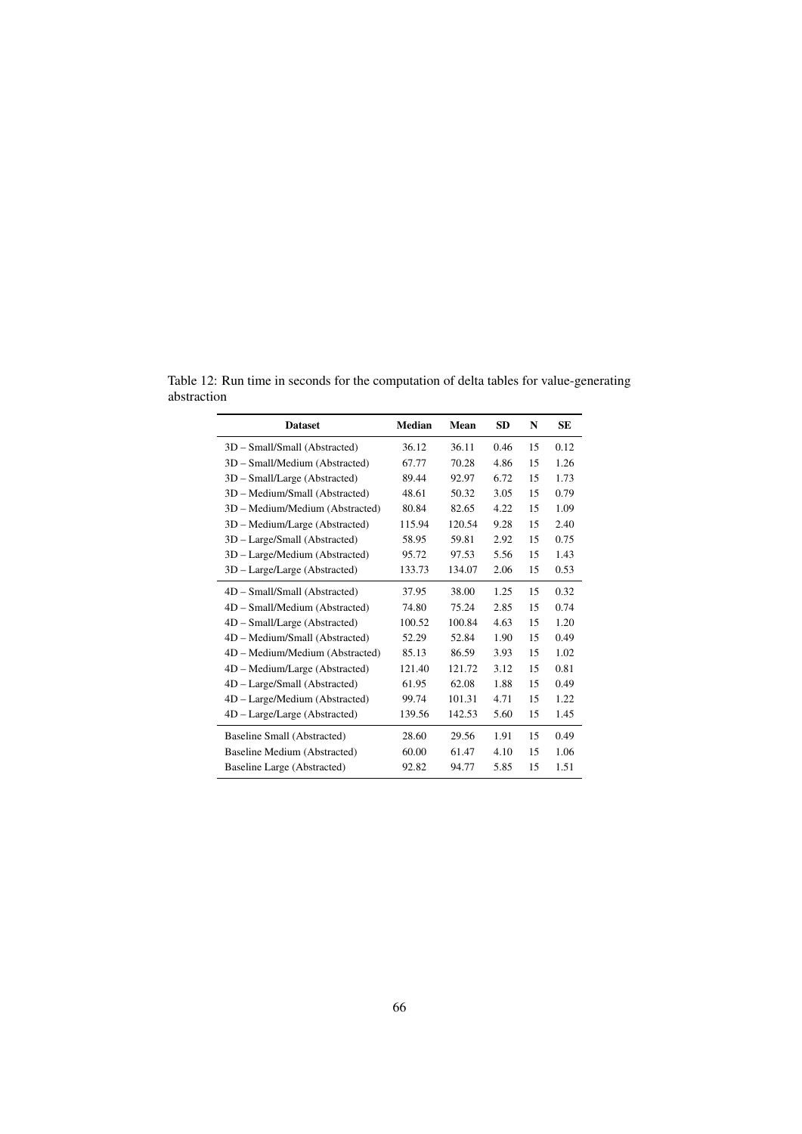Table 12: Run time in seconds for the computation of delta tables for value-generating abstraction

| <b>Dataset</b>                  | Median | Mean   | <b>SD</b> | N  | <b>SE</b> |
|---------------------------------|--------|--------|-----------|----|-----------|
| 3D - Small/Small (Abstracted)   | 36.12  | 36.11  | 0.46      | 15 | 0.12      |
| 3D - Small/Medium (Abstracted)  | 67.77  | 70.28  | 4.86      | 15 | 1.26      |
| 3D – Small/Large (Abstracted)   | 89.44  | 92.97  | 6.72      | 15 | 1.73      |
| 3D - Medium/Small (Abstracted)  | 48.61  | 50.32  | 3.05      | 15 | 0.79      |
| 3D – Medium/Medium (Abstracted) | 80.84  | 82.65  | 4.22      | 15 | 1.09      |
| 3D – Medium/Large (Abstracted)  | 115.94 | 120.54 | 9.28      | 15 | 2.40      |
| 3D - Large/Small (Abstracted)   | 58.95  | 59.81  | 2.92      | 15 | 0.75      |
| 3D - Large/Medium (Abstracted)  | 95.72  | 97.53  | 5.56      | 15 | 1.43      |
| 3D – Large/Large (Abstracted)   | 133.73 | 134.07 | 2.06      | 15 | 0.53      |
| 4D - Small/Small (Abstracted)   | 37.95  | 38.00  | 1.25      | 15 | 0.32      |
| 4D - Small/Medium (Abstracted)  | 74.80  | 75.24  | 2.85      | 15 | 0.74      |
| 4D - Small/Large (Abstracted)   | 100.52 | 100.84 | 4.63      | 15 | 1.20      |
| 4D - Medium/Small (Abstracted)  | 52.29  | 52.84  | 1.90      | 15 | 0.49      |
| 4D - Medium/Medium (Abstracted) | 85.13  | 86.59  | 3.93      | 15 | 1.02      |
| 4D – Medium/Large (Abstracted)  | 121.40 | 121.72 | 3.12      | 15 | 0.81      |
| 4D - Large/Small (Abstracted)   | 61.95  | 62.08  | 1.88      | 15 | 0.49      |
| 4D – Large/Medium (Abstracted)  | 99.74  | 101.31 | 4.71      | 15 | 1.22      |
| $4D - Large/Large$ (Abstracted) | 139.56 | 142.53 | 5.60      | 15 | 1.45      |
| Baseline Small (Abstracted)     | 28.60  | 29.56  | 1.91      | 15 | 0.49      |
| Baseline Medium (Abstracted)    | 60.00  | 61.47  | 4.10      | 15 | 1.06      |
| Baseline Large (Abstracted)     | 92.82  | 94.77  | 5.85      | 15 | 1.51      |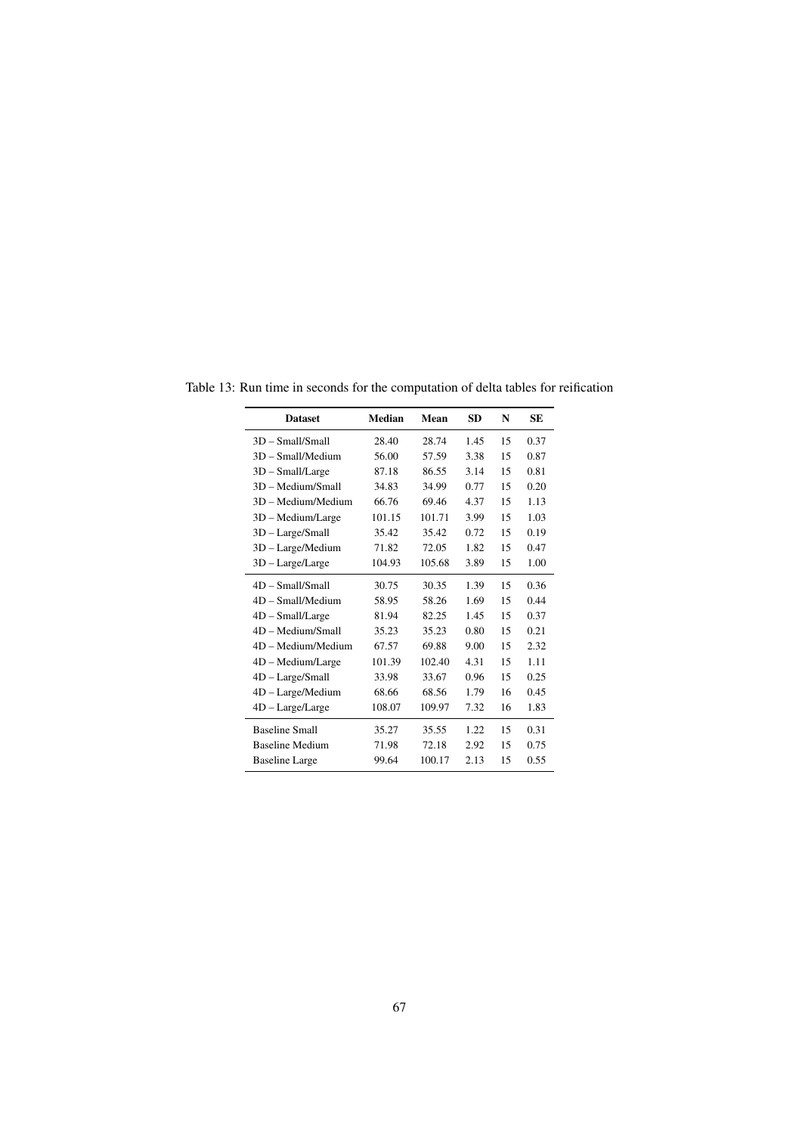| <b>Dataset</b>         | Median | Mean   | <b>SD</b> | N  | <b>SE</b> |
|------------------------|--------|--------|-----------|----|-----------|
| 3D - Small/Small       | 28.40  | 28.74  | 1.45      | 15 | 0.37      |
| $3D - Small/Median$    | 56.00  | 57.59  | 3.38      | 15 | 0.87      |
| $3D$ – Small/Large     | 87.18  | 86.55  | 3.14      | 15 | 0.81      |
| 3D - Medium/Small      | 34.83  | 34.99  | 0.77      | 15 | 0.20      |
| 3D - Medium/Medium     | 66.76  | 69.46  | 4.37      | 15 | 1.13      |
| $3D - Medium/Large$    | 101.15 | 101.71 | 3.99      | 15 | 1.03      |
| $3D - Large/Small$     | 35.42  | 35.42  | 0.72      | 15 | 0.19      |
| 3D - Large/Medium      | 71.82  | 72.05  | 1.82      | 15 | 0.47      |
| $3D - Large/Large$     | 104.93 | 105.68 | 3.89      | 15 | 1.00      |
| $4D - Small/Small$     | 30.75  | 30.35  | 1.39      | 15 | 0.36      |
| $4D - Small/Median$    | 58.95  | 58.26  | 1.69      | 15 | 0.44      |
| $4D$ – Small/Large     | 81.94  | 82.25  | 1.45      | 15 | 0.37      |
| 4D - Medium/Small      | 35.23  | 35.23  | 0.80      | 15 | 0.21      |
| 4D - Medium/Medium     | 67.57  | 69.88  | 9.00      | 15 | 2.32      |
| 4D - Medium/Large      | 101.39 | 102.40 | 4.31      | 15 | 1.11      |
| $4D - Large/Small$     | 33.98  | 33.67  | 0.96      | 15 | 0.25      |
| 4D - Large/Medium      | 68.66  | 68.56  | 1.79      | 16 | 0.45      |
| $4D - Large/Large$     | 108.07 | 109.97 | 7.32      | 16 | 1.83      |
| <b>Baseline Small</b>  | 35.27  | 35.55  | 1.22      | 15 | 0.31      |
| <b>Baseline Medium</b> | 71.98  | 72.18  | 2.92      | 15 | 0.75      |
| <b>Baseline Large</b>  | 99.64  | 100.17 | 2.13      | 15 | 0.55      |

Table 13: Run time in seconds for the computation of delta tables for reification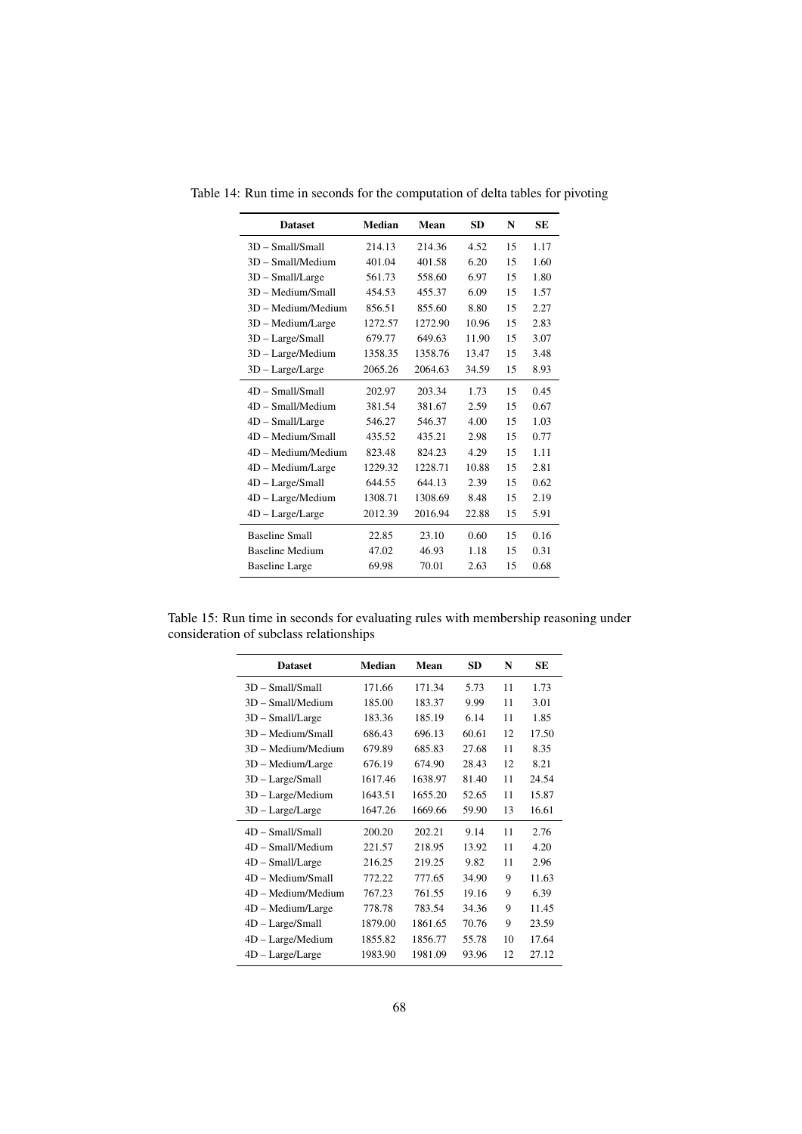<span id="page-67-0"></span>

| <b>Dataset</b>         | Median  | Mean    | SD.   | N  | SЕ   |
|------------------------|---------|---------|-------|----|------|
| 3D - Small/Small       | 214.13  | 214.36  | 4.52  | 15 | 1.17 |
| $3D - Small/Median$    | 401.04  | 401.58  | 6.20  | 15 | 1.60 |
| $3D$ – Small/Large     | 561.73  | 558.60  | 6.97  | 15 | 1.80 |
| 3D - Medium/Small      | 454.53  | 455.37  | 6.09  | 15 | 1.57 |
| $3D - Medium/Medium$   | 856.51  | 855.60  | 8.80  | 15 | 2.27 |
| 3D - Medium/Large      | 1272.57 | 1272.90 | 10.96 | 15 | 2.83 |
| $3D - Large/Small$     | 679.77  | 649.63  | 11.90 | 15 | 3.07 |
| 3D - Large/Medium      | 1358.35 | 1358.76 | 13.47 | 15 | 3.48 |
| $3D - Large/Large$     | 2065.26 | 2064.63 | 34.59 | 15 | 8.93 |
| $4D - Small/Small$     | 202.97  | 203.34  | 1.73  | 15 | 0.45 |
| $4D - Small/Median$    | 381.54  | 381.67  | 2.59  | 15 | 0.67 |
| $4D$ – Small/Large     | 546.27  | 546.37  | 4.00  | 15 | 1.03 |
| 4D - Medium/Small      | 435.52  | 435.21  | 2.98  | 15 | 0.77 |
| 4D - Medium/Medium     | 823.48  | 824.23  | 4.29  | 15 | 1.11 |
| $4D - Medium/Large$    | 1229.32 | 1228.71 | 10.88 | 15 | 2.81 |
| 4D - Large/Small       | 644.55  | 644.13  | 2.39  | 15 | 0.62 |
| $4D - Large/Median$    | 1308.71 | 1308.69 | 8.48  | 15 | 2.19 |
| $4D - Large/Large$     | 2012.39 | 2016.94 | 22.88 | 15 | 5.91 |
| <b>Baseline Small</b>  | 22.85   | 23.10   | 0.60  | 15 | 0.16 |
| <b>Baseline Medium</b> | 47.02   | 46.93   | 1.18  | 15 | 0.31 |
| <b>Baseline Large</b>  | 69.98   | 70.01   | 2.63  | 15 | 0.68 |

Table 14: Run time in seconds for the computation of delta tables for pivoting

Table 15: Run time in seconds for evaluating rules with membership reasoning under consideration of subclass relationships

<span id="page-67-1"></span>

| <b>Dataset</b>      | Median  | Mean    | <b>SD</b> | N   | SE    |  |
|---------------------|---------|---------|-----------|-----|-------|--|
| $3D - Small/Small$  | 171.66  | 171.34  | 5.73      | 11  | 1.73  |  |
| $3D - Small/Median$ | 185.00  | 183.37  | 9.99      | 11  | 3.01  |  |
| $3D$ – Small/Large  | 183.36  | 185.19  | 6.14      | 11  | 1.85  |  |
| 3D - Medium/Small   | 686.43  | 696.13  | 60.61     | 12  | 17.50 |  |
| 3D - Medium/Medium  | 679.89  | 685.83  | 27.68     | 11  | 8.35  |  |
| 3D - Medium/Large   | 676.19  | 674.90  | 28.43     | 12. | 8.21  |  |
| $3D - Large/Small$  | 1617.46 | 1638.97 | 81.40     | 11  | 24.54 |  |
| 3D - Large/Medium   | 1643.51 | 1655.20 | 52.65     | 11  | 15.87 |  |
| $3D - Large/Large$  | 1647.26 | 1669.66 | 59.90     | 13  | 16.61 |  |
| $4D - Small/Small$  | 200.20  | 202.21  | 9.14      | 11  | 2.76  |  |
| 4D - Small/Medium   | 221.57  | 218.95  | 13.92     | 11  | 4.20  |  |
| $4D - Small/Large$  | 216.25  | 219.25  | 9.82      | 11  | 2.96  |  |
| 4D – Medium/Small   | 772.22  | 777.65  | 34.90     | 9   | 11.63 |  |
| 4D - Medium/Medium  | 767.23  | 761.55  | 19.16     | 9   | 6.39  |  |
| 4D - Medium/Large   | 778.78  | 783.54  | 34.36     | 9   | 11.45 |  |
| 4D - Large/Small    | 1879.00 | 1861.65 | 70.76     | 9   | 23.59 |  |
| 4D - Large/Medium   | 1855.82 | 1856.77 | 55.78     | 10  | 17.64 |  |
| $4D - Large/Large$  | 1983.90 | 1981.09 | 93.96     | 12. | 27.12 |  |
|                     |         |         |           |     |       |  |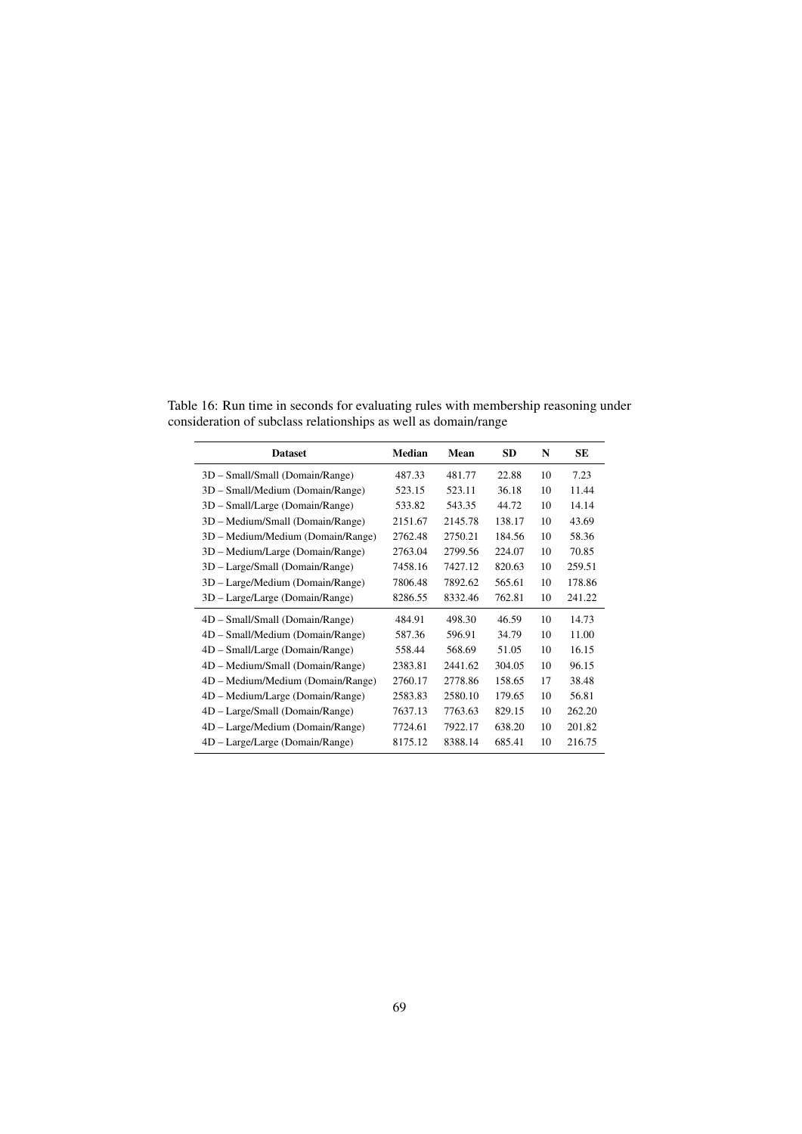Table 16: Run time in seconds for evaluating rules with membership reasoning under consideration of subclass relationships as well as domain/range

<span id="page-68-0"></span>

| <b>Dataset</b>                    | <b>Median</b> | Mean    | <b>SD</b> | N  | <b>SE</b> |
|-----------------------------------|---------------|---------|-----------|----|-----------|
| 3D - Small/Small (Domain/Range)   | 487.33        | 481.77  | 22.88     | 10 | 7.23      |
| 3D – Small/Medium (Domain/Range)  | 523.15        | 523.11  | 36.18     | 10 | 11.44     |
| 3D - Small/Large (Domain/Range)   | 533.82        | 543.35  | 44.72     | 10 | 14.14     |
| 3D – Medium/Small (Domain/Range)  | 2151.67       | 2145.78 | 138.17    | 10 | 43.69     |
| 3D – Medium/Medium (Domain/Range) | 2762.48       | 2750.21 | 184.56    | 10 | 58.36     |
| 3D – Medium/Large (Domain/Range)  | 2763.04       | 2799.56 | 224.07    | 10 | 70.85     |
| 3D - Large/Small (Domain/Range)   | 7458.16       | 7427.12 | 820.63    | 10 | 259.51    |
| 3D - Large/Medium (Domain/Range)  | 7806.48       | 7892.62 | 565.61    | 10 | 178.86    |
| 3D - Large/Large (Domain/Range)   | 8286.55       | 8332.46 | 762.81    | 10 | 241.22    |
| 4D - Small/Small (Domain/Range)   | 484.91        | 498.30  | 46.59     | 10 | 14.73     |
| 4D - Small/Medium (Domain/Range)  | 587.36        | 596.91  | 34.79     | 10 | 11.00     |
| 4D – Small/Large (Domain/Range)   | 558.44        | 568.69  | 51.05     | 10 | 16.15     |
| 4D – Medium/Small (Domain/Range)  | 2383.81       | 2441.62 | 304.05    | 10 | 96.15     |
| 4D – Medium/Medium (Domain/Range) | 2760.17       | 2778.86 | 158.65    | 17 | 38.48     |
| 4D – Medium/Large (Domain/Range)  | 2583.83       | 2580.10 | 179.65    | 10 | 56.81     |
| 4D – Large/Small (Domain/Range)   | 7637.13       | 7763.63 | 829.15    | 10 | 262.20    |
| 4D - Large/Medium (Domain/Range)  | 7724.61       | 7922.17 | 638.20    | 10 | 201.82    |
| 4D – Large/Large (Domain/Range)   | 8175.12       | 8388.14 | 685.41    | 10 | 216.75    |